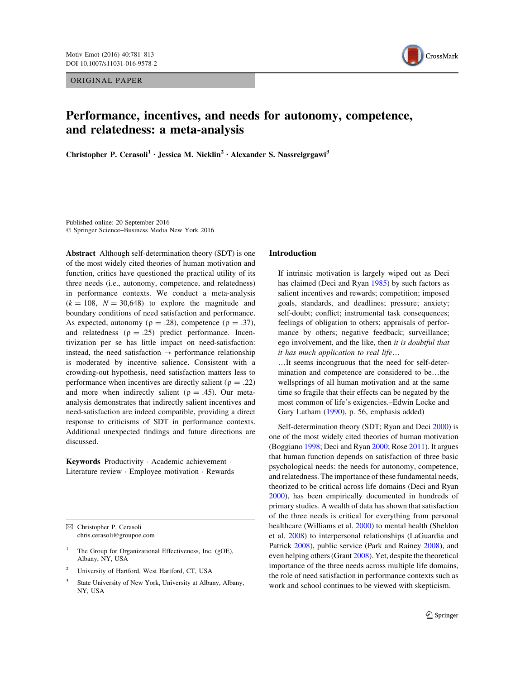ORIGINAL PAPER



# Performance, incentives, and needs for autonomy, competence, and relatedness: a meta-analysis

Christopher P. Cerasoli<sup>1</sup> · Jessica M. Nicklin<sup>2</sup> · Alexander S. Nassrelgrgawi<sup>3</sup>

Published online: 20 September 2016 ! Springer Science+Business Media New York 2016

Abstract Although self-determination theory (SDT) is one of the most widely cited theories of human motivation and function, critics have questioned the practical utility of its three needs (i.e., autonomy, competence, and relatedness) in performance contexts. We conduct a meta-analysis  $(k = 108, N = 30,648)$  to explore the magnitude and boundary conditions of need satisfaction and performance. As expected, autonomy ( $\rho = .28$ ), competence ( $\rho = .37$ ), and relatedness  $(\rho = .25)$  predict performance. Incentivization per se has little impact on need-satisfaction: instead, the need satisfaction  $\rightarrow$  performance relationship is moderated by incentive salience. Consistent with a crowding-out hypothesis, need satisfaction matters less to performance when incentives are directly salient ( $\rho = .22$ ) and more when indirectly salient ( $\rho = .45$ ). Our metaanalysis demonstrates that indirectly salient incentives and need-satisfaction are indeed compatible, providing a direct response to criticisms of SDT in performance contexts. Additional unexpected findings and future directions are discussed.

Keywords Productivity · Academic achievement · Literature review · Employee motivation · Rewards

& Christopher P. Cerasoli chris.cerasoli@groupoe.com

- <sup>1</sup> The Group for Organizational Effectiveness, Inc. (gOE), Albany, NY, USA
- <sup>2</sup> University of Hartford, West Hartford, CT, USA
- <sup>3</sup> State University of New York, University at Albany, Albany, NY, USA

## Introduction

If intrinsic motivation is largely wiped out as Deci has claimed (Deci and Ryan 1985) by such factors as salient incentives and rewards; competition; imposed goals, standards, and deadlines; pressure; anxiety; self-doubt; conflict; instrumental task consequences; feelings of obligation to others; appraisals of performance by others; negative feedback; surveillance; ego involvement, and the like, then it is doubtful that it has much application to real life…

…It seems incongruous that the need for self-determination and competence are considered to be…the wellsprings of all human motivation and at the same time so fragile that their effects can be negated by the most common of life's exigencies.–Edwin Locke and Gary Latham (1990), p. 56, emphasis added)

Self-determination theory (SDT; Ryan and Deci 2000) is one of the most widely cited theories of human motivation (Boggiano 1998; Deci and Ryan 2000; Rose 2011). It argues that human function depends on satisfaction of three basic psychological needs: the needs for autonomy, competence, and relatedness. The importance of these fundamental needs, theorized to be critical across life domains (Deci and Ryan 2000), has been empirically documented in hundreds of primary studies. A wealth of data has shown that satisfaction of the three needs is critical for everything from personal healthcare (Williams et al. 2000) to mental health (Sheldon et al. 2008) to interpersonal relationships (LaGuardia and Patrick 2008), public service (Park and Rainey 2008), and even helping others (Grant 2008). Yet, despite the theoretical importance of the three needs across multiple life domains, the role of need satisfaction in performance contexts such as work and school continues to be viewed with skepticism.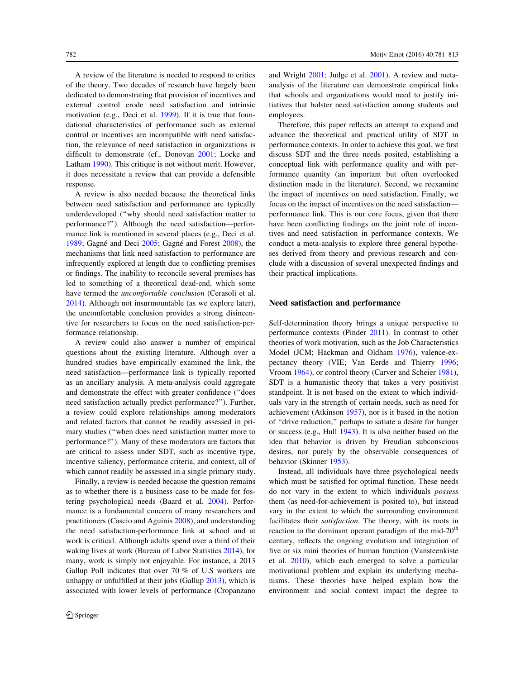dedicated to demonstrating that provision of incentives and external control erode need satisfaction and intrinsic motivation (e.g., Deci et al. 1999). If it is true that foundational characteristics of performance such as external control or incentives are incompatible with need satisfaction, the relevance of need satisfaction in organizations is difficult to demonstrate (cf., Donovan 2001; Locke and Latham 1990). This critique is not without merit. However, it does necessitate a review that can provide a defensible response.

A review is also needed because the theoretical links between need satisfaction and performance are typically underdeveloped (''why should need satisfaction matter to performance?''). Although the need satisfaction—performance link is mentioned in several places (e.g., Deci et al. 1989; Gagné and Deci 2005; Gagné and Forest 2008), the mechanisms that link need satisfaction to performance are infrequently explored at length due to conflicting premises or findings. The inability to reconcile several premises has led to something of a theoretical dead-end, which some have termed the uncomfortable conclusion (Cerasoli et al. 2014). Although not insurmountable (as we explore later), the uncomfortable conclusion provides a strong disincentive for researchers to focus on the need satisfaction-performance relationship.

A review could also answer a number of empirical questions about the existing literature. Although over a hundred studies have empirically examined the link, the need satisfaction—performance link is typically reported as an ancillary analysis. A meta-analysis could aggregate and demonstrate the effect with greater confidence (''does need satisfaction actually predict performance?''). Further, a review could explore relationships among moderators and related factors that cannot be readily assessed in primary studies (''when does need satisfaction matter more to performance?''). Many of these moderators are factors that are critical to assess under SDT, such as incentive type, incentive saliency, performance criteria, and context, all of which cannot readily be assessed in a single primary study.

Finally, a review is needed because the question remains as to whether there is a business case to be made for fostering psychological needs (Baard et al. 2004). Performance is a fundamental concern of many researchers and practitioners (Cascio and Aguinis 2008), and understanding the need satisfaction-performance link at school and at work is critical. Although adults spend over a third of their waking lives at work (Bureau of Labor Statistics 2014), for many, work is simply not enjoyable. For instance, a 2013 Gallup Poll indicates that over 70 % of U.S workers are unhappy or unfulfilled at their jobs (Gallup 2013), which is associated with lower levels of performance (Cropanzano

and Wright 2001; Judge et al. 2001). A review and metaanalysis of the literature can demonstrate empirical links

employees. Therefore, this paper reflects an attempt to expand and advance the theoretical and practical utility of SDT in performance contexts. In order to achieve this goal, we first discuss SDT and the three needs posited, establishing a conceptual link with performance quality and with performance quantity (an important but often overlooked distinction made in the literature). Second, we reexamine the impact of incentives on need satisfaction. Finally, we focus on the impact of incentives on the need satisfaction performance link. This is our core focus, given that there have been conflicting findings on the joint role of incentives and need satisfaction in performance contexts. We conduct a meta-analysis to explore three general hypotheses derived from theory and previous research and conclude with a discussion of several unexpected findings and their practical implications.

#### Need satisfaction and performance

Self-determination theory brings a unique perspective to performance contexts (Pinder 2011). In contrast to other theories of work motivation, such as the Job Characteristics Model (JCM; Hackman and Oldham 1976), valence-expectancy theory (VIE; Van Eerde and Thierry 1996; Vroom 1964), or control theory (Carver and Scheier 1981), SDT is a humanistic theory that takes a very positivist standpoint. It is not based on the extent to which individuals vary in the strength of certain needs, such as need for achievement (Atkinson 1957), nor is it based in the notion of ''drive reduction,'' perhaps to satiate a desire for hunger or success (e.g., Hull 1943). It is also neither based on the idea that behavior is driven by Freudian subconscious desires, nor purely by the observable consequences of behavior (Skinner 1953).

Instead, all individuals have three psychological needs which must be satisfied for optimal function. These needs do not vary in the extent to which individuals possess them (as need-for-achievement is posited to), but instead vary in the extent to which the surrounding environment facilitates their *satisfaction*. The theory, with its roots in reaction to the dominant operant paradigm of the mid-20<sup>th</sup> century, reflects the ongoing evolution and integration of five or six mini theories of human function (Vansteenkiste et al. 2010), which each emerged to solve a particular motivational problem and explain its underlying mechanisms. These theories have helped explain how the environment and social context impact the degree to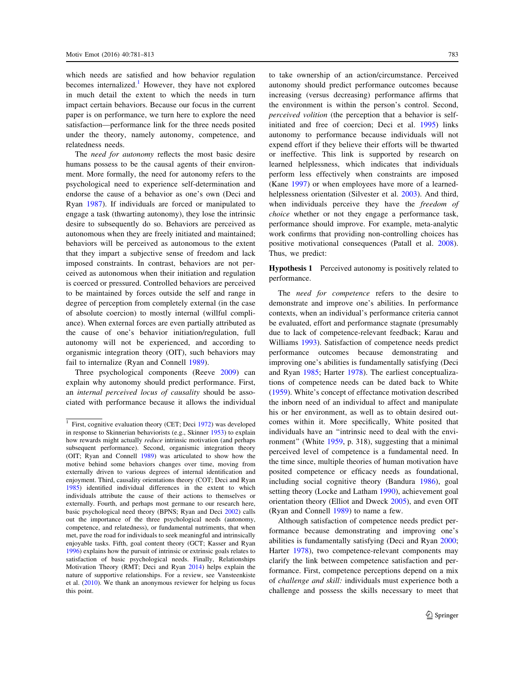which needs are satisfied and how behavior regulation becomes internalized.<sup>1</sup> However, they have not explored in much detail the extent to which the needs in turn impact certain behaviors. Because our focus in the current paper is on performance, we turn here to explore the need satisfaction—performance link for the three needs posited under the theory, namely autonomy, competence, and relatedness needs.

The need for autonomy reflects the most basic desire humans possess to be the causal agents of their environment. More formally, the need for autonomy refers to the psychological need to experience self-determination and endorse the cause of a behavior as one's own (Deci and Ryan 1987). If individuals are forced or manipulated to engage a task (thwarting autonomy), they lose the intrinsic desire to subsequently do so. Behaviors are perceived as autonomous when they are freely initiated and maintained; behaviors will be perceived as autonomous to the extent that they impart a subjective sense of freedom and lack imposed constraints. In contrast, behaviors are not perceived as autonomous when their initiation and regulation is coerced or pressured. Controlled behaviors are perceived to be maintained by forces outside the self and range in degree of perception from completely external (in the case of absolute coercion) to mostly internal (willful compliance). When external forces are even partially attributed as the cause of one's behavior initiation/regulation, full autonomy will not be experienced, and according to organismic integration theory (OIT), such behaviors may fail to internalize (Ryan and Connell 1989).

Three psychological components (Reeve 2009) can explain why autonomy should predict performance. First, an internal perceived locus of causality should be associated with performance because it allows the individual

to take ownership of an action/circumstance. Perceived autonomy should predict performance outcomes because increasing (versus decreasing) performance affirms that the environment is within the person's control. Second, perceived volition (the perception that a behavior is selfinitiated and free of coercion; Deci et al. 1995) links autonomy to performance because individuals will not expend effort if they believe their efforts will be thwarted or ineffective. This link is supported by research on learned helplessness, which indicates that individuals perform less effectively when constraints are imposed (Kane 1997) or when employees have more of a learnedhelplessness orientation (Silvester et al. 2003). And third, when individuals perceive they have the *freedom of* choice whether or not they engage a performance task, performance should improve. For example, meta-analytic work confirms that providing non-controlling choices has positive motivational consequences (Patall et al. 2008). Thus, we predict:

## Hypothesis 1 Perceived autonomy is positively related to performance.

The need for competence refers to the desire to demonstrate and improve one's abilities. In performance contexts, when an individual's performance criteria cannot be evaluated, effort and performance stagnate (presumably due to lack of competence-relevant feedback; Karau and Williams 1993). Satisfaction of competence needs predict performance outcomes because demonstrating and improving one's abilities is fundamentally satisfying (Deci and Ryan 1985; Harter 1978). The earliest conceptualizations of competence needs can be dated back to White (1959). White's concept of effectance motivation described the inborn need of an individual to affect and manipulate his or her environment, as well as to obtain desired outcomes within it. More specifically, White posited that individuals have an ''intrinsic need to deal with the environment" (White 1959, p. 318), suggesting that a minimal perceived level of competence is a fundamental need. In the time since, multiple theories of human motivation have posited competence or efficacy needs as foundational, including social cognitive theory (Bandura 1986), goal setting theory (Locke and Latham 1990), achievement goal orientation theory (Elliot and Dweck 2005), and even OIT (Ryan and Connell 1989) to name a few.

Although satisfaction of competence needs predict performance because demonstrating and improving one's abilities is fundamentally satisfying (Deci and Ryan 2000; Harter 1978), two competence-relevant components may clarify the link between competence satisfaction and performance. First, competence perceptions depend on a mix of challenge and skill: individuals must experience both a challenge and possess the skills necessary to meet that

<sup>&</sup>lt;sup>1</sup> First, cognitive evaluation theory (CET; Deci 1972) was developed in response to Skinnerian behaviorists (e.g., Skinner 1953) to explain how rewards might actually *reduce* intrinsic motivation (and perhaps subsequent performance). Second, organismic integration theory (OIT; Ryan and Connell 1989) was articulated to show how the motive behind some behaviors changes over time, moving from externally driven to various degrees of internal identification and enjoyment. Third, causality orientations theory (COT; Deci and Ryan 1985) identified individual differences in the extent to which individuals attribute the cause of their actions to themselves or externally. Fourth, and perhaps most germane to our research here, basic psychological need theory (BPNS; Ryan and Deci 2002) calls out the importance of the three psychological needs (autonomy, competence, and relatedness), or fundamental nutriments, that when met, pave the road for individuals to seek meaningful and intrinsically enjoyable tasks. Fifth, goal content theory (GCT; Kasser and Ryan 1996) explains how the pursuit of intrinsic or extrinsic goals relates to satisfaction of basic psychological needs. Finally, Relationships Motivation Theory (RMT; Deci and Ryan 2014) helps explain the nature of supportive relationships. For a review, see Vansteenkiste et al. (2010). We thank an anonymous reviewer for helping us focus this point.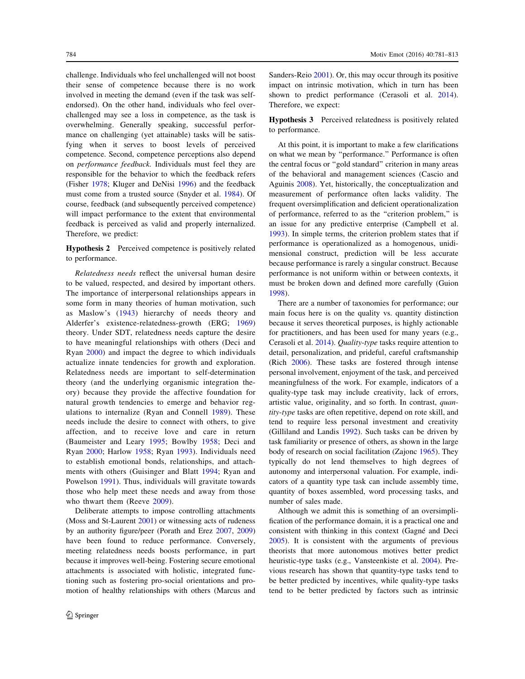challenge. Individuals who feel unchallenged will not boost their sense of competence because there is no work involved in meeting the demand (even if the task was selfendorsed). On the other hand, individuals who feel overchallenged may see a loss in competence, as the task is overwhelming. Generally speaking, successful performance on challenging (yet attainable) tasks will be satisfying when it serves to boost levels of perceived competence. Second, competence perceptions also depend on *performance feedback*. Individuals must feel they are responsible for the behavior to which the feedback refers (Fisher 1978; Kluger and DeNisi 1996) and the feedback must come from a trusted source (Snyder et al. 1984). Of course, feedback (and subsequently perceived competence) will impact performance to the extent that environmental feedback is perceived as valid and properly internalized. Therefore, we predict:

Hypothesis 2 Perceived competence is positively related to performance.

Relatedness needs reflect the universal human desire to be valued, respected, and desired by important others. The importance of interpersonal relationships appears in some form in many theories of human motivation, such as Maslow's (1943) hierarchy of needs theory and Alderfer's existence-relatedness-growth (ERG; 1969) theory. Under SDT, relatedness needs capture the desire to have meaningful relationships with others (Deci and Ryan 2000) and impact the degree to which individuals actualize innate tendencies for growth and exploration. Relatedness needs are important to self-determination theory (and the underlying organismic integration theory) because they provide the affective foundation for natural growth tendencies to emerge and behavior regulations to internalize (Ryan and Connell 1989). These needs include the desire to connect with others, to give affection, and to receive love and care in return (Baumeister and Leary 1995; Bowlby 1958; Deci and Ryan 2000; Harlow 1958; Ryan 1993). Individuals need to establish emotional bonds, relationships, and attachments with others (Guisinger and Blatt 1994; Ryan and Powelson 1991). Thus, individuals will gravitate towards those who help meet these needs and away from those who thwart them (Reeve 2009).

Deliberate attempts to impose controlling attachments (Moss and St-Laurent 2001) or witnessing acts of rudeness by an authority figure/peer (Porath and Erez 2007, 2009) have been found to reduce performance. Conversely, meeting relatedness needs boosts performance, in part because it improves well-being. Fostering secure emotional attachments is associated with holistic, integrated functioning such as fostering pro-social orientations and promotion of healthy relationships with others (Marcus and

Sanders-Reio 2001). Or, this may occur through its positive impact on intrinsic motivation, which in turn has been shown to predict performance (Cerasoli et al. 2014). Therefore, we expect:

Hypothesis 3 Perceived relatedness is positively related to performance.

At this point, it is important to make a few clarifications on what we mean by ''performance.'' Performance is often the central focus or ''gold standard'' criterion in many areas of the behavioral and management sciences (Cascio and Aguinis 2008). Yet, historically, the conceptualization and measurement of performance often lacks validity. The frequent oversimplification and deficient operationalization of performance, referred to as the ''criterion problem,'' is an issue for any predictive enterprise (Campbell et al. 1993). In simple terms, the criterion problem states that if performance is operationalized as a homogenous, unidimensional construct, prediction will be less accurate because performance is rarely a singular construct. Because performance is not uniform within or between contexts, it must be broken down and defined more carefully (Guion 1998).

There are a number of taxonomies for performance; our main focus here is on the quality vs. quantity distinction because it serves theoretical purposes, is highly actionable for practitioners, and has been used for many years (e.g., Cerasoli et al. 2014). Quality-type tasks require attention to detail, personalization, and prideful, careful craftsmanship (Rich 2006). These tasks are fostered through intense personal involvement, enjoyment of the task, and perceived meaningfulness of the work. For example, indicators of a quality-type task may include creativity, lack of errors, artistic value, originality, and so forth. In contrast, *quan*tity-type tasks are often repetitive, depend on rote skill, and tend to require less personal investment and creativity (Gilliland and Landis 1992). Such tasks can be driven by task familiarity or presence of others, as shown in the large body of research on social facilitation (Zajonc 1965). They typically do not lend themselves to high degrees of autonomy and interpersonal valuation. For example, indicators of a quantity type task can include assembly time, quantity of boxes assembled, word processing tasks, and number of sales made.

Although we admit this is something of an oversimplification of the performance domain, it is a practical one and consistent with thinking in this context (Gagné and Deci 2005). It is consistent with the arguments of previous theorists that more autonomous motives better predict heuristic-type tasks (e.g., Vansteenkiste et al. 2004). Previous research has shown that quantity-type tasks tend to be better predicted by incentives, while quality-type tasks tend to be better predicted by factors such as intrinsic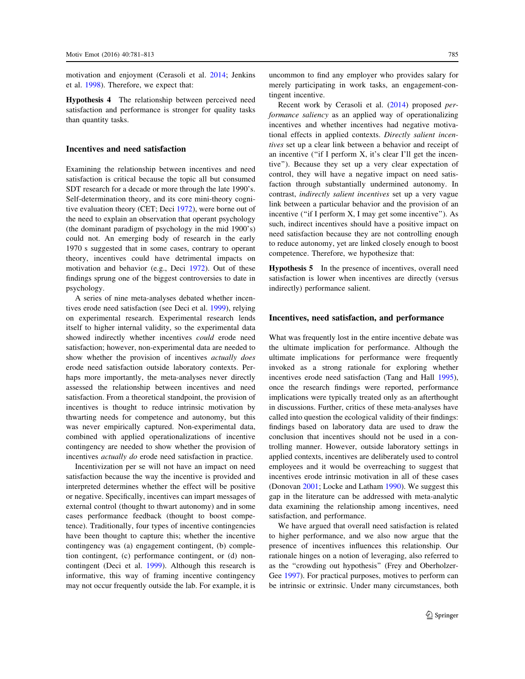motivation and enjoyment (Cerasoli et al. 2014; Jenkins et al. 1998). Therefore, we expect that:

Hypothesis 4 The relationship between perceived need satisfaction and performance is stronger for quality tasks than quantity tasks.

## Incentives and need satisfaction

Examining the relationship between incentives and need satisfaction is critical because the topic all but consumed SDT research for a decade or more through the late 1990's. Self-determination theory, and its core mini-theory cognitive evaluation theory (CET; Deci 1972), were borne out of the need to explain an observation that operant psychology (the dominant paradigm of psychology in the mid 1900's) could not. An emerging body of research in the early 1970 s suggested that in some cases, contrary to operant theory, incentives could have detrimental impacts on motivation and behavior (e.g., Deci 1972). Out of these findings sprung one of the biggest controversies to date in psychology.

A series of nine meta-analyses debated whether incentives erode need satisfaction (see Deci et al. 1999), relying on experimental research. Experimental research lends itself to higher internal validity, so the experimental data showed indirectly whether incentives could erode need satisfaction; however, non-experimental data are needed to show whether the provision of incentives *actually does* erode need satisfaction outside laboratory contexts. Perhaps more importantly, the meta-analyses never directly assessed the relationship between incentives and need satisfaction. From a theoretical standpoint, the provision of incentives is thought to reduce intrinsic motivation by thwarting needs for competence and autonomy, but this was never empirically captured. Non-experimental data, combined with applied operationalizations of incentive contingency are needed to show whether the provision of incentives actually do erode need satisfaction in practice.

Incentivization per se will not have an impact on need satisfaction because the way the incentive is provided and interpreted determines whether the effect will be positive or negative. Specifically, incentives can impart messages of external control (thought to thwart autonomy) and in some cases performance feedback (thought to boost competence). Traditionally, four types of incentive contingencies have been thought to capture this; whether the incentive contingency was (a) engagement contingent, (b) completion contingent, (c) performance contingent, or (d) noncontingent (Deci et al. 1999). Although this research is informative, this way of framing incentive contingency may not occur frequently outside the lab. For example, it is

uncommon to find any employer who provides salary for merely participating in work tasks, an engagement-contingent incentive.

Recent work by Cerasoli et al. (2014) proposed performance saliency as an applied way of operationalizing incentives and whether incentives had negative motivational effects in applied contexts. Directly salient incentives set up a clear link between a behavior and receipt of an incentive ("if I perform X, it's clear I'll get the incentive''). Because they set up a very clear expectation of control, they will have a negative impact on need satisfaction through substantially undermined autonomy. In contrast, indirectly salient incentives set up a very vague link between a particular behavior and the provision of an incentive (''if I perform X, I may get some incentive''). As such, indirect incentives should have a positive impact on need satisfaction because they are not controlling enough to reduce autonomy, yet are linked closely enough to boost competence. Therefore, we hypothesize that:

Hypothesis 5 In the presence of incentives, overall need satisfaction is lower when incentives are directly (versus indirectly) performance salient.

#### Incentives, need satisfaction, and performance

What was frequently lost in the entire incentive debate was the ultimate implication for performance. Although the ultimate implications for performance were frequently invoked as a strong rationale for exploring whether incentives erode need satisfaction (Tang and Hall 1995), once the research findings were reported, performance implications were typically treated only as an afterthought in discussions. Further, critics of these meta-analyses have called into question the ecological validity of their findings: findings based on laboratory data are used to draw the conclusion that incentives should not be used in a controlling manner. However, outside laboratory settings in applied contexts, incentives are deliberately used to control employees and it would be overreaching to suggest that incentives erode intrinsic motivation in all of these cases (Donovan 2001; Locke and Latham 1990). We suggest this gap in the literature can be addressed with meta-analytic data examining the relationship among incentives, need satisfaction, and performance.

We have argued that overall need satisfaction is related to higher performance, and we also now argue that the presence of incentives influences this relationship. Our rationale hinges on a notion of leveraging, also referred to as the "crowding out hypothesis" (Frey and Oberholzer-Gee 1997). For practical purposes, motives to perform can be intrinsic or extrinsic. Under many circumstances, both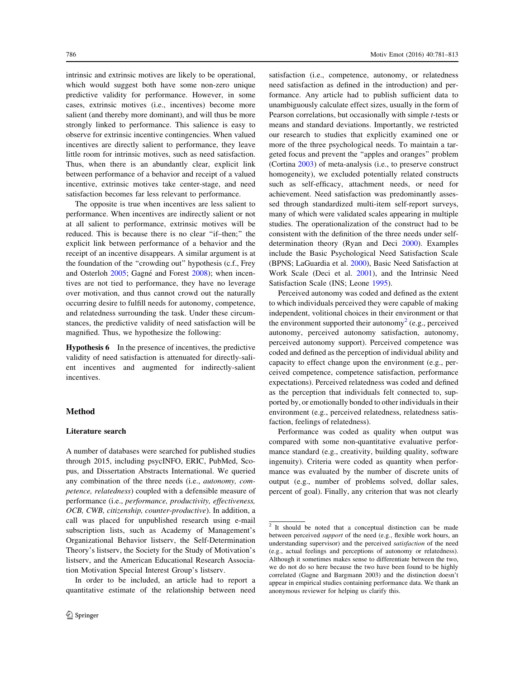intrinsic and extrinsic motives are likely to be operational, which would suggest both have some non-zero unique predictive validity for performance. However, in some cases, extrinsic motives (i.e., incentives) become more salient (and thereby more dominant), and will thus be more strongly linked to performance. This salience is easy to observe for extrinsic incentive contingencies. When valued incentives are directly salient to performance, they leave little room for intrinsic motives, such as need satisfaction. Thus, when there is an abundantly clear, explicit link between performance of a behavior and receipt of a valued incentive, extrinsic motives take center-stage, and need satisfaction becomes far less relevant to performance.

The opposite is true when incentives are less salient to performance. When incentives are indirectly salient or not at all salient to performance, extrinsic motives will be reduced. This is because there is no clear ''if–then;'' the explicit link between performance of a behavior and the receipt of an incentive disappears. A similar argument is at the foundation of the "crowding out" hypothesis (c.f., Frey and Osterloh 2005; Gagné and Forest 2008); when incentives are not tied to performance, they have no leverage over motivation, and thus cannot crowd out the naturally occurring desire to fulfill needs for autonomy, competence, and relatedness surrounding the task. Under these circumstances, the predictive validity of need satisfaction will be magnified. Thus, we hypothesize the following:

Hypothesis 6 In the presence of incentives, the predictive validity of need satisfaction is attenuated for directly-salient incentives and augmented for indirectly-salient incentives.

#### Method

#### Literature search

A number of databases were searched for published studies through 2015, including psycINFO, ERIC, PubMed, Scopus, and Dissertation Abstracts International. We queried any combination of the three needs (i.e., autonomy, competence, relatedness) coupled with a defensible measure of performance (i.e., performance, productivity, effectiveness, OCB, CWB, citizenship, counter-productive). In addition, a call was placed for unpublished research using e-mail subscription lists, such as Academy of Management's Organizational Behavior listserv, the Self-Determination Theory's listserv, the Society for the Study of Motivation's listserv, and the American Educational Research Association Motivation Special Interest Group's listserv.

In order to be included, an article had to report a quantitative estimate of the relationship between need satisfaction (i.e., competence, autonomy, or relatedness need satisfaction as defined in the introduction) and performance. Any article had to publish sufficient data to unambiguously calculate effect sizes, usually in the form of Pearson correlations, but occasionally with simple *t*-tests or means and standard deviations. Importantly, we restricted our research to studies that explicitly examined one or more of the three psychological needs. To maintain a targeted focus and prevent the ''apples and oranges'' problem (Cortina 2003) of meta-analysis (i.e., to preserve construct homogeneity), we excluded potentially related constructs such as self-efficacy, attachment needs, or need for achievement. Need satisfaction was predominantly assessed through standardized multi-item self-report surveys, many of which were validated scales appearing in multiple studies. The operationalization of the construct had to be consistent with the definition of the three needs under selfdetermination theory (Ryan and Deci 2000). Examples include the Basic Psychological Need Satisfaction Scale (BPNS; LaGuardia et al. 2000), Basic Need Satisfaction at Work Scale (Deci et al. 2001), and the Intrinsic Need Satisfaction Scale (INS; Leone 1995).

Perceived autonomy was coded and defined as the extent to which individuals perceived they were capable of making independent, volitional choices in their environment or that the environment supported their autonomy  $(e.g.,$  perceived autonomy, perceived autonomy satisfaction, autonomy, perceived autonomy support). Perceived competence was coded and defined as the perception of individual ability and capacity to effect change upon the environment (e.g., perceived competence, competence satisfaction, performance expectations). Perceived relatedness was coded and defined as the perception that individuals felt connected to, supported by, or emotionally bonded to other individuals in their environment (e.g., perceived relatedness, relatedness satisfaction, feelings of relatedness).

Performance was coded as quality when output was compared with some non-quantitative evaluative performance standard (e.g., creativity, building quality, software ingenuity). Criteria were coded as quantity when performance was evaluated by the number of discrete units of output (e.g., number of problems solved, dollar sales, percent of goal). Finally, any criterion that was not clearly

<sup>2</sup> It should be noted that a conceptual distinction can be made between perceived support of the need (e.g., flexible work hours, an understanding supervisor) and the perceived satisfaction of the need (e.g., actual feelings and perceptions of autonomy or relatedness). Although it sometimes makes sense to differentiate between the two, we do not do so here because the two have been found to be highly correlated (Gagne and Bargmann 2003) and the distinction doesn't appear in empirical studies containing performance data. We thank an anonymous reviewer for helping us clarify this.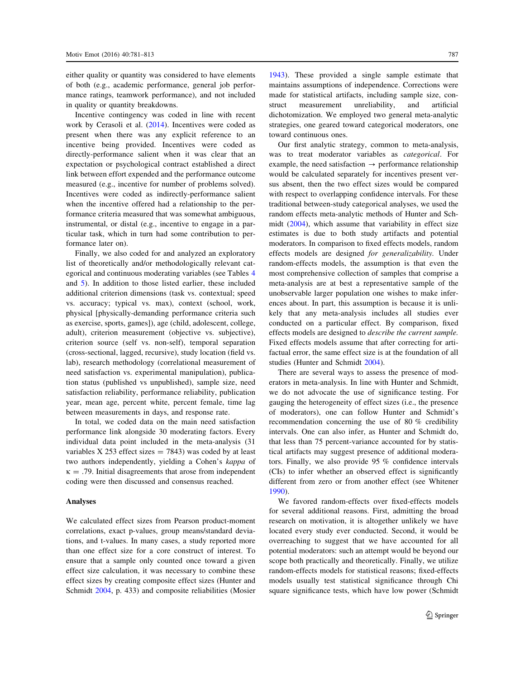either quality or quantity was considered to have elements of both (e.g., academic performance, general job performance ratings, teamwork performance), and not included in quality or quantity breakdowns.

Incentive contingency was coded in line with recent work by Cerasoli et al. (2014). Incentives were coded as present when there was any explicit reference to an incentive being provided. Incentives were coded as directly-performance salient when it was clear that an expectation or psychological contract established a direct link between effort expended and the performance outcome measured (e.g., incentive for number of problems solved). Incentives were coded as indirectly-performance salient when the incentive offered had a relationship to the performance criteria measured that was somewhat ambiguous, instrumental, or distal (e.g., incentive to engage in a particular task, which in turn had some contribution to performance later on).

Finally, we also coded for and analyzed an exploratory list of theoretically and/or methodologically relevant categorical and continuous moderating variables (see Tables 4 and 5). In addition to those listed earlier, these included additional criterion dimensions (task vs. contextual; speed vs. accuracy; typical vs. max), context (school, work, physical [physically-demanding performance criteria such as exercise, sports, games]), age (child, adolescent, college, adult), criterion measurement (objective vs. subjective), criterion source (self vs. non-self), temporal separation (cross-sectional, lagged, recursive), study location (field vs. lab), research methodology (correlational measurement of need satisfaction vs. experimental manipulation), publication status (published vs unpublished), sample size, need satisfaction reliability, performance reliability, publication year, mean age, percent white, percent female, time lag between measurements in days, and response rate.

In total, we coded data on the main need satisfaction performance link alongside 30 moderating factors. Every individual data point included in the meta-analysis (31 variables  $X$  253 effect sizes  $=$  7843) was coded by at least two authors independently, yielding a Cohen's kappa of  $\kappa = .79$ . Initial disagreements that arose from independent coding were then discussed and consensus reached.

#### Analyses

We calculated effect sizes from Pearson product-moment correlations, exact p-values, group means/standard deviations, and t-values. In many cases, a study reported more than one effect size for a core construct of interest. To ensure that a sample only counted once toward a given effect size calculation, it was necessary to combine these effect sizes by creating composite effect sizes (Hunter and Schmidt 2004, p. 433) and composite reliabilities (Mosier

1943). These provided a single sample estimate that maintains assumptions of independence. Corrections were made for statistical artifacts, including sample size, construct measurement unreliability, and artificial dichotomization. We employed two general meta-analytic strategies, one geared toward categorical moderators, one toward continuous ones.

Our first analytic strategy, common to meta-analysis, was to treat moderator variables as *categorical*. For example, the need satisfaction  $\rightarrow$  performance relationship would be calculated separately for incentives present versus absent, then the two effect sizes would be compared with respect to overlapping confidence intervals. For these traditional between-study categorical analyses, we used the random effects meta-analytic methods of Hunter and Schmidt (2004), which assume that variability in effect size estimates is due to both study artifacts and potential moderators. In comparison to fixed effects models, random effects models are designed for generalizability. Under random-effects models, the assumption is that even the most comprehensive collection of samples that comprise a meta-analysis are at best a representative sample of the unobservable larger population one wishes to make inferences about. In part, this assumption is because it is unlikely that any meta-analysis includes all studies ever conducted on a particular effect. By comparison, fixed effects models are designed to describe the current sample. Fixed effects models assume that after correcting for artifactual error, the same effect size is at the foundation of all studies (Hunter and Schmidt 2004).

There are several ways to assess the presence of moderators in meta-analysis. In line with Hunter and Schmidt, we do not advocate the use of significance testing. For gauging the heterogeneity of effect sizes (i.e., the presence of moderators), one can follow Hunter and Schmidt's recommendation concerning the use of 80 % credibility intervals. One can also infer, as Hunter and Schmidt do, that less than 75 percent-variance accounted for by statistical artifacts may suggest presence of additional moderators. Finally, we also provide 95 % confidence intervals (CIs) to infer whether an observed effect is significantly different from zero or from another effect (see Whitener 1990).

We favored random-effects over fixed-effects models for several additional reasons. First, admitting the broad research on motivation, it is altogether unlikely we have located every study ever conducted. Second, it would be overreaching to suggest that we have accounted for all potential moderators: such an attempt would be beyond our scope both practically and theoretically. Finally, we utilize random-effects models for statistical reasons; fixed-effects models usually test statistical significance through Chi square significance tests, which have low power (Schmidt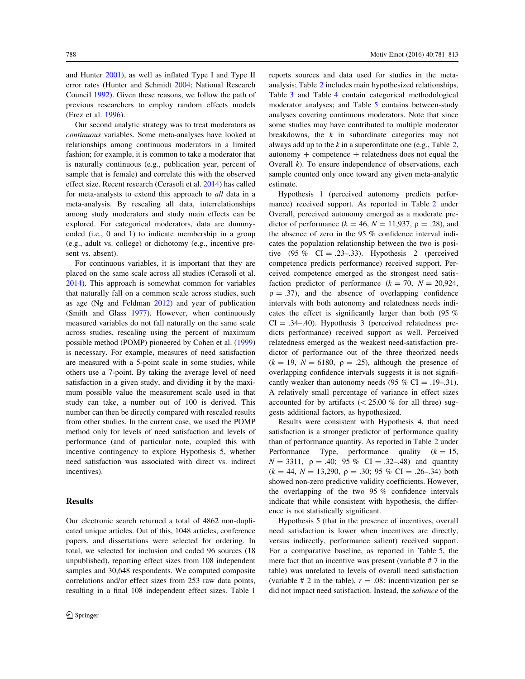and Hunter 2001), as well as inflated Type I and Type II error rates (Hunter and Schmidt 2004; National Research Council 1992). Given these reasons, we follow the path of previous researchers to employ random effects models (Erez et al. 1996).

Our second analytic strategy was to treat moderators as continuous variables. Some meta-analyses have looked at relationships among continuous moderators in a limited fashion; for example, it is common to take a moderator that is naturally continuous (e.g., publication year, percent of sample that is female) and correlate this with the observed effect size. Recent research (Cerasoli et al. 2014) has called for meta-analysts to extend this approach to all data in a meta-analysis. By rescaling all data, interrelationships among study moderators and study main effects can be explored. For categorical moderators, data are dummycoded (i.e., 0 and 1) to indicate membership in a group (e.g., adult vs. college) or dichotomy (e.g., incentive present vs. absent).

For continuous variables, it is important that they are placed on the same scale across all studies (Cerasoli et al. 2014). This approach is somewhat common for variables that naturally fall on a common scale across studies, such as age (Ng and Feldman  $2012$ ) and year of publication (Smith and Glass 1977). However, when continuously measured variables do not fall naturally on the same scale across studies, rescaling using the percent of maximum possible method (POMP) pioneered by Cohen et al. (1999) is necessary. For example, measures of need satisfaction are measured with a 5-point scale in some studies, while others use a 7-point. By taking the average level of need satisfaction in a given study, and dividing it by the maximum possible value the measurement scale used in that study can take, a number out of 100 is derived. This number can then be directly compared with rescaled results from other studies. In the current case, we used the POMP method only for levels of need satisfaction and levels of performance (and of particular note, coupled this with incentive contingency to explore Hypothesis 5, whether need satisfaction was associated with direct vs. indirect incentives).

## Results

Our electronic search returned a total of 4862 non-duplicated unique articles. Out of this, 1048 articles, conference papers, and dissertations were selected for ordering. In total, we selected for inclusion and coded 96 sources (18 unpublished), reporting effect sizes from 108 independent samples and 30,648 respondents. We computed composite correlations and/or effect sizes from 253 raw data points, resulting in a final 108 independent effect sizes. Table 1

reports sources and data used for studies in the metaanalysis; Table 2 includes main hypothesized relationships, Table 3 and Table 4 contain categorical methodological moderator analyses; and Table 5 contains between-study analyses covering continuous moderators. Note that since some studies may have contributed to multiple moderator breakdowns, the  $k$  in subordinate categories may not always add up to the  $k$  in a superordinate one (e.g., Table  $2$ ,  $autonomy + competence + relatedness does not equal the$ Overall  $k$ ). To ensure independence of observations, each sample counted only once toward any given meta-analytic estimate.

Hypothesis 1 (perceived autonomy predicts performance) received support. As reported in Table 2 under Overall, perceived autonomy emerged as a moderate predictor of performance ( $k = 46$ ,  $N = 11,937$ ,  $\rho = .28$ ), and the absence of zero in the 95 % confidence interval indicates the population relationship between the two is positive  $(95\% \text{ CI} = .23-.33)$ . Hypothesis 2 (perceived competence predicts performance) received support. Perceived competence emerged as the strongest need satisfaction predictor of performance  $(k = 70, N = 20,924,$  $\rho = .37$ ), and the absence of overlapping confidence intervals with both autonomy and relatedness needs indicates the effect is significantly larger than both (95 %  $CI = .34-.40$ . Hypothesis 3 (perceived relatedness predicts performance) received support as well. Perceived relatedness emerged as the weakest need-satisfaction predictor of performance out of the three theorized needs  $(k = 19, N = 6180, \rho = .25)$ , although the presence of overlapping confidence intervals suggests it is not significantly weaker than autonomy needs  $(95\% \text{ CI} = .19-.31)$ . A relatively small percentage of variance in effect sizes accounted for by artifacts  $(< 25.00 \%$  for all three) suggests additional factors, as hypothesized.

Results were consistent with Hypothesis 4, that need satisfaction is a stronger predictor of performance quality than of performance quantity. As reported in Table 2 under Performance Type, performance quality  $(k = 15,$  $N = 3311$ ,  $\rho = .40$ ; 95 % CI = .32-.48) and quantity  $(k = 44, N = 13,290, \rho = .30; 95\% \text{ CI} = .26-.34)$  both showed non-zero predictive validity coefficients. However, the overlapping of the two 95 % confidence intervals indicate that while consistent with hypothesis, the difference is not statistically significant.

Hypothesis 5 (that in the presence of incentives, overall need satisfaction is lower when incentives are directly, versus indirectly, performance salient) received support. For a comparative baseline, as reported in Table 5, the mere fact that an incentive was present (variable # 7 in the table) was unrelated to levels of overall need satisfaction (variable # 2 in the table),  $r = .08$ : incentivization per se did not impact need satisfaction. Instead, the salience of the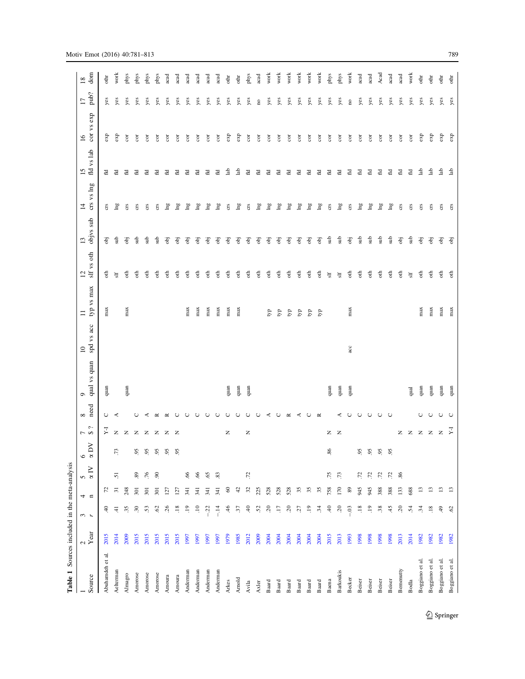| Table 1 Sources included in the meta-analysis |                         |                          |                 |                          |                       |                          |          |                      |            |                 |               |                     |                |                                |                 |                 |                 |
|-----------------------------------------------|-------------------------|--------------------------|-----------------|--------------------------|-----------------------|--------------------------|----------|----------------------|------------|-----------------|---------------|---------------------|----------------|--------------------------------|-----------------|-----------------|-----------------|
|                                               | $\frac{2}{\text{Year}}$ | $\frac{1}{2}$            | 4E              | $\frac{5}{8}$ N          | $\frac{6}{\alpha}$ DV | $\sim$ $\leftrightarrow$ | $\infty$ | $\bullet$            | $\approx$  | $\equiv$        | $12\,$        | $\frac{13}{20}$ sub | $\overline{4}$ | $\frac{15}{\text{fid vs lab}}$ | $\overline{16}$ | $\overline{17}$ | $\overline{18}$ |
| Source                                        |                         |                          |                 |                          |                       | $\sim$                   | need     | qual vs quan         | spd vs acc | typ vs max      | slf vs oth    |                     | crs vs Ing     |                                | cor vs exp      | pub?            | dom             |
| Abuhamdeh et al.                              | 2015                    | ङ्                       | 55              |                          |                       | 궃                        | $\cup$   | quan                 |            | max             | $_{\rm ct}$   | த                   | g              | 곧                              | exp             | yes             | $_{\rm othr}$   |
| Aelterman                                     | 2014                    | $\pm$                    | $\Xi$           | 5                        | $73$                  |                          | ≺        |                      |            |                 | $^{\rm{sf}}$  | $\frac{1}{2}$       | gu             | 곧                              | exp             | yes             | work            |
| Almagro                                       | 2009                    | 35                       | 248             |                          |                       |                          |          | quan                 |            | max             | $\epsilon$    | ்த                  | g              | 곧                              | $\rm{c}\sigma$  | yes             | phys            |
| Amorose                                       | 2015                    | $\ddot{\text{.}}$        | 301             | 89                       | 95                    |                          | O        |                      |            |                 | $\epsilon$    | $\frac{1}{2}$       | g              | 곧                              | č               | yes             | phys            |
| Amorose                                       | 2015                    | 53                       | 301             | $\overline{76}$          | 95                    | Z Z Z Z Z Z              | ⋖        |                      |            |                 | $\epsilon$    | $\frac{1}{2}$       | 6              | 곧                              | č               | yes             | phys            |
| Amorose                                       | 2015                    | $\mathcal{S}$            | 301             | $\overline{\mathcal{S}}$ | 95                    |                          | ≃        |                      |            |                 | $\epsilon$    | $\frac{1}{2}$       | g              | 곧                              | č               | yes             | phys            |
| Amoura                                        | 2015                    | .26                      | 127             |                          | 95                    |                          | ≃        |                      |            |                 | $_{\rm oth}$  | -ළි                 | gu             | E                              | č               | yes             | acad            |
| Amoura                                        | 2015                    | $\ddot{.}$               | 127             |                          | 95                    | $\mathbb{Z}$             | U)       |                      |            |                 | $_{\rm oth}$  | ē                   | Ξů             | $\Xi$                          | č               | yes             | acad            |
| Anderman                                      | 1997                    | $\ddot{ }$               | 341             | $\mathcal{S}$            |                       |                          |          |                      |            | max             | $\epsilon$    | -le                 | gu             | 곧                              | č               | yes             | acad            |
| Anderman                                      | 1997                    | $\overline{.0}$          | 341             | $\mathcal{S}$            |                       |                          | O        |                      |            | max             | $\epsilon$    | මි                  | lng            | 곧                              | č               | yes             | acad            |
| Anderman                                      | 1997                    | $-22$                    | 341             | 65                       |                       |                          | O        |                      |            | max             | $\epsilon$    | -ළි                 | gu             | $\Xi$                          | č               | yes             | acad            |
| Anderman                                      | 1997                    | $-14$                    | 341             | 83                       |                       |                          | O        |                      |            | max             | $\epsilon$    | -පි                 | lng            | Ξ                              | ξ               | yes             | acad            |
| Arkes                                         | 1979                    | 46                       | $\otimes$       |                          |                       | z                        |          | quan                 |            | max             | $\epsilon$    | -පි                 | crs            | lab                            | exp             | yes             | otb             |
| Amold                                         | 1985                    | $\ddot{37}$              | $\ddot{\sigma}$ |                          |                       |                          |          | quan                 |            | max             | $\epsilon$    | -ਗੁ                 | lng            | lab                            | exp             | yes             | otb             |
| Avila                                         | 2012                    | $\triangleq$             | $\mathfrak{L}$  | $\ddot{c}$               |                       | z                        |          | quan                 |            |                 | $\epsilon$    | ਣ੍ਹ                 | GS             | $\mathop{\rm fd}\nolimits$     | č               | yes             | phys            |
| Axler                                         | 2009                    | 52                       | 225             |                          |                       |                          |          |                      |            |                 | $_{\rm oth}$  | ්චි                 | gu             | $\Xi$                          | cor             | $\mathbf{a}$    | acad            |
| Baard                                         | 2004                    | $\ddot{5}$               | 528             |                          |                       |                          | ⋖        |                      |            | $\rm{t}v\rm{t}$ | $_{\rm 5}$    | obj                 | lng            | $\mathop{\rm fd}\nolimits$     | č               | yes             | work            |
| Baard                                         | 2004                    | $\overline{\phantom{0}}$ | 528             |                          |                       |                          | $\circ$  |                      |            | $_{\rm{pp}}$    | $\epsilon$    | obj                 | gu             | $\Xi$                          | cor             | yes             | work            |
| Baard                                         | 2004                    | $\sim$                   | 528             |                          |                       |                          | $\simeq$ |                      |            | typ             | $_{\rm oth}$  | obj                 | lng            | $\Xi$                          | š               | yes             | work            |
| Baard                                         | 2004                    | ĽČ.                      | 35              |                          |                       |                          | ≺        |                      |            | fу              | $\epsilon$    | obj                 | lng            | 곧                              | $\overline{c}$  | yes             | work            |
| Baard                                         | 2004                    | $\ddot{ }$               | 55              |                          |                       |                          | $\circ$  |                      |            | $\rm{pp}$       | $_{\rm ct}$   | ਣ੍ਹ                 | lng            | $\Xi$                          | š               | yes             | work            |
| Baard                                         | 2004                    | $\dot{z}$                | 35              |                          |                       |                          | $\simeq$ |                      |            | tур             | $\epsilon$    | ö                   | lng            | 곧                              | č               | yes             | work            |
| Baena                                         | 2015                    | đ.                       | 758             | 75                       | 86                    | z z                      |          | quan                 |            |                 | $\mathsf{st}$ | dus                 | crs            | 곧                              | š               | yes             | phys            |
| <b>Barkoukis</b>                              | 2013                    | $\sim$                   | $170\,$         | $\tilde{\mathcal{L}}$    |                       |                          | ≺        | quan                 |            |                 | $\mathsf{st}$ | $\frac{1}{2}$       | lng            | 곧                              | š               | yes             | phys            |
| Becker                                        | 1993                    | $-03$                    | 89              |                          |                       |                          | O        | quan                 | acc        | max             | $_{\rm oth}$  | ਣੀ                  | £              | 곧                              | Š               | $\mathbf{e}$    | work            |
| Beiser                                        | 1998                    | .18                      | 945             | $\ddot{c}$               | 95                    |                          | $\cup$   |                      |            |                 | $\epsilon$    | tis                 | lng            | 곧                              | č               | yes             | acad            |
| Beiser                                        | 1998                    | $\ddot{ }$               | 945             | $\ddot{c}$               | 95                    |                          | $\cup$   |                      |            |                 | $_{\rm ct}$   | sub                 | gu             | 곧                              | č               | yes             | acad            |
| Beiser                                        | 1998                    | 38                       | 388             | $\ddot{c}$               | 95                    |                          | $\cup$   |                      |            |                 | $\epsilon$    | <sub>5</sub>        | erl            | 곧                              | g               | yes             | Acad            |
| Beiser                                        | 1998                    | 45                       | 388             | Ľ.                       | 95                    |                          | $\cup$   |                      |            |                 | $\epsilon$    | <sub>5</sub>        | erl            | 곧                              | ξ               | yes             | acad            |
| Bemenutty                                     | 2013                    | $\overline{c}$           | 133             | 86                       |                       | $\mathbf{z}$             |          |                      |            |                 | $\epsilon$    | -ਗੁ                 | g              | Ξ                              | č               | yes             | acad            |
| Bodla                                         | 2014                    | $\dot{z}$                | 688             |                          |                       | $\mathbb{Z}$             |          | qual                 |            |                 | st            | ds<br>sub           | g              | $\Xi$                          | č               | yes             | work            |
| Boggiano et al.                               | 1982                    | $\dot{z}$                | $\overline{13}$ |                          |                       | $\mathbb Z$              | O        | quan                 |            | max             | $\epsilon$    | கு                  | g              | lab                            | exp             | yes             | $_{\rm othr}$   |
| Boggiano et al.                               | 1982                    | $\overline{.8}$          | $\overline{13}$ |                          |                       | $\mathbb{Z}$             | U        | $\mathbf{q}$ uan     |            | max             | $_{\rm ct}$   | ъij                 | g              | lab                            | exp             | yes             | otb             |
| Boggiano et al.                               | 1982                    | ę.                       | $\Xi$           |                          |                       | $z \overline{z}$         | $\cup$   | $\boldsymbol{q}$ uan |            | max             | $_{\rm oth}$  | obj                 | GS             | $_{\rm lab}$                   | exp             | yes             | $_{\rm othr}$   |
| Boggiano et al.                               | 1982                    | $\mathcal{C}$            | 13              |                          |                       |                          | $\circ$  | quan                 |            | max             | $\frac{1}{2}$ | -ig                 | crs            | lab                            | exp             | yes             | othr            |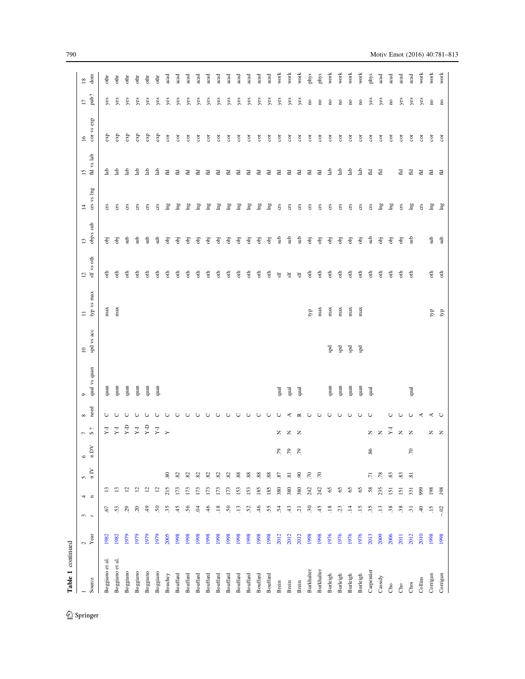| Table 1 continued |                       |                           |                      |                         |                           |                                  |                      |                         |                               |              |                      |                 |                       |                                |                           |                         |                        |
|-------------------|-----------------------|---------------------------|----------------------|-------------------------|---------------------------|----------------------------------|----------------------|-------------------------|-------------------------------|--------------|----------------------|-----------------|-----------------------|--------------------------------|---------------------------|-------------------------|------------------------|
| Source            | Year<br>$\mathcal{L}$ | $m - 1$                   | $\rightarrow$ $\sim$ | $\geq$<br>$n \, 8$      | $\geq$<br>$\circ$ $\circ$ | $\sim$<br>$\sim$ $\omega$        | need<br>${}^{\circ}$ | qual vs quan<br>$\circ$ | spd vs acc<br>$\overline{10}$ | $\Box$       | $12$ s<br>aff vs oth | objvs sub<br>13 | crs<br>$\overline{4}$ | vs lab<br>$\overline{a}$<br>15 | cor vs<br>$\overline{16}$ | pub?<br>$\Box$          | dom<br>$\overline{18}$ |
|                   |                       |                           |                      |                         |                           |                                  |                      |                         |                               | typ vs max   |                      |                 | vs Ing                |                                | exp                       |                         |                        |
| Boggiano et al.   | 1982                  | L9                        |                      |                         |                           | ΣI                               | O                    | quan                    |                               | max          | $_{\rm ct}$          | ਨੂ              | g                     | lab                            | exp                       | yes                     | othr                   |
| Boggiano et al.   | 1982                  | 53                        | Ω                    |                         |                           | YЛ                               | ◡                    | quan                    |                               | max          | $\epsilon$           | -පි             | £                     | lab                            | exp                       | yes                     | dhr                    |
| Boggiano          | 1979                  | $\mathfrak{S}$            | $\overline{c}$       |                         |                           | Δ-λ                              | U                    | quan                    |                               |              | $_{\rm oth}$         | $\frac{4}{3}$   | g                     | lab                            | exp                       | yes                     | othr                   |
| Boggiano          | 1979                  | $\overline{c}$            | $\overline{5}$       |                         |                           | ΣY                               | U                    | quan                    |                               |              | $_{\rm ct}$          | $\frac{4}{3}$   | 6                     | $\frac{1}{2}$                  | exp                       | yes                     | $rac{1}{\sqrt{2}}$     |
| Boggiano          | 1979                  | $\ddot{ }$                | $\overline{5}$       |                         |                           | $Y-D$                            | U                    | quan                    |                               |              | $_{\rm c}$           | $\frac{1}{2}$   | g                     | $\frac{1}{2}$                  | exp                       | yes                     | $rac{1}{\sqrt{2}}$     |
| Boggiano          | 1979                  | $\overline{50}$           | $\overline{5}$       |                         |                           | ΣY                               |                      | quan                    |                               |              | $\epsilon$           | dus             | <b>S</b>              | $\frac{1}{2}$                  | exp                       | yes                     | othr                   |
| Bouchey           | 2005                  | 35                        | 215                  | 80                      |                           | $\rightarrow$                    |                      |                         |                               |              | $_{\rm c}$           | obj             | gu                    | $\Xi$                          | cor                       | yes                     | acad                   |
| Bouffard          | 1998                  | 45                        | 173                  | 82                      |                           |                                  |                      |                         |                               |              | $_{\rm c}$           | ōbj             | erl                   | $\Xi$                          | cor                       | yes                     | acad                   |
| Bouffard          | 1998                  | 56                        | 173                  | 82                      |                           |                                  |                      |                         |                               |              | $\epsilon$           | ōБ              | lng                   | 곧                              | č                         | yes                     | acad                   |
| Bouffard          | 1998                  | Ŕ                         | 173                  | 82                      |                           |                                  | O                    |                         |                               |              | $_{\rm oth}$         | ōБ              | gu                    | E                              | č                         | yes                     | acad                   |
| Bouffard          | 1998                  | $\frac{4}{6}$             | 173                  | 82                      |                           |                                  | O                    |                         |                               |              | $_{\rm oth}$         | ਣੀ              | lng                   | 곧                              | č                         | yes                     | acad                   |
| <b>Bouffard</b>   | 1998                  | $\overline{.18}$          | 173                  | $\mathcal{S}^2$         |                           |                                  | O                    |                         |                               |              | $_{\rm oth}$         | ъġ              | gu                    | E                              | č                         | yes                     | acad                   |
| Bouffard          | 1998                  | $\ddot{5}$                | 173                  | $\mathcal{S}$           |                           |                                  | ◡                    |                         |                               |              | $_{\rm oth}$         | obj             | lng                   | 日                              | č                         | yes                     | acad                   |
| Bouffard          | 1998                  | $\ddot{13}$               | 153                  | 88                      |                           |                                  | ◡                    |                         |                               |              | $_{\rm oth}$         | මි              | gu                    | $\Xi$                          | č                         | yes                     | acad                   |
| Bouffard          | 1998                  | 52                        | 153                  | 88                      |                           |                                  | U                    |                         |                               |              | $_{\rm oth}$         | ōБ              | lng                   | $\Xi$                          | č                         | yes                     | acad                   |
| Bouffard          | 1998                  | 46                        | 185                  | .88                     |                           |                                  | U                    |                         |                               |              | $_{\rm oth}$         | obj             | lng                   | $\Xi$                          | č                         | yes                     | acad                   |
| <b>Bouffard</b>   | 1998                  | 55                        | 185                  | 88                      |                           |                                  | ◡                    |                         |                               |              | $_{\rm oth}$         | ъġ              | lng                   | $\Xi$                          | š                         | yes                     | acad                   |
| <b>Brein</b>      | 2012                  | -54                       | 380                  | $87\,$                  |                           |                                  |                      | qual                    |                               |              | $\overline{\rm sf}$  | <sub>sub</sub>  | crs                   | $\Xi$                          | ξ                         | yes                     | work                   |
| Brein             | 2012                  | $43$                      | 380                  | $\overline{\mathbf{S}}$ | 62.5                      | z z z                            | ⋖                    | qual                    |                               |              | $\mathsf{st}$        | ta              | GS                    |                                | ξ                         | yes                     | work                   |
| <b>Brein</b>      | 2012                  | $\overline{c}$            | 380                  | $\mathcal{S}$           |                           |                                  | ≃                    | <sub>qual</sub>         |                               |              | $\frac{1}{2}$        | <sub>sub</sub>  | £.                    | 로 .<br>로                       | 5                         | yes                     | work                   |
| Burkhalter        | 1998                  | $\ddot{\mathcal{E}}$      | 242                  | $\tilde{\mathcal{L}}$   |                           |                                  | ◡                    |                         |                               | $_{\rm typ}$ | $_{\rm oth}$         | ē               | $\rm{cs}$             |                                | č                         | $\overline{\mathbf{a}}$ | phys                   |
| Burkhalter        | 1998                  | 45                        | 242                  | $\tilde{\kappa}$        |                           |                                  | ◡                    |                         |                               | max          | $_{\rm oth}$         | öbj             | $_{\rm cs}$           | $E$ $E$ $\frac{1}{2}$          | $\overline{c}$            | $\mathbf{a}$            | phys                   |
| Burleigh          | 1976                  | $\ddotsc$                 | 65                   |                         |                           |                                  | ◡                    | quan                    | $_{\rm{spd}}$                 | max          | $_{\rm ob}$          | ē               | $\rm{cs}$             |                                | cor                       | $\mathbf{a}$            | work                   |
| Burleigh          | 1976                  | $23$                      | 65                   |                         |                           |                                  | O                    | quan                    | Ъq                            | max          | $_{\rm oth}$         | ē               | £.                    | $\frac{1}{2}$                  | š                         | $\mathbf{a}$            | work                   |
| Burleigh          | 1976                  | $\vec{=}$                 | $65\,$               |                         |                           |                                  | O                    | quan                    | gd                            | max          | $_{\rm oth}$         | ōБ              | crs                   | $\frac{1}{2}$                  | š                         | $\mathbf{a}$            | work                   |
| Burleigh          | 1976                  | $\ddot{15}$               | $\mathfrak{S}$       |                         |                           |                                  | ◡                    | quan                    | gd                            | max          | $_{\rm ct}$          | ъġ              | crs                   | $\frac{1}{2}$                  | g                         | $\overline{a}$          | work                   |
| Carpentier        | 2013                  | 35                        | $58\,$               | $\overline{5}$          | $\boldsymbol{86}$         |                                  | ◡                    | qual                    |                               |              | $_{\rm oth}$         | <sub>sub</sub>  | crs                   | $E$ $E$                        | 5                         | yes                     | phys                   |
| Cassidy           | 2009                  | $\ddot{13}$               | 235                  | $\overline{78}$         |                           |                                  |                      |                         |                               |              | $_{\rm oth}$         | ōБ              | lng                   |                                | 5                         | yes                     | acad                   |
| $_{\rm Cho}$      | 2006                  | $38$                      | 151                  | $\mathbf{3}$            |                           |                                  | O                    |                         |                               |              | $_{\rm oth}$         | මි              | lng                   |                                | č                         | $\overline{a}$          | acad                   |
| $_{\rm Cho}$      | 2011                  | 38                        | 151                  | $83$                    |                           | $Z \times \overline{X} \times Z$ | $\cup$               |                         |                               |              | $_{\rm oth}$         | ъġ              | $\rm{cs}$             | 곧                              | 5                         | yes                     | acad                   |
| $_{\rm Choi}$     | 2012                  | $\overline{\mathfrak{z}}$ | 331                  | $\overline{8}$          | $\sqrt{2}$                |                                  | ပ                    | qual                    |                               |              | $\epsilon$           | dns             | lng                   | $\Xi$ $\Xi$                    | ξ                         | yes                     | acad                   |
| Collins           | 2010                  | $\oplus$                  | 999                  |                         |                           |                                  | ⋖                    |                         |                               |              |                      |                 | crs                   |                                | č                         | yes                     | work                   |
| Corrigan          | 1998                  | $\ddot{5}$                | 198                  |                         |                           | z z                              | ⊲ ∪                  |                         |                               | $\rm{dy}$    | $_{\rm oth}$         | sub             | lng                   | $\Xi$                          | č                         | $\overline{\mathbf{a}}$ | work                   |
| Corrigan          | 1998                  | $-02$                     | 198                  |                         |                           |                                  |                      |                         |                               | typ          | $\epsilon$           | $\frac{1}{2}$   | lng                   | 곧                              | g                         | $\mathbf{e}$            | work                   |

 $\underline{\textcircled{\tiny 2}}$  Springer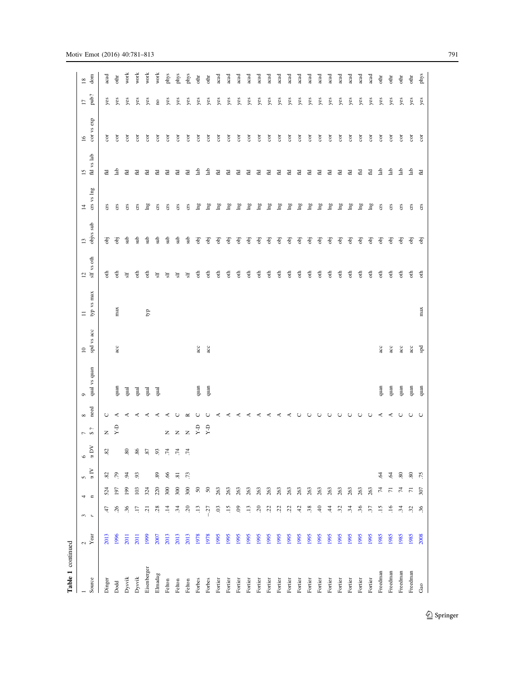| Table 1 continued |                         |                          |                             |                |                 |                       |          |              |                 |            |                            |                |                      |                |                |                |               |
|-------------------|-------------------------|--------------------------|-----------------------------|----------------|-----------------|-----------------------|----------|--------------|-----------------|------------|----------------------------|----------------|----------------------|----------------|----------------|----------------|---------------|
|                   | $\frac{2}{\text{Year}}$ | $\epsilon$               | $\overline{ }$              | 5              | 6               | $\sim$ $\omega$       | $\infty$ | $\circ$      | $\overline{10}$ | $\equiv$   | $\overline{c}$             | $\mathbf{r}$   | 4                    | 15             | $\tilde{a}$    | $\overline{1}$ | $18$          |
| Source            |                         | $\overline{\phantom{a}}$ | $\blacksquare$              | $_\infty$ N    | $\propto$ DV    | $\sim$                | need     | qual vs quan | vs acc<br>gg    | typ vs max | slf vs oth                 | objvs sub      | $\ln g$<br>γS<br>crs | fld vs lab     | exp<br>γS<br>ğ | pub?           | dom           |
| Dinger            | 2013                    | £                        | 524                         | 85             | $\mathcal{S}^2$ |                       | $\cup$   |              |                 |            | $_{\rm{th}}$               | ъġ             | $\rm{cs}$            | $\overline{H}$ | č              | yes            | acad          |
| Dodd              | 1996                    | .26                      | 197                         | $\overline{r}$ |                 | $Z \nightharpoonup D$ | ⋖        | quan         | acc             | max        | $\epsilon$                 | ਣ੍ਹੇ           | crs                  | lab            | ੋ              | yes            | $_{\rm othr}$ |
| Dysvik            | 2011                    | $\ddot{.}6$              | $\overline{190}$            | $\dot{a}$      | $\rm ^{80}$     |                       | ≺        | qual         |                 |            | $\mathop{\rm df}\nolimits$ | $\frac{1}{2}$  | $\rm{cs}$            | $\Xi$          | cor            | yes            | work          |
| Dysvik            | 2011                    | L.                       | 103                         | 93             | 86              |                       | ∢        | qual         |                 |            | $\circ$ th                 | tus            | crs                  | $\overline{d}$ | č              | yes            | work          |
| Eisenberger       | 1999                    | $\ddot{c}$               | 324                         |                | $\sqrt{87}$     |                       | ≺        | qual         |                 | byp        | $\epsilon$                 | $\frac{ab}{2}$ | gu                   | $\mathbf{H}$   | cor            | yes            | work          |
| Elmadag           | 2007                    | .28                      | 220                         | 89             | 93              |                       | ≺        | qual         |                 |            | $\mathsf{st}$              | tus            | $\rm{cs}$            | $\Xi$          | č              | $\mathbf{c}$   | work          |
| Felton            | 2013                    | $\vec{a}$                | 300                         | 86.            | $\overline{74}$ | $\mathbf{z}$          | ⋖        |              |                 |            | $\ddot{=}$                 | $\frac{4}{3}$  | crs                  | $\mathbb H$    | cor            | yes            | phys          |
| Felton            | 2013                    | $\ddot{ }$               | 300                         | $\overline{8}$ | $\overline{74}$ | $\mathbf{z}$          |          |              |                 |            | $\frac{1}{2}$              | sub            | $\rm{cs}$            | $\Xi$          | č              | yes            | phys          |
| Felton            | 2013                    | $\ddot{5}$               | 300                         | $.73$          | $\overline{74}$ | $\mathbb{Z}$          | ≃        |              |                 |            | $\operatorname{sf}$        | $\frac{1}{2}$  | $\rm{cs}$            | $\Xi$          | $\overline{c}$ | yes            | phys          |
| Forbes            | 1978                    | $\ddot{ }$               | $\sqrt{2}$                  |                |                 | L-Z                   |          | quan         | acc             |            | $_{\rm oth}$               | -ig            | lng                  | lab            | ξ              | yes            | othr          |
| Forbes            | 1978                    | $-27$                    | $\boldsymbol{S}$            |                |                 | Υ-D                   |          | quan         | aα              |            | $_{\rm oth}$               | öbj            | lng                  | lab            | $\overline{c}$ | yes            | othr          |
| Fortier           | 1995                    | $\rm g$                  | 263                         |                |                 |                       |          |              |                 |            | $_{\rm oth}$               | ъġ             | lng                  | $\mathbb H$    | č              | yes            | acad          |
| Fortier           | 1995                    | $\ddot{5}$               | 263                         |                |                 |                       | ⋖        |              |                 |            | $\frac{1}{2}$              | obj            | lng                  | E              | č              | yes            | acad          |
| Fortier           | 1995                    | 9                        | 263                         |                |                 |                       | ≺        |              |                 |            | $\circ$ th                 | ōbj            | gu                   | $\Xi$          | č              | yes            | acad          |
| Fortier           | 1995                    | $\ddot{.}$               | 263                         |                |                 |                       | ≺        |              |                 |            | $_{\rm oth}$               | ்த்            | lng                  | E              | cot            | yes            | acad          |
| Fortier           | 1995                    | $\sim$                   | 263                         |                |                 |                       | ⋖        |              |                 |            | $_{\rm oth}$               | obj            | lng                  | $\Xi$          | $_{\rm cor}$   | yes            | acad          |
| Fortier           | 1995                    | S.                       | 263                         |                |                 |                       | ≺        |              |                 |            | $_{\rm oth}$               | obj            | lng                  | $\Xi$          | $\overline{c}$ | yes            | acad          |
| Fortier           | 1995                    | S.                       | 263                         |                |                 |                       | ≺        |              |                 |            | $\circ$ th                 | öbj            | lng                  | $\Xi$          | č              | yes            | acad          |
| Fortier           | 1995                    | S.                       | 263                         |                |                 |                       | ≺        |              |                 |            | $_{\rm oth}$               | මි             | gu                   | $\Xi$          | ξ              | yes            | acad          |
| Fortier           | 1995                    | Ġ,                       | 263                         |                |                 |                       | $\circ$  |              |                 |            | $_{\rm c}$                 | මි             | lng                  | $\Xi$          | ξ              | yes            | acad          |
| Fortier           | 1995                    | 38                       | 263                         |                |                 |                       | $\circ$  |              |                 |            | $_{\rm oth}$               | මි             | lng                  | $\Xi$          | č              | yes            | acad          |
| Fortier           | 1995                    | $\hat{\mathcal{F}}$      | 263                         |                |                 |                       | O        |              |                 |            | $_{\rm oth}$               | ōbj            | lng                  | $\Xi$          | č              | yes            | acad          |
| Fortier           | 1995                    | $\dot{a}$                | 263                         |                |                 |                       | O        |              |                 |            | $_{\rm oth}$               | ъij            | lng                  | $\Xi$          | ξ              | yes            | acad          |
| Fortier           | 1995                    | $\ddot{3}$               | 263                         |                |                 |                       | O        |              |                 |            | oth                        | ö              | lng                  | E              | cot            | yes            | acad          |
| Fortier           | 1995                    | $\ddot{ }$               | 263                         |                |                 |                       | U        |              |                 |            | $_{\rm oth}$               | obj            | lng                  | $\Xi$          | $\rm{c}\sigma$ | yes            | acad          |
| Fortier           | 1995                    | $\ddot{s}$               | 263                         |                |                 |                       | $\cup$   |              |                 |            | $_{\rm oth}$               | obj            | $\ln g$              | $\Xi$          | $_{\rm cor}$   | yes            | acad          |
| Fortier           | 1995                    | $\ddot{s}$               | 263                         |                |                 |                       | $\circ$  |              |                 |            | $_{\rm c}$                 | obj            | lng                  | $\Xi$          | $_{\rm cor}$   | yes            | acad          |
| Freedman          | 1985                    | $\ddot{5}$               | $\mathcal{F}_{\mathcal{A}}$ | 2              |                 |                       | ≺        | quan         | acc             |            | $_{\rm oth}$               | obj            | crs                  | 1ab            | cor            | yes            | othr          |
| Freedman          | 1985                    | $\ddot{ }$               | $\overline{7}$              | $\hat{A}$      |                 |                       | ≺        | quan         | aα              |            | $_{\rm 5}$                 | öbj            | $\rm{cs}$            | lab            | č              | yes            | othr          |
| Freedman          | 1985                    | ž                        | $\sharp$                    | $80\,$         |                 |                       | O        | quan         | $\rm acc$       |            | $\epsilon$                 | ъġ             | 6                    | lab            | cor            | yes            | othr          |
| Freedman          | 1985                    | 32                       | $\overline{r}$              | $80\,$         |                 |                       | $\circ$  | quan         | aα              |            | $_{\rm c}$                 | கு             | $\mathbf{c}$         | lab            | č              | yes            | othr          |
| $\rm Gao$         | 2008                    | $\ddot{36}$              | 307                         | 75             |                 |                       | O        | quan         | Бę              | max        | $\epsilon$                 | ਾਂਗ            | £                    | $\mathbb{E}$   | š              | yes            | phys          |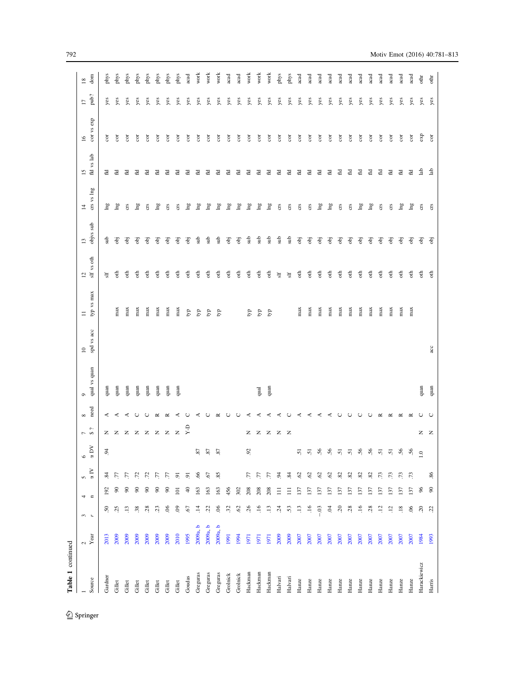| Table 1 continued                                    |                   |                       |                |                                                                   |                                   |                 |           |              |                 |            |                 |               |                |                        |                     |        |      |
|------------------------------------------------------|-------------------|-----------------------|----------------|-------------------------------------------------------------------|-----------------------------------|-----------------|-----------|--------------|-----------------|------------|-----------------|---------------|----------------|------------------------|---------------------|--------|------|
|                                                      | $\frac{2}{Y}$ ear | $m - r$               | 4              | $\frac{5}{8}$ N                                                   | $\begin{array}{c} 6 \\ \alpha$ DV | $\sim$ $\omega$ | $\infty$  | $\circ$      | $\overline{10}$ | $\equiv$   | $\overline{12}$ | 13            | $\overline{4}$ | 15                     | $\overline{16}$     | $\Box$ | $18$ |
| Source                                               |                   |                       | $\blacksquare$ |                                                                   |                                   | ç.              | need      | qual vs quan | acc<br>spd vs:  | typ vs max | slf vs oth      | objvs sub     | crs vs Ing     | vs lab<br>$_{\rm fid}$ | exp<br>$\rm cor$ vs | pub?   | dom  |
| Gardner                                              | 2013              | S                     | 192            | L.                                                                | 94                                |                 | ⋖         | quan         |                 |            | Ħ               | dus           | la≌            |                        | ğ                   | yes    | phys |
| $Gillet$                                             | 2009              | $\mathfrak{L}$        | 8              | E                                                                 |                                   |                 | ⋖         | quan         |                 | max        | $\epsilon$      | -ළ            | lng            |                        | ξ                   | yes    | phys |
| Gillet                                               | 2009              | $\overline{13}$       | 8              | E                                                                 |                                   | Z Z Z Z Z Z Z Z | ⋖         | quan         |                 | max        | $\epsilon$      | -ළි           | crs            | Ξ                      | <b>SC</b>           | yes    | phys |
| Gillet                                               | 2009              | 38                    | 8              |                                                                   |                                   |                 | ◡         | quan         |                 | max        | $\epsilon$      | ்த            | erl            | 곧                      | 5                   | yes    | phys |
| Gillet                                               | 2009              | $\overline{28}$       | 8              |                                                                   |                                   |                 | O         | quan         |                 | max        | $_{\rm oth}$    | -ළි           | g              | 로                      | š                   | yes    | phys |
| Gillet                                               | 2009              | $\mathcal{L}$         | 8              |                                                                   |                                   |                 | ≃         | quan         |                 | max        | $_{\rm 5}$      | 9ġ            | lng            | 로                      | g                   | yes    | phys |
| $Gillet$                                             | 2009              | $\mathcal{S}$         | 8              | $\begin{array}{ccc}\nE & E & E & E \\ E & E & E & E\n\end{array}$ |                                   |                 |           | quan         |                 | max        | $\epsilon$      | චි            | crs            | 곧                      | g                   | yes    | phys |
| $Gillet$                                             | 2010              | $\mathbf{e}$          | $\overline{a}$ |                                                                   |                                   |                 | ⋖         | quan         |                 | max        | $_{\rm c}$      | ōbj           | g              | 곧                      | č                   | yes    | phys |
| $\operatorname*{Goudas}% \mathbb{G}(\mathbb{Z}_{+})$ | 1995              | $\mathcal{Q}$         | ੩              | $\overline{5}$                                                    |                                   | Υ-D             |           |              |                 | typ        | $_{\rm 5}$      | ōbj           | erl            | 곧                      | č                   | yes    | acad |
| Greguras                                             | $2009a$ , b       | $\overline{a}$        | 163            | .66                                                               | 87                                |                 | ⋖         |              |                 | typ        | $_{\rm c}$      | <sub>5</sub>  | la≌            | E                      | g                   | yes    | work |
| Greguras                                             | $2009a$ , b       | S.                    | 163            | $\ddot{\theta}$ .                                                 | $87$ $\,$                         |                 | O         |              |                 | tур        | $_{\rm oth}$    | dis           | lng            | 곧                      | g                   | yes    | work |
| Greguras                                             | $2009a$ , b       | $\widetilde{\infty}$  | 163            | 85                                                                |                                   |                 | ≃         |              |                 | typ        | $\circ$ th      | $\frac{1}{2}$ | lng            | 곧                      | č                   | yes    | work |
| Grolnick                                             | 1991              | $32$                  | 456            |                                                                   |                                   |                 | ◡         |              |                 |            | $_{\rm oth}$    | ъij           | lng            | $\Xi$                  | š                   | yes    | acad |
| Grolnick                                             | 1994              | $\mathcal{S}$         | 302            |                                                                   |                                   |                 |           |              |                 |            | $_{\rm oth}$    | ъij           | $\ln g$        | $\Xi$                  | š                   | yes    | acad |
| Hackman                                              | 1971              | .26                   | 208            | F.                                                                | 92                                |                 | ⋖         |              |                 | ĮК         | $_{\rm oth}$    | dus           | $\ln$          | $\Xi$                  | g                   | yes    | work |
| Hackman                                              | 1971              | $\ddot{ }$            | 208            | F.                                                                |                                   |                 | ⋖         | qual         |                 | İУP        | $_{\rm oth}$    | dus           | lng            | $\Xi$                  | č                   | yes    | work |
| Hackman                                              | 1971              | $\overline{13}$       | 208            | F.                                                                |                                   | z z z z z       | ⋖         | quan         |                 | ĮЙ         | $_{\rm oth}$    | dus           | $\ln g$        | $\Xi$                  | g                   | yes    | work |
| Halvari                                              | 2009              | $\ddot{c}$            | $\Xi$          | æ                                                                 |                                   |                 | ⋖         |              |                 |            | $^{\rm{sf}}$    | $\frac{1}{2}$ | crs            | $\Xi$                  | č                   | yes    | phys |
| Halvari                                              | 2009              | $\ddot{5}$            | $\Xi$          | L\$                                                               |                                   |                 |           |              |                 |            | $^{\rm 51}$     | $\frac{1}{2}$ | crs            | $\Xi$                  | š                   | yes    | phys |
| Hanze                                                | 2007              | $\ddot{.}$            | 137            | $\mathcal{S}$                                                     | $\overline{51}$                   |                 | ⋖         |              |                 | max        | $_{\rm oth}$    | ōbj           | crs            | $\Xi$                  | č                   | yes    | acad |
| Hanze                                                | 2007              | $\overline{16}$       | 137            | $\mathcal{C}$                                                     | $\overline{51}$                   |                 | ∢         |              |                 | max        | $_{\rm oth}$    | ōbj           | crs            | $\Xi$                  | č                   | yes    | acad |
| Hanze                                                | 2007              | $-0.03$               | 137            | $\mathcal{L}$                                                     |                                   |                 | ⋖         |              |                 | max        | $_{\rm oth}$    | ōbj           | lng            | $\Xi$                  | č                   | yes    | acad |
| Hanze                                                | 2007              | Ŕ                     | 137            | $\mathcal{C}$                                                     | 5 5 5 5                           |                 | ⋖         |              |                 | max        | $_{\rm oth}$    | obj           | lng            | 곧                      | š                   | yes    | acad |
| Hanze                                                | 2007              | $20$                  | 137            | $\mathbf{S}^2$                                                    |                                   |                 |           |              |                 | max        | $_{\rm oth}$    | ē             | crs            | 곧                      | š                   | yes    | acad |
| Hanze                                                | 2007              | .28                   | 137            | 82                                                                |                                   |                 | ◡         |              |                 | max        | $_{\rm oth}$    | ōbj           | crs            | $\Xi$                  | COL                 | yes    | acad |
| Hanze                                                | 2007              | $\ddot{ }$            | 137            | 82                                                                | .56                               |                 | ◡         |              |                 | max        | $_{\rm oth}$    | චි            | lng            | 곧                      | g                   | yes    | acad |
| Hanze                                                | 2007              | $28$                  | 137            | 82                                                                | .56                               |                 | ◡         |              |                 | max        | $_{\rm oth}$    | -ළි           | lng            | 곧                      | 5                   | yes    | acad |
| Hanze                                                | 2007              | $\ddot{5}$            | 137            | $\mathfrak{L}$                                                    | $-5$ , $-5$                       |                 | $\approx$ |              |                 | max        | $_{\rm oth}$    | චි            | crs            | 곧                      | š                   | yes    | acad |
| Hanze                                                | 2007              | $\ddot{5}$            | 137            | $\mathcal{L}$                                                     |                                   |                 | ≃         |              |                 | max        | $_{\rm oth}$    | -ig           | crs            | E                      | č                   | yes    | acad |
| Hanze                                                | 2007              | $\overline{.18}$      | 137            | $\mathcal{L}$                                                     | .56                               |                 | ≃         |              |                 | max        | $_{\rm oth}$    | චි            | ра             | $\Xi$                  | š                   | yes    | acad |
| Hanze                                                | 2007              | $\infty$              | 137            | $\overline{73}$                                                   | $\circ$<br>نى                     |                 | $\propto$ |              |                 | max        | $_{\rm oth}$    | -ළි           | lng            | $\Xi$                  | g                   | yes    | acad |
| Harackiewicz                                         | 1984              | $\tilde{\mathcal{C}}$ | 96             |                                                                   | $\overline{1.0}$                  | z z             |           | quan         |                 |            | $_{\rm oth}$    | -ළි           | $\rm{cs}$      | lab                    | exp                 | yes    | othr |
| Harris                                               | 1993              | $\ddot{5}$            | 8              | 86                                                                |                                   |                 | O         | quan         | acc             |            | $\frac{1}{2}$   | චි            | 6              | lab                    | g                   | yes    | othr |

 $\underline{\textcircled{\tiny 2}}$  Springer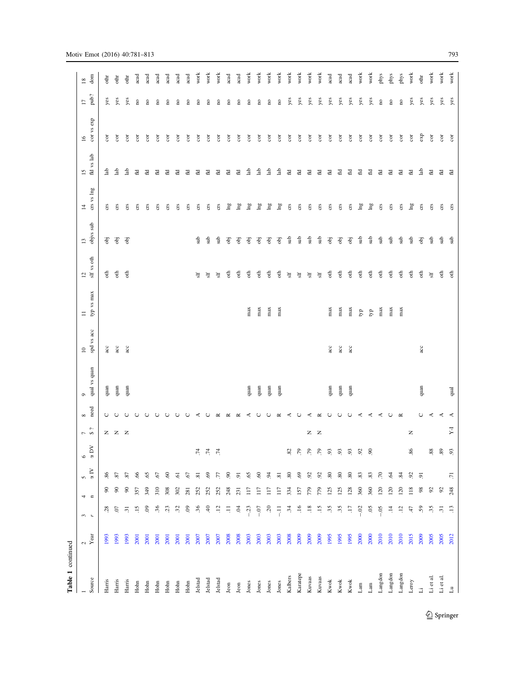| Table 1 continued                 |                               |                 |                     |                          |                          |                       |                      |                         |                               |                        |                                    |                 |                              |                               |                            |                        |                        |
|-----------------------------------|-------------------------------|-----------------|---------------------|--------------------------|--------------------------|-----------------------|----------------------|-------------------------|-------------------------------|------------------------|------------------------------------|-----------------|------------------------------|-------------------------------|----------------------------|------------------------|------------------------|
| Source                            | $_{\rm Year}$<br>$\mathbf{C}$ | $m - 1$         | $\blacksquare$<br>4 | $_\infty$ N<br>5         | $\alpha$ DV<br>$\bullet$ | $\frac{6}{5}$         | need<br>${}^{\circ}$ | qual vs quan<br>$\circ$ | spd vs acc<br>$\overline{10}$ | typ vs max<br>$\equiv$ | $\rm sif$ vs oth<br>$\overline{c}$ | objvs sub<br>13 | crs vs Ing<br>$\overline{4}$ | fld vs lab<br>$\overline{15}$ | cor vs exp<br>$\tilde{16}$ | pub?<br>$\overline{1}$ | dom<br>$\overline{18}$ |
|                                   |                               |                 |                     |                          |                          |                       |                      |                         |                               |                        |                                    |                 |                              |                               |                            |                        |                        |
| Harris                            | 1993                          | $\overline{28}$ | ଛ                   | 86                       |                          |                       | U                    | quan                    | $\rm acc$                     |                        | $\frac{1}{2}$                      |                 | $\rm{cs}$                    | lab                           | č                          | yes                    | othr                   |
| Harris                            | 1993                          | S.              | 8                   | -87                      |                          | z z z                 | ◡                    | quan                    | $\rm acc$                     |                        | $_{\rm oth}$                       | ap ap ap        | crs                          | $\frac{1}{2}$                 | g                          | yes                    | othr                   |
| $\rm{Harris}$                     | 1993                          | $\overline{31}$ | 8                   | $\mathbf{S}$             |                          |                       | $\circ$              | quan                    | $rac{c}{c}$                   |                        | $\epsilon$                         |                 | $\rm{cs}$                    | $\frac{1}{10}$                | ğ                          | yes                    | othr                   |
| Hohn                              | 2001                          | $\ddot{15}$     | 357                 | $\mathcal{S}$            |                          |                       | O                    |                         |                               |                        |                                    |                 | crs                          | 곧                             | ξ                          | $\overline{a}$         | acad                   |
| Hohn                              | 2001                          | 8               | 349                 | $65$                     |                          |                       | U                    |                         |                               |                        |                                    |                 | g                            | 곧                             | ğ                          | $\overline{a}$         | acad                   |
| Hohn                              | <b>2001</b>                   | $\ddot{36}$     | 310                 | $\overline{6}$           |                          |                       | ◡                    |                         |                               |                        |                                    |                 | £.                           | 곧                             | š                          | $\mathbf{e}$           | acad                   |
| Hohn                              | <b>2001</b>                   | $\ddot{3}$      | 308                 | $\mathcal{S}$            |                          |                       | U                    |                         |                               |                        |                                    |                 | g                            | 곧                             | ğ                          | $\epsilon$             | acad                   |
| Hohn                              | <b>2001</b>                   | $\ddot{3}$      | 302                 | ত্                       |                          |                       | $\circ$              |                         |                               |                        |                                    |                 | 6                            | 곧                             | č                          | $\frac{1}{2}$          | acad                   |
| Hohn                              | 2001                          | e.              | 281                 | $\mathcal{Q}$            |                          |                       | U                    |                         |                               |                        |                                    |                 | G                            | 곧                             | ξ                          | $\frac{1}{2}$          | acad                   |
| $\rm{Jelstad}$                    | 2007                          | $\ddot{36}$     | 252                 | ≅                        | $\ddot{z}$               |                       | ≺                    |                         |                               |                        | $\frac{1}{2}$                      | $\sin$          | 6                            | 곧                             | ğ                          | $\frac{1}{2}$          | work                   |
| ${\bf Jelstad}$                   | 2007                          | €.              | 252                 | S.                       | 74                       |                       | ್                    |                         |                               |                        | $\frac{1}{2}$                      | $\frac{1}{2}$   | G                            | 곧                             | ğ                          | $\epsilon$             | work                   |
| ${\bf Jelstad}$                   | 2007                          | $\ddot{5}$      | 252                 | F.                       |                          |                       |                      |                         |                               |                        | $s$ lf                             | $\frac{1}{2}$   | GS                           | 곧                             | 5                          | $\frac{1}{2}$          | work                   |
| Jeon                              | 2008                          | Ę               | 248                 | $\overline{\mathcal{S}}$ |                          |                       |                      |                         |                               |                        | $\epsilon$                         | ਣ੍ਹੇ            | lng                          | 로                             | ξ                          | $\frac{1}{2}$          | acad                   |
| Jeon                              | 2008                          | Ř               | 231                 | $\overline{5}$           |                          |                       | $R$ $R$ $R$ $\leq$   |                         |                               |                        | $_{\rm ct}$                        | ්චි             | gu                           | 곧                             | č                          | $\frac{1}{2}$          | acad                   |
| Jones                             | 2003                          | $-23$           | 117                 | $\mathcal{S}$            |                          |                       |                      | quan                    |                               | max                    | $\epsilon$                         | -පි             | lng                          | lab                           | ξ                          | $\epsilon$             | work                   |
| Jones                             | 2003                          | $-0$            | 117                 | $\mathcal{S}$            |                          |                       | ပ                    | quan                    |                               | max                    | $\epsilon$                         | ੱਤ              | lng                          | 1a                            | č                          | $\mathbf{a}$           | work                   |
| Jones                             | 2003                          | $\ddot{c}$      | 117                 | ¥.                       |                          |                       | $\circ$              | quan                    |                               | max                    | $\epsilon$                         | -ළි             | lng                          | lab                           | cor                        | $\overline{a}$         | work                   |
| Jones                             | 2003                          | $\overline{a}$  | 117                 | $\overline{s}$           |                          |                       | $\simeq$             | quan                    |                               | max                    | $\epsilon$                         | ē               | lng                          | lab                           | cor                        | $\frac{1}{2}$          | work                   |
| Kalbers                           | 2008                          | $\ddot{ }$      | 334                 | $80\,$                   | $82\,$                   |                       | ≺                    |                         |                               |                        | $\rm{df}$                          | $\frac{4}{3}$   | crs                          | $\Xi$                         | č                          | yes                    | work                   |
| Karatepe                          | 2009                          | .16             | 157                 | $69$                     | $\overline{r}$           |                       | $\circ$              |                         |                               |                        | $\overline{\rm sf}$                | $\frac{1}{2}$   | $\rm{cs}$                    | $\Xi$                         | ξ                          | yes                    | work                   |
| Kuvaas                            | 2009                          | $\ddotsc$       | 779                 | $\ddot{\theta}$          | $\sigma$                 | ZZ                    | ≺                    |                         |                               |                        | $^{\rm 51}$                        | $\frac{1}{2}$   | $\rm_{cs}$                   | 곧                             | cor                        | yes                    | work                   |
| Kuvaas                            | 2009                          | $\ddot{5}$      | 779                 | $\ddot{\theta}$          | $79$                     |                       | $\approx$            |                         |                               |                        | $\ddot{H}$                         | tus             | $_{\rm cs}$                  | 곧                             | ξ                          | yes                    | work                   |
| Kwok                              | 1995                          | 35              | 125                 | $80\,$                   | $93$                     |                       | $\cup$               | quan                    | acc                           | max                    | $\epsilon$                         | ē               | crs                          | 곧                             | č                          | yes                    | acad                   |
| Kwok                              | 1995                          | 35              | 125                 | $80\,$                   | $93$                     |                       | $\circ$              | quan                    | acc<br>acc                    | max                    | $_{\rm oth}$                       | ē               | 6                            | $\Xi$                         | ξ                          | yes                    | acad                   |
| $_{\rm Kwok}$                     | 1995                          | Ë.              | 128                 | 80                       | $93$                     |                       | U                    | quan                    |                               | max                    | $_{\rm ct}$                        | ē               | crs                          | Я                             | δg                         | yes                    | acad                   |
| $\mathop{\text{Lam}}$             | <b>2000</b>                   | $-02$           | 360                 | 83                       | $92$                     |                       | ⋖                    |                         |                               | $\rm{P}$               | $_{\rm oth}$                       | $\frac{1}{2}$   | lng                          | 곧                             | ξ                          | yes                    | work                   |
| $\mathop{\text{Lam}}$             | 2000                          | $\rm g$         | 360                 | $83$                     | $\overline{90}$          |                       |                      |                         |                               | $\mathbf{p}$           | $_{\rm oth}$                       | $\sin$          | lng                          | 곧                             | ξ                          | yes                    | work                   |
| Langdon                           | 2010                          | $-0.5$          | 120                 | $\overline{\mathcal{F}}$ |                          |                       | $4$ $4$ $0$          |                         |                               | max                    | $_{\rm oth}$                       | sub             | CFS                          | $\Xi$                         | ξ                          | $\mathbf{e}$           | phys                   |
| Langdon                           | 2010                          | $\overline{4}$  | 120                 | $\hat{A}$                |                          |                       |                      |                         |                               | max                    | $\epsilon$                         | $\frac{1}{2}$   | $\cos$                       | 곧                             | ξ                          | $\mathbf{a}$           | phys                   |
| Langdon                           | 2010                          | $\ddot{5}$      | 120                 | si.                      |                          |                       | $\mathbf{\alpha}$    |                         |                               | max                    | $_{\rm ct}$                        | dus             | g                            | 곧                             | č                          | $\mathbf{a}$           | phys                   |
| Leroy                             | 2015                          | £               | 118                 | $\tilde{\mathcal{S}}$    | $\boldsymbol{86}$        | $\mathsf{z}$          |                      |                         |                               |                        | $\epsilon$                         | dus             | lng                          | Ξ                             | cor                        | yes                    | work                   |
| $\Box$                            | 2009                          | 59              | 8                   | ā                        |                          |                       | O                    | quan                    | acc                           |                        | $\epsilon$                         | -ig             | 6                            | $\frac{1}{2}$                 | еxр                        | yes                    | $_{\rm othr}$          |
| Li et al.                         | 2005                          | $\ddot{35}$     | 85                  |                          | $88\,$                   |                       | ≺                    |                         |                               |                        | $s$ lf                             | dus             | 6                            | 곧                             | č                          | yes                    | work                   |
| $\mathop{\rm Li}\nolimits$ et al. | 2005                          | $\ddot{3}$      | $\mathcal{S}$       |                          | $89\,$                   |                       | ≺                    |                         |                               |                        | $\epsilon$                         | $\frac{1}{2}$   | 3                            | Я                             | cor                        | yes                    | work                   |
| $\Xi$                             | 2012                          | $\overline{13}$ | 248                 | $\overline{5}$           | 93                       | $\boldsymbol{\Sigma}$ | ⋖                    | qual                    |                               |                        | $\epsilon$                         | $\frac{1}{2}$   | g                            | 日                             | č                          | yes                    | work                   |

Motiv Emot (2016) 40:781–813 793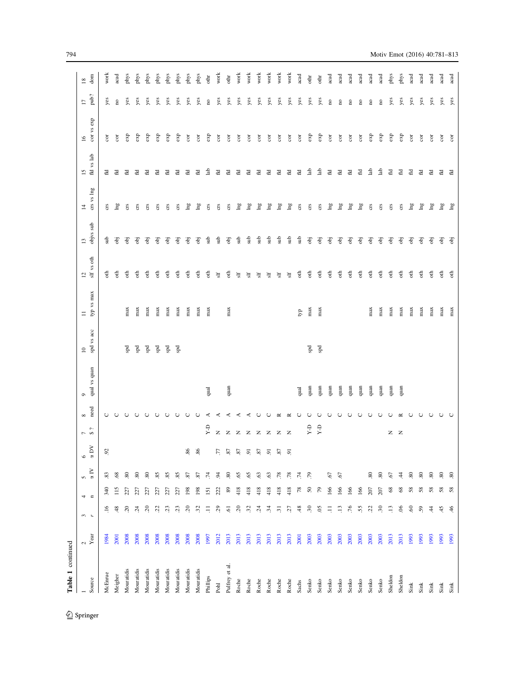| Table 1 continued |                         |                       |         |                     |                |                 |          |              |                 |              |                       |               |                |                            |                 |              |               |
|-------------------|-------------------------|-----------------------|---------|---------------------|----------------|-----------------|----------|--------------|-----------------|--------------|-----------------------|---------------|----------------|----------------------------|-----------------|--------------|---------------|
|                   | $\frac{2}{\text{Year}}$ | 3                     |         | 5                   | 6              | $\sim$ $\omega$ | $\infty$ | $\bullet$    | $\overline{10}$ | $\equiv$     | $12$ s<br>of vs oth   | $\mathbf{13}$ | $\overline{4}$ | $\frac{15}{10}$ vs lab     | $\overline{16}$ | $\Box$       | $18\,$        |
| Source            |                         | $\overline{a}$        | $\pm$ = | $_\infty$ N         | $\propto$ DV   | $\sim$          | need     | qual vs quan | spd vs acc      | typ vs max   |                       | objvs sub     | crs vs lng     |                            | exp<br>cor vs   | pub?         | dom           |
| McEnrue           | 1984                    | $\ddot{=}$            | 340     | 33                  | 92             |                 |          |              |                 |              | $_{\rm{th}}$          | dns           | £.             |                            | ğ               | yes          | work          |
| Meigher           | 2001                    | 48                    | 115     | 68                  |                |                 | $\cup$   |              |                 |              | $_{\rm oth}$          | öbj           | lng            | <u>곧 곧</u>                 | cor             | $\epsilon$   | acad          |
| Mouratidis        | 2008                    | $\tilde{\mathcal{L}}$ | 27      | 80                  |                |                 | $\cup$   |              | Бq              | max          | $_{\rm oth}$          | -පි           | g              | 곧                          | exp             | yes          | phys          |
| Mouratidis        | 2008                    | $\ddot{z}$            | 227     | $\boldsymbol{80}$   |                |                 | $\cup$   |              | Бą              | max          | $_{\rm oth}$          | -ළි           | £.             | F                          | exp             | yes          | phys          |
| Mouratidis        | 2008                    | $\overline{c}$        | 227     | $\overline{80}$     |                |                 | $\cup$   |              | <b>Spd</b>      | max          | $_{\rm oth}$          | -ළි           | g              | 곧                          | exp             | yes          | phys          |
| Mouratidis        | 2008                    | S.                    | 227     | 85                  |                |                 | O        |              | $_{\rm spd}$    | max          | $_{\rm oth}$          | චි            | 9              | ₹Е                         | exp             | yes          | phys          |
| Mouratidis        | 2008                    | $\mathcal{L}$         | 227     | 85                  |                |                 | ◡        |              | Pg              | max          | $_{\rm oth}$          | -පි           | g              | $\overline{a}$             | exp             | yes          | phys          |
| Mouratidis        | 2008                    | $\overline{c}$        | 227     | 85                  |                |                 | ◡        |              | gd              | max          | $_{\rm oth}$          | ōbj           | g              | $\overline{a}$             | exp             | yes          | phys          |
| Mouratidis        | 2008                    | $\overline{c}$ .      | 198     | $\sqrt{8}$          |                |                 | Ο        |              |                 | max          | $_{\rm oth}$          | obj           | eri            | $\Xi$                      | č               | yes          | phys          |
| Mouratidis        | 2008                    | 32                    | 198     | $\sqrt{8}$          | 86             |                 | O        |              |                 | max          | $\epsilon$            | ōБj           | erl            | $\Xi$                      | č               | yes          | phys          |
| Phillips          | 1997                    | Ę                     | 151     | $\ddot{z}$          |                | Δ-λ             | ⋖        | qual         |                 | max          | $\epsilon$            | $\frac{1}{2}$ | g              | $\frac{1}{2}$              | exp             | $\mathbf{e}$ | $_{\rm othr}$ |
| Pohl              | 2012                    | $\overline{c}$        | 222     | ă                   |                |                 | ⋖        |              |                 |              | $\exists$             | $\frac{1}{2}$ | GS             | $\Xi$                      | č               | yes          | work          |
| Pulfrey et al.    | 2013                    | $\tilde{e}$           | 89      | $\boldsymbol{80}$   |                | Z Z Z Z Z Z Z Z | ⋖        | quan         |                 | max          | $\epsilon$            | මි            | g              | $\Xi$                      | š               | yes          | otb           |
| Roche             | 2013                    | $\tilde{\mathcal{L}}$ | 418     | 65                  |                |                 | ⋖        |              |                 |              | $\exists$             | $\frac{1}{2}$ | gα             | $\Xi$                      | ā               | yes          | work          |
| Roche             | 2013                    | 32                    | 418     | $\mathfrak{S}$      |                |                 | ⋖        |              |                 |              | $\overline{\text{H}}$ | dus           | lng            | Ξ                          | š               | yes          | work          |
| Roche             | 2013                    | $\ddot{c}$            | 418     | $\mathcal{L}$       |                |                 | O        |              |                 |              | $\frac{1}{2}$         | dus           | lng            | $_{\rm fl}$                | δg              | yes          | work          |
| Roche             | 2013                    | $\ddot{ }$            | 418     | $\mathcal{L}$       |                |                 | O        |              |                 |              | $\frac{1}{2}$         | tis           | lng            | $\mathbb H$                | š               | yes          | work          |
| Roche             | 2013                    | $\ddot{3}$            | 418     | $.78\,$             |                |                 | ≃        |              |                 |              | $\frac{1}{2}$         | dus           | lng            | $\Xi$                      | δg              | yes          | work          |
| Roche             | 2013                    | 57                    | 418     | .78                 | $\overline{5}$ |                 | ≃        |              |                 |              | $^{\rm 51}$           | $\frac{1}{2}$ | gu             | $\Xi$                      | 5               | yes          | work          |
| Sachs             | 2001                    | 48                    | 78      | $\ddot{z}$          |                |                 |          | qual         |                 | $_{\rm{yp}}$ | $\epsilon$            | $\frac{1}{2}$ | crs            | $\Xi$                      | č               | yes          | acad          |
| Senko             | 2003                    | $\ddot{\mathcal{E}}$  | $50\,$  | $\mathcal{E}$       |                | $Y-D$           | O        | quan         | ng<br>Ba        | max          | $_{\rm oth}$          | obj           | GS             | $\frac{1}{2}$              | exp             | yes          | $_{\rm othr}$ |
| Senko             | 2003                    | $\ddot{\mathrm{c}}$   | g       |                     |                | Y-D             | ◡        | quan         |                 | max          | $_{\rm oth}$          | ōБ            | crs            | $\frac{1}{2}$              | exp             | yes          | othr          |
| Senko             | 2003                    | $\Xi$                 | 166     | $\ddot{\theta}$     |                |                 |          | quan         |                 |              | $_{\rm oth}$          | -ළි           | lng            | $\Xi$                      | ċ               | $\mathbf{a}$ | acad          |
| Senko             | 2003                    | $\overline{13}$       | 166     | $\overline{6}$      |                |                 |          | quan         |                 |              | $_{\rm c}$            | -ළි           | gu             | $\Xi$                      | š               | $\mathbf{e}$ | acad          |
| Senko             | 2003                    | $\overline{76}$       | 166     |                     |                |                 |          | quan         |                 |              | $_{\rm oth}$          | -ළි           | lng            | $\Xi$                      | č               | g            | acad          |
| Senko             | 2003                    | 55                    | 166     |                     |                |                 | U        | quan         |                 |              | $_{\rm oth}$          | ōbj           | lng            | $\mathbb H$                | č               | $\mathbf{c}$ | acad          |
| Senko             | 2003                    | Si                    | 207     | $\frac{8}{2}$       |                |                 |          | quan         |                 | max          | $_{\rm oth}$          | -ළි           | £.             | $\frac{1}{2}$              | exp             | $\mathbf{e}$ | acad          |
| Senko             | 2003                    | $30$                  | 207     | $\ddot{\mathbf{8}}$ |                |                 |          | quan         |                 | max          | $\epsilon$            | -ළි           | g              | lab                        | exp             | $\mathbf{c}$ | acad          |
| Sheldon           | 2013                    | $\ddot{ }$            | 8       | 67                  |                | z z             |          | quan         |                 | max          | $_{\rm oth}$          | -ළි           | £.             | $\Xi$                      | exp             | yes          | phys          |
| Sheldon           | 2013                    | 8                     | 8       | $\dot{a}$           |                |                 |          | quan         |                 | max          | $_{\rm dt}$           | -ළි           | g              | 곱                          | exp             | yes          | phys          |
| Sink              | 1993                    | $\mathcal{S}$         | 58      | 80                  |                |                 |          |              |                 | max          | $\epsilon$            | -ළි           | lng            | Ξ                          | š               | yes          | acad          |
| Sink              | 1993                    | 59                    | 58      | 80                  |                |                 |          |              |                 | max          | $_{\rm ct}$           | -ළ            | lng            | 곧                          | š               | yes          | acad          |
| Sink              | 1993                    | $\dot{4}$             | 58      | 80                  |                |                 |          |              |                 | max          | $_{\rm oth}$          | -ළි           | lng            | $\ddot{H}$                 | š               | yes          | acad          |
| Sink              | 1993                    | 45                    | $58\,$  | $\boldsymbol{80}$   |                |                 |          |              |                 | max          | $_{\rm oth}$          | -ළි           | lng            | $\mathop{\rm fd}\nolimits$ | č               | yes          | acad          |
| Sink              | 1993                    | 46                    | 58      | $\boldsymbol{80}$   |                |                 |          |              |                 | max          | $\epsilon$            | ਣੀ            | <b>Par</b>     | $\mathbb{R}$               | ğ               | yes          | acad          |

 $\underline{\textcircled{\tiny 2}}$  Springer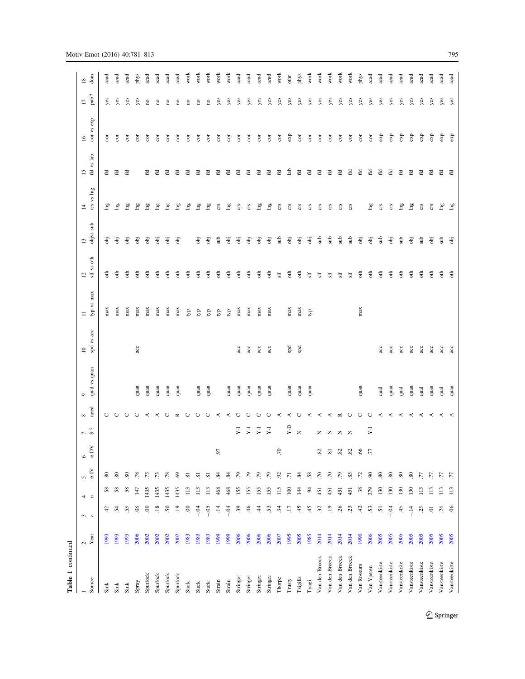| Table 1 continued              |                      |                |                      |                           |                         |                           |                      |                         |                                    |                              |                                    |                           |                                 |                               |                                   |                        |                        |
|--------------------------------|----------------------|----------------|----------------------|---------------------------|-------------------------|---------------------------|----------------------|-------------------------|------------------------------------|------------------------------|------------------------------------|---------------------------|---------------------------------|-------------------------------|-----------------------------------|------------------------|------------------------|
| Source                         | Year<br>$\mathbf{C}$ | $m - 1$        | $\rightarrow$ $\sim$ | $_\infty$ rv<br>5         | $\propto$ DV<br>$\circ$ | $\sim$<br>$\sim$ $\omega$ | need<br>${}^{\circ}$ | qual vs quan<br>$\circ$ | acc<br>vs<br>Бq<br>$\overline{10}$ | vs max<br><b>B</b><br>$\Box$ | $\rm sif$ vs oth<br>$\overline{c}$ | objvs sub<br>$\mathbf{L}$ | vs Ing<br>crs<br>$\overline{4}$ | fld vs lab<br>$\overline{15}$ | exp<br>γS<br>ğ<br>$\overline{16}$ | pub?<br>$\overline{1}$ | dom<br>$\overline{18}$ |
| Sink                           | 1993                 | đ.             | 58                   | 8g                        |                         |                           |                      |                         |                                    | max                          | $_{\rm dt}$                        | ਨੂੰ                       | ≗ٌ¤                             | 곧                             | č                                 | уes                    | acad                   |
| Sink                           | 1993                 | ż,             | 58                   | $80$                      |                         |                           |                      |                         |                                    | max                          | $_{\rm oth}$                       | ਨੂੰ                       | Ξů                              | F                             | ğ                                 | yes                    | acad                   |
| $\mathbf{Sink}$                | 1993                 | S.             | 58                   | $80\,$                    |                         |                           | ◡                    |                         |                                    | max                          | $_{\rm ct}$                        | -පි                       | gα                              | 곧                             | ğ                                 | yes                    | acad                   |
| Spray                          | 2006                 | 8              | 147                  | .78                       |                         |                           | $\circ$              | quan                    | acc                                | max                          | $_{\rm ct}$                        | -පි                       | erl                             |                               | ξ                                 | уes                    | phys                   |
| Spurlock                       | 2002                 | S              | 1435                 | $\mathcal{L}$             |                         |                           | ≺                    | quan                    |                                    | max                          | $\epsilon$                         | ъġ                        | gul                             | 곧                             | ξ                                 | $\epsilon$             | acad                   |
| Spurlock                       | 2002                 | $\ddot{.}$     | 1435                 | $\mathfrak{L}$            |                         |                           | ≺                    | quan                    |                                    | max                          | $_{\rm ct}$                        | -පි                       | lng                             | 곧                             | ξ                                 | $\epsilon$             | acad                   |
| Spurlock                       | 2002                 | $\ddot{5}$     | 1435                 | $\tilde{\mathcal{L}}$     |                         |                           | $\cup$               | quan                    |                                    | max                          | $\epsilon$                         | -පි                       | gu                              | 곧                             | ğ                                 | $\epsilon$             | acad                   |
| Spurlock                       | 2002                 | ۹.             | 1435                 | 8                         |                         |                           | $\approx$            | quan                    |                                    | max                          | $\epsilon$                         | -පි                       | lng                             | 곧                             | g                                 | $\epsilon$             | acad                   |
| $_{\mbox{\scriptsize{Stark}}}$ | 1983                 | S.             | 113                  | 8j                        |                         |                           | U                    |                         |                                    | $_{\rm{pp}}$                 | $\frac{1}{2}$                      |                           | lng                             | 곧                             | g                                 | g                      | work                   |
| $_{\rm Stark}$                 | 1983                 | $-5$           | 113                  | হ                         |                         |                           | ◡                    | quan                    |                                    | tуp                          | $\frac{1}{2}$                      | ъij                       | lng                             | 곧                             | š                                 | $\epsilon$             | work                   |
| ${\bf Stark}$                  | 1983                 | $-0.05$        | $\frac{13}{2}$       | જ્                        |                         |                           | ပ                    | quan                    |                                    | tуp                          | $_{\rm oth}$                       | öbj                       | lng                             | 곧                             | č                                 | g                      | work                   |
| Strain                         | 1999                 | $\vec{=}$      | 468                  | ż                         | $\dot{\theta}$          |                           | ⋖                    |                         |                                    | tуp                          | $\frac{1}{2}$                      | $\frac{4}{3}$             | g                               | 곧                             | š                                 | yes                    | work                   |
| Strain                         | 1999                 | Ю,             | 468                  | æ.                        |                         |                           | ⋖                    | quan                    |                                    | tур                          | $_{\rm oth}$                       | -පි                       | lng                             | 곧                             | g                                 | yes                    | work                   |
| Stringer                       | 2006                 | $\ddot{3}$     | 155                  | SL.                       |                         | ΣI                        |                      | quan                    | acc                                | max                          | $_{\rm oth}$                       | ъġ                        | g                               | 곧                             | 5                                 | yes                    | acad                   |
| Stringer                       | 2006                 | 46             | 155                  | $\tilde{\mathcal{L}}$     |                         | $\Sigma$                  |                      | quan                    | aα                                 | max                          | $\epsilon$                         | -පි                       | crs                             | Ξ                             | <b>S</b>                          | yes                    | acad                   |
| Stringer                       | 2006                 | $\dot{A}$      | 155                  | SL.                       |                         | ΣŢ                        |                      | quan                    | acc                                | max                          | $\epsilon$                         | ਾਂਗ                       | lng                             | 곧                             | 5                                 | yes                    | acad                   |
| Stringer                       | 2006                 | 53             | 155                  | P.                        |                         | $\Sigma$                  |                      | quan                    | aα                                 | max                          | $\epsilon$                         | මි                        | lng                             | 곧                             | š                                 | yes                    | acad                   |
| Thorpe                         | 2007                 | $\dot{z}$      | 115                  | $\widetilde{\mathcal{S}}$ | $.70$                   |                           |                      |                         |                                    |                              | $^{\rm 51}$                        | ds<br>sub                 | £.                              | $\Xi$                         | č                                 | yes                    | work                   |
| Trusty                         | 1995                 | E.             | $100\,$              | $\overline{5}$            |                         | $Y-D$                     | ⋖                    | quan                    | pd                                 | max                          | $\epsilon$                         | ම්                        | g                               | lab                           | exp                               | yes                    | othr                   |
| Tsigilis                       | 2005                 | 45             | $\overline{4}$       | æ.                        |                         | $\mathbb Z$               |                      | quan                    | рą                                 | max                          | $_{\rm ct}$                        | öbj                       | $\rm{cs}$                       | $\Xi$                         | č                                 | yes                    | phys                   |
| Tyagi                          | 1985                 | 45             | Ř                    | 58                        |                         |                           |                      | quan                    |                                    | <b>typ</b>                   | $^{\rm 51}$                        | obj                       | GS                              | $\Xi$                         | š                                 | yes                    | work                   |
| Van den Broeck                 | 2014                 | $\ddot{z}$     | 451                  | $\tilde{\mathcal{L}}$     | $\mathbf{S}2$           | $\mathbf{z}$              | ⋖                    |                         |                                    |                              | $\overline{\rm sf}$                | $\frac{1}{2}$             | £.                              | $\Xi$                         | 5                                 | yes                    | work                   |
| Van den Broeck                 | 2014                 | $\ddot{ }$     | 451                  | $\tilde{\mathcal{L}}$     | $\rm s$                 | $\mathbb{Z}$              | ⋖                    |                         |                                    |                              | $\mathsf{st}$                      | $\frac{1}{2}$             | GS                              | 곧                             | ξ                                 | yes                    | work                   |
| Van den Broeck                 | 2014                 | .26            | 451                  | $\mathcal{F}$             | $82\,$                  | $\mathbb{Z}$              | $\approx$            |                         |                                    |                              | $^{\rm{sf}}$                       | tus                       | GS                              | 곧                             | <b>S</b>                          | yes                    | work                   |
| Van den Broeck                 | 2014                 | $\ddot{c}$     | 451                  | 83                        | $\mathbf{S}2$           | $\mathbb{Z}$              | O                    |                         |                                    |                              | $\frac{1}{2}$                      | dus                       | £.                              | 곧                             | č                                 | yes                    | work                   |
| Van Rossum                     | 1990                 | đ.             | 38                   | S.                        | $66$                    |                           |                      | quan                    |                                    | max                          | $\epsilon$                         | ъġ                        |                                 | 곧                             | š                                 | yes                    | phys                   |
| Van Yperen                     | 2006                 | 53             | 279                  | $\mathcal{S}$             | $77\,$                  | ΣY                        |                      |                         |                                    |                              | $_{\rm ct}$                        | obj                       | lng                             | 곧                             | 5                                 | yes                    | acad                   |
| Vansteenkiste                  | 2005                 | 51             | 130                  | 80                        |                         |                           | ⋖                    | qual                    | acc                                |                              | $\epsilon$                         | $\frac{1}{2}$             | crs                             | 곧                             | exp                               | yes                    | acad                   |
| Vansteenkiste                  | 2005                 | Ю-             | $\frac{30}{2}$       | $\mathbf{8}$              |                         |                           | ⋖                    | quan                    | acc                                |                              | $_{\rm oth}$                       | obj                       | $\rm{cs}$                       | 곧                             | exp                               | yes                    | acad                   |
| Vansteenkiste                  | 2005                 | 45             | 130                  | $80$                      |                         |                           | ⋖                    | qual                    | acc                                |                              | $\epsilon$                         | $\frac{4}{3}$             | वै                              | 곧                             | exp                               | yes                    | acad                   |
| Vansteenkiste                  | 2005                 | $-14$          | 130                  | $80$                      |                         |                           | ⋖                    | quan                    | acc                                |                              | $_{\rm c}$                         | obj                       | erl                             | 곧                             | exp                               | yes                    | acad                   |
| Vansteenkiste                  | 2005                 | $\ddot{\rm 5}$ | 113                  | F.                        |                         |                           | ⋖                    | qual                    | acc                                |                              | $\frac{1}{2}$                      | dus                       | £.                              | $\Xi$                         | exp                               | yes                    | acad                   |
| Vansteenkiste                  | 2005                 | ō              | 113                  | F.                        |                         |                           | ⋖                    | quan                    | $rac{c}{c}$                        |                              | $_{\rm oth}$                       | ē                         | g                               | 곧                             | exp                               | yes                    | acad                   |
| Vansteenkiste                  | <b>2005</b>          | $\ddot{5}$     | 113                  | Ľ.                        |                         |                           | ⋖                    | qual                    | acc                                |                              | $_{\rm oth}$                       | $\frac{1}{2}$             | lng                             | 곧                             | $_{\rm exp}$                      | yes                    | acad                   |
| Vansteenkiste                  | 2005                 | $\infty$       | 113                  | E                         |                         |                           | ⋖                    | quan                    | acc                                |                              | $\frac{1}{2}$                      | ö                         | lng                             | 곧                             | exp                               | yes                    | acad                   |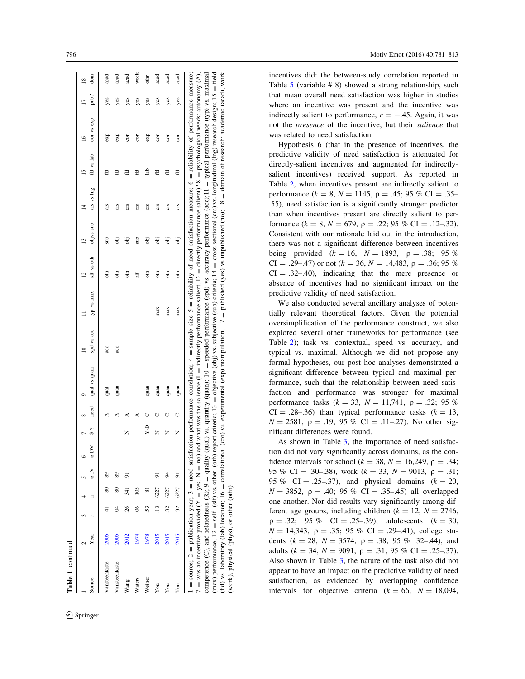| ř |  |
|---|--|
| ⋍ |  |
|   |  |
|   |  |

ਦ੍ਰ

|                                                                                                                                                                                            | Year |                |      | $\frac{N}{\alpha}$  | $\frac{8}{8}$ |     | need | qual vs quan                                                                                                                                                                                                                                                                                                      | spd vs acc | typ vs max | slf vs oth<br>$\overline{C}$ | objys sub | crs vs Ing | fid vs lab | COT VS EXP<br>٥ | pub? | dom<br>∞ |
|--------------------------------------------------------------------------------------------------------------------------------------------------------------------------------------------|------|----------------|------|---------------------|---------------|-----|------|-------------------------------------------------------------------------------------------------------------------------------------------------------------------------------------------------------------------------------------------------------------------------------------------------------------------|------------|------------|------------------------------|-----------|------------|------------|-----------------|------|----------|
| Vansteenkiste                                                                                                                                                                              | 2005 |                | ᆓ    | 89                  |               |     |      | $\overline{a}$                                                                                                                                                                                                                                                                                                    | acc        |            | $\frac{1}{2}$                | sub       | CIS        |            | exp             | yes  | acad     |
| Vansteenkiste                                                                                                                                                                              | 2005 | ₹              | 80   | 89                  |               |     |      | quan                                                                                                                                                                                                                                                                                                              | acc        |            | 등                            |           | CIS        |            | exp             | yes  | acad     |
| Wang                                                                                                                                                                                       | 2012 | $\frac{26}{5}$ | 341  | 5,                  |               | z   |      |                                                                                                                                                                                                                                                                                                                   |            |            | 뮹                            |           | G          |            | <b>COL</b>      | yes  | acad     |
| Waters                                                                                                                                                                                     | 1974 | S.             | త    |                     |               |     |      |                                                                                                                                                                                                                                                                                                                   |            |            | ΕŚ                           | aus       | G          |            | cor             | yes  | work     |
| Weiner                                                                                                                                                                                     | 1978 | $\ddot{c}$     | ∞    |                     |               | Δ-Z |      | quan                                                                                                                                                                                                                                                                                                              |            |            | $\frac{1}{2}$                | 공         | G          | ಕ್ತಿ       | exp             | yes  | dhr      |
| You                                                                                                                                                                                        | 2015 | $\frac{13}{2}$ | 6227 | 5,                  |               |     |      | quan                                                                                                                                                                                                                                                                                                              |            | max        | $\frac{1}{2}$                |           | G          |            | č               | yes  | acad     |
| Υou                                                                                                                                                                                        | 2015 | $\ddot{3}$     | 6227 | $\ddot{\mathrm{S}}$ |               |     |      | quan                                                                                                                                                                                                                                                                                                              |            | max        | $\frac{1}{6}$                | ōÄ        | G          |            | cor             | yes  | acad     |
| You                                                                                                                                                                                        | 2015 | 32             | 6227 | ā                   |               |     | ں    | quan                                                                                                                                                                                                                                                                                                              |            | max        | $\frac{1}{2}$                | ð         | CIS        | a₫         | COL             | yes  | acad     |
| = was an incentive provided $(Y = yes, N = no)$ and<br>= source; $2$ = publication year; $3$ = need satisface                                                                              |      |                |      |                     |               |     |      | tion-performance correlation; $4 =$ sample size $5 =$ reliability of need satisfaction measure; $6 =$ reliability of performance measure;<br>what was the salience $(1 = \text{indirectity performance}$ salient, $D = \text{directly performance}$ salient) $\theta = \text{nsychological needs}$ ; autonomy (A) |            |            |                              |           |            |            |                 |      |          |
| competence $(C)$ , and relatedness (R); $Q =$ quality (qual) vs. quantity (quan); 10 = speeded performance (spd) vs. accuracy performance (acc); 11 = typical performance (typ) vs. maxima |      |                |      |                     |               |     |      |                                                                                                                                                                                                                                                                                                                   |            |            |                              |           |            |            |                 |      |          |

competence  $(C)$ , and relatedness  $(R)$ ; 9 = quality (qual) vs. quantity (quan);  $Q =$  speeded performance (spd) vs. accuracy performance (acc);11 = typical performance (typ) vs. maximal (max) performance; 12 = self- (slf) vs. other- (oth) report criteria; 13 = objective (obj) vs. subjective (sub) criteria; 14 = cross-sectional (crs) vs. longitudinal (lng) research design; 15 = field (fld) vs. laboratory (lab) location; 16 = correlational (cor) vs. experimental (exp) manipulation; 17 = published (yes) vs unpublished (no); 18 = domain of research: academic (acad), work

 $\text{max}$  performance, 12 = self- (slf) vs. other- (oth) report criteria; 13 = objective (obj) vs. subjective (sub) criteria; 14 = cross-sectional (crs) vs. longitudinal (lng) research design; 15 = field (fld) vs. laboratory (lab) location; 16 = correlational (cor) vs. experimental (exp) manipulation; 17 = published (yes) vs unpublished (no); 18 = domain of research: academic (acad), work

(work), physical (phys), or other (othr)

(work), physical (phys),

or other (othr)

incentives did: the between-study correlation reported in Table 5 (variable # 8) showed a strong relationship, such that mean overall need satisfaction was higher in studies where an incentive was present and the incentive was indirectly salient to performance,  $r = -.45$ . Again, it was not the presence of the incentive, but their salience that was related to need satisfaction.

Hypothesis 6 (that in the presence of incentives, the predictive validity of need satisfaction is attenuated for directly-salient incentives and augmented for indirectlysalient incentives) received support. As reported in Table 2, when incentives present are indirectly salient to performance ( $k = 8$ ,  $N = 1145$ ,  $\rho = .45$ ; 95 % CI = .35-.55), need satisfaction is a significantly stronger predictor than when incentives present are directly salient to performance ( $k = 8$ ,  $N = 679$ ,  $\rho = .22$ ; 95 % CI = .12-.32). Consistent with our rationale laid out in the introduction, there was not a significant difference between incentives being provided  $(k = 16, N = 1893, \rho = .38; 95\%$ CI = .29–.47) or not ( $k = 36$ ,  $N = 14,483$ ,  $\rho = .36$ ; 95 %  $CI = .32-.40$ , indicating that the mere presence or absence of incentives had no significant impact on the predictive validity of need satisfaction.

We also conducted several ancillary analyses of potentially relevant theoretical factors. Given the potential oversimplification of the performance construct, we also explored several other frameworks for performance (see Table 2); task vs. contextual, speed vs. accuracy, and typical vs. maximal. Although we did not propose any formal hypotheses, our post hoc analyses demonstrated a significant difference between typical and maximal performance, such that the relationship between need satisfaction and performance was stronger for maximal performance tasks  $(k = 33, N = 11,741, \rho = .32; 95\%$  $CI = .28-.36$ ) than typical performance tasks ( $k = 13$ ,  $N = 2581$ ,  $\rho = .19$ ; 95 % CI = .11-.27). No other significant differences were found.

As shown in Table 3, the importance of need satisfaction did not vary significantly across domains, as the confidence intervals for school ( $k = 38$ ,  $N = 16,249$ ,  $\rho = .34$ ; 95 % CI = .30-.38), work  $(k = 33, N = 9013, p = .31;$ 95 % CI = .25–.37), and physical domains  $(k = 20,$  $N = 3852$ ,  $\rho = .40$ ; 95 % CI = .35-.45) all overlapped one another. Nor did results vary significantly among different age groups, including children ( $k = 12$ ,  $N = 2746$ ,  $p = .32; 95\% \text{ CI} = .25-.39), \text{ adolescents} (k = 30,$  $N = 14,343, \rho = .35; 95\% \text{ CI} = .29-.41, \text{ college stu-}$ dents  $(k = 28, N = 3574, p = .38; 95\% .32-.44)$ , and adults ( $k = 34$ ,  $N = 9091$ ,  $\rho = .31$ ; 95 % CI = .25-.37). Also shown in Table 3, the nature of the task also did not appear to have an impact on the predictive validity of need satisfaction, as evidenced by overlapping confidence intervals for objective criteria ( $k = 66$ ,  $N = 18,094$ ,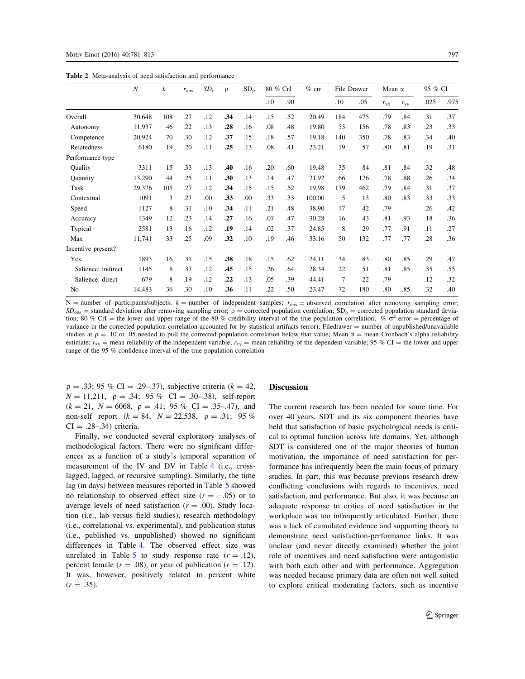|                    | $\boldsymbol{N}$ | $\boldsymbol{k}$ | $r_{\rm obs}$ | $SD_r$ | $\rho$ | SD <sub>o</sub> | 80 % CrI |     | $%$ err |     | File Drawer | Mean $\alpha$ |          | 95 % CI |      |
|--------------------|------------------|------------------|---------------|--------|--------|-----------------|----------|-----|---------|-----|-------------|---------------|----------|---------|------|
|                    |                  |                  |               |        |        |                 | .10      | .90 |         | .10 | .05         | $r_{xx}$      | $r_{yy}$ | .025    | .975 |
| Overall            | 30.648           | 108              | .27           | .12    | .34    | .14             | .15      | .52 | 20.49   | 184 | 475         | .79           | .84      | .31     | .37  |
| Autonomy           | 11,937           | 46               | .22           | .13    | .28    | .16             | .08      | .48 | 19.80   | 55  | 156         | .78           | .83      | .23     | .33  |
| Competence         | 20,924           | 70               | .30           | .12    | .37    | .15             | .18      | .57 | 19.18   | 140 | 350         | .78           | .83      | .34     | .40  |
| Relatedness        | 6180             | 19               | .20           | .11    | .25    | .13             | .08      | .41 | 23.21   | 19  | 57          | .80           | .81      | .19     | .31  |
| Performance type   |                  |                  |               |        |        |                 |          |     |         |     |             |               |          |         |      |
| Quality            | 3311             | 15               | .33           | .13    | .40    | .16             | .20      | .60 | 19.48   | 35  | 84          | .81           | .84      | .32     | .48  |
| Quantity           | 13,290           | 44               | .25           | .11    | .30    | .13             | .14      | .47 | 21.92   | 66  | 176         | .78           | .88      | .26     | .34  |
| Task               | 29,376           | 105              | .27           | .12    | .34    | .15             | .15      | .52 | 19.98   | 179 | 462         | .79           | .84      | .31     | .37  |
| Contextual         | 1091             | 3                | .27           | .00    | .33    | .00             | .33      | .33 | 100.00  | 5   | 13          | .80           | .83      | .33     | .33  |
| Speed              | 1127             | 8                | .31           | .10    | .34    | .11             | .21      | .48 | 38.90   | 17  | 42          | .79           |          | .26     | .42  |
| Accuracy           | 1349             | 12               | .23           | .14    | .27    | .16             | .07      | .47 | 30.28   | 16  | 43          | .81           | .93      | .18     | .36  |
| Typical            | 2581             | 13               | .16           | .12    | .19    | .14             | .02      | .37 | 24.85   | 8   | 29          | .77           | .91      | .11     | .27  |
| Max                | 11,741           | 33               | .25           | .09    | .32    | .10             | .19      | .46 | 33.16   | 50  | 132         | .77           | .77      | .28     | .36  |
| Incentive present? |                  |                  |               |        |        |                 |          |     |         |     |             |               |          |         |      |
| Yes                | 1893             | 16               | .31           | .15    | .38    | .18             | .15      | .62 | 24.11   | 34  | 83          | .80           | .85      | .29     | .47  |
| Salience: indirect | 1145             | 8                | .37           | .12    | .45    | .15             | .26      | .64 | 28.34   | 22  | 51          | .81           | .85      | .35     | .55  |
| Salience: direct   | 679              | 8                | .19           | .12    | .22    | .13             | .05      | .39 | 44.41   | 7   | 22          | .79           |          | .12     | .32  |
| N <sub>0</sub>     | 14,483           | 36               | .30           | .10    | .36    | .11             | .22      | .50 | 23.47   | 72  | 180         | .80           | .85      | .32     | .40  |

Table 2 Meta-analysis of need satisfaction and performance

 $N =$  number of participants/subjects;  $k =$  number of independent samples;  $r_{obs} =$  observed correlation after removing sampling error;  $SD<sub>obs</sub>$  = standard deviation after removing sampling error;  $\rho$  = corrected population correlation; SD<sub> $\rho$ </sub> = corrected population standard deviation; 80 % CrI = the lower and upper range of the 80 % credibility interval of the true population correlation; %  $\sigma^2$  error = percentage of variance in the corrected population correlation accounted for by statistical artifacts (error); Filedrawer = number of unpublished/unavailable studies at  $p = .10$  or .05 needed to pull the corrected population correlation below that value; Mean  $\alpha$  = mean Cronbach's alpha reliability estimate;  $r_{xx}$  = mean reliability of the independent variable;  $r_{yy}$  = mean reliability of the dependent variable; 95 % CI = the lower and upper range of the 95 % confidence interval of the true population correlation

 $p = .33$ ; 95 % CI = .29–.37), subjective criteria ( $k = 42$ ,  $N = 11,211$ ,  $\rho = .34$ ; 95 % CI = .30-.38), self-report  $(k = 21, N = 6068, p = .41; 95\% \text{ CI} = .35-.47),$  and non-self report  $(k = 84, N = 22,538, \rho = .31; 95\%$  $CI = .28 - .34$ ) criteria.

Finally, we conducted several exploratory analyses of methodological factors. There were no significant differences as a function of a study's temporal separation of measurement of the IV and DV in Table 4 (i.e., crosslagged, lagged, or recursive sampling). Similarly, the time lag (in days) between measures reported in Table 5 showed no relationship to observed effect size  $(r = -.05)$  or to average levels of need satisfaction  $(r = .00)$ . Study location (i.e., lab versus field studies), research methodology (i.e., correlational vs. experimental), and publication status (i.e., published vs. unpublished) showed no significant differences in Table 4. The observed effect size was unrelated in Table 5 to study response rate  $(r = .12)$ , percent female ( $r = .08$ ), or year of publication ( $r = .12$ ). It was, however, positively related to percent white  $(r = .35).$ 

#### **Discussion**

The current research has been needed for some time. For over 40 years, SDT and its six component theories have held that satisfaction of basic psychological needs is critical to optimal function across life domains. Yet, although SDT is considered one of the major theories of human motivation, the importance of need satisfaction for performance has infrequently been the main focus of primary studies. In part, this was because previous research drew conflicting conclusions with regards to incentives, need satisfaction, and performance. But also, it was because an adequate response to critics of need satisfaction in the workplace was too infrequently articulated. Further, there was a lack of cumulated evidence and supporting theory to demonstrate need satisfaction-performance links. It was unclear (and never directly examined) whether the joint role of incentives and need satisfaction were antagonistic with both each other and with performance. Aggregation was needed because primary data are often not well suited to explore critical moderating factors, such as incentive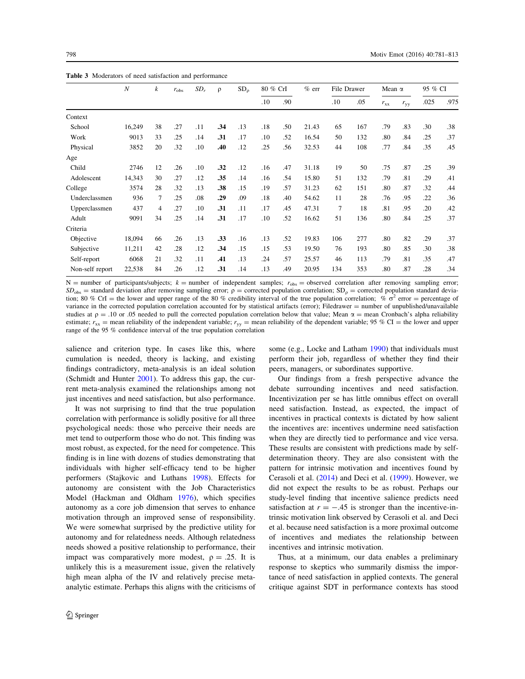|                 | $\boldsymbol{N}$ | $\boldsymbol{k}$ | $r_{\rm obs}$ | $SD_r$ | $\rho$ | SD <sub>o</sub> | 80 % CrI |     | $%$ err | File Drawer |     | Mean $\alpha$ |          | 95 % CI |      |
|-----------------|------------------|------------------|---------------|--------|--------|-----------------|----------|-----|---------|-------------|-----|---------------|----------|---------|------|
|                 |                  |                  |               |        |        |                 | .10      | .90 |         | .10         | .05 | $r_{xx}$      | $r_{yy}$ | .025    | .975 |
| Context         |                  |                  |               |        |        |                 |          |     |         |             |     |               |          |         |      |
| School          | 16,249           | 38               | .27           | .11    | .34    | .13             | .18      | .50 | 21.43   | 65          | 167 | .79           | .83      | .30     | .38  |
| Work            | 9013             | 33               | .25           | .14    | .31    | .17             | .10      | .52 | 16.54   | 50          | 132 | .80           | .84      | .25     | .37  |
| Physical        | 3852             | 20               | .32           | .10    | .40    | .12             | .25      | .56 | 32.53   | 44          | 108 | .77           | .84      | .35     | .45  |
| Age             |                  |                  |               |        |        |                 |          |     |         |             |     |               |          |         |      |
| Child           | 2746             | 12               | .26           | .10    | .32    | .12             | .16      | .47 | 31.18   | 19          | 50  | .75           | .87      | .25     | .39  |
| Adolescent      | 14,343           | 30               | .27           | .12    | .35    | .14             | .16      | .54 | 15.80   | 51          | 132 | .79           | .81      | .29     | .41  |
| College         | 3574             | 28               | .32           | .13    | .38    | .15             | .19      | .57 | 31.23   | 62          | 151 | .80           | .87      | .32     | .44  |
| Underclassmen   | 936              | $\tau$           | .25           | .08    | .29    | .09             | .18      | .40 | 54.62   | 11          | 28  | .76           | .95      | .22     | .36  |
| Upperclassmen   | 437              | 4                | .27           | .10    | .31    | .11             | .17      | .45 | 47.31   | 7           | 18  | .81           | .95      | .20     | .42  |
| Adult           | 9091             | 34               | .25           | .14    | .31    | .17             | .10      | .52 | 16.62   | 51          | 136 | .80           | .84      | .25     | .37  |
| Criteria        |                  |                  |               |        |        |                 |          |     |         |             |     |               |          |         |      |
| Objective       | 18,094           | 66               | .26           | .13    | .33    | .16             | .13      | .52 | 19.83   | 106         | 277 | .80           | .82      | .29     | .37  |
| Subjective      | 11,211           | 42               | .28           | .12    | .34    | .15             | .15      | .53 | 19.50   | 76          | 193 | .80           | .85      | .30     | .38  |
| Self-report     | 6068             | 21               | .32           | .11    | .41    | .13             | .24      | .57 | 25.57   | 46          | 113 | .79           | .81      | .35     | .47  |
| Non-self report | 22,538           | 84               | .26           | .12    | .31    | .14             | .13      | .49 | 20.95   | 134         | 353 | .80           | .87      | .28     | .34  |

Table 3 Moderators of need satisfaction and performance

 $N =$  number of participants/subjects;  $k =$  number of independent samples;  $r_{obs} =$  observed correlation after removing sampling error;  $SD_{obs}$  = standard deviation after removing sampling error;  $\rho$  = corrected population correlation; SD<sub>p</sub> = corrected population standard deviation; 80 % CrI = the lower and upper range of the 80 % credibility interval of the true population correlation; %  $\sigma^2$  error = percentage of variance in the corrected population correlation accounted for by statistical artifacts (error); Filedrawer = number of unpublished/unavailable studies at  $\rho = .10$  or .05 needed to pull the corrected population correlation below that value; Mean  $\alpha$  = mean Cronbach's alpha reliability estimate;  $r_{xx}$  = mean reliability of the independent variable;  $r_{yy}$  = mean reliability of the dependent variable; 95 % CI = the lower and upper range of the 95 % confidence interval of the true population correlation

salience and criterion type. In cases like this, where cumulation is needed, theory is lacking, and existing findings contradictory, meta-analysis is an ideal solution (Schmidt and Hunter 2001). To address this gap, the current meta-analysis examined the relationships among not just incentives and need satisfaction, but also performance.

It was not surprising to find that the true population correlation with performance is solidly positive for all three psychological needs: those who perceive their needs are met tend to outperform those who do not. This finding was most robust, as expected, for the need for competence. This finding is in line with dozens of studies demonstrating that individuals with higher self-efficacy tend to be higher performers (Stajkovic and Luthans 1998). Effects for autonomy are consistent with the Job Characteristics Model (Hackman and Oldham 1976), which specifies autonomy as a core job dimension that serves to enhance motivation through an improved sense of responsibility. We were somewhat surprised by the predictive utility for autonomy and for relatedness needs. Although relatedness needs showed a positive relationship to performance, their impact was comparatively more modest,  $\rho = .25$ . It is unlikely this is a measurement issue, given the relatively high mean alpha of the IV and relatively precise metaanalytic estimate. Perhaps this aligns with the criticisms of

some (e.g., Locke and Latham 1990) that individuals must perform their job, regardless of whether they find their peers, managers, or subordinates supportive.

Our findings from a fresh perspective advance the debate surrounding incentives and need satisfaction. Incentivization per se has little omnibus effect on overall need satisfaction. Instead, as expected, the impact of incentives in practical contexts is dictated by how salient the incentives are: incentives undermine need satisfaction when they are directly tied to performance and vice versa. These results are consistent with predictions made by selfdetermination theory. They are also consistent with the pattern for intrinsic motivation and incentives found by Cerasoli et al. (2014) and Deci et al. (1999). However, we did not expect the results to be as robust. Perhaps our study-level finding that incentive salience predicts need satisfaction at  $r = -.45$  is stronger than the incentive-intrinsic motivation link observed by Cerasoli et al. and Deci et al. because need satisfaction is a more proximal outcome of incentives and mediates the relationship between incentives and intrinsic motivation.

Thus, at a minimum, our data enables a preliminary response to skeptics who summarily dismiss the importance of need satisfaction in applied contexts. The general critique against SDT in performance contexts has stood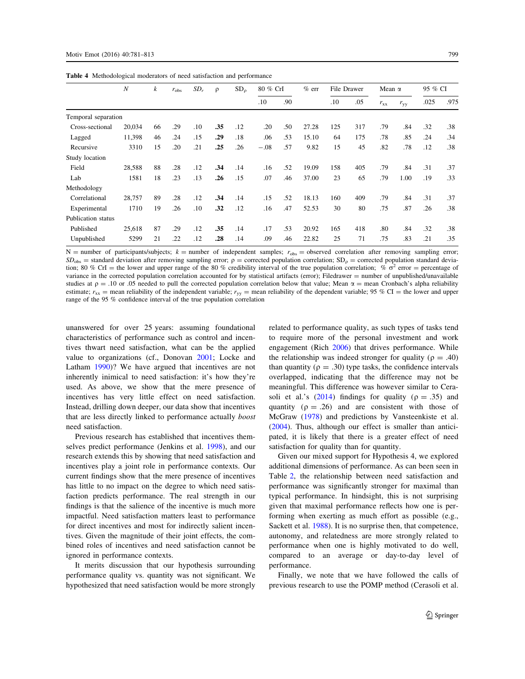Table 4 Methodological moderators of need satisfaction and performance

|                     | $\overline{N}$ | k  | $r_{\rm obs}$ | $SD_r$ | $\rho$ | SD <sub>o</sub> | 80 % CrI |     | $%$ err |     | File Drawer | Mean $\alpha$ |          | 95 % CI |      |
|---------------------|----------------|----|---------------|--------|--------|-----------------|----------|-----|---------|-----|-------------|---------------|----------|---------|------|
|                     |                |    |               |        |        |                 | .10      | .90 |         | .10 | .05         | $r_{xx}$      | $r_{yy}$ | .025    | .975 |
| Temporal separation |                |    |               |        |        |                 |          |     |         |     |             |               |          |         |      |
| Cross-sectional     | 20,034         | 66 | .29           | .10    | .35    | .12             | .20      | .50 | 27.28   | 125 | 317         | .79           | .84      | .32     | .38  |
| Lagged              | 11,398         | 46 | .24           | .15    | .29    | .18             | .06      | .53 | 15.10   | 64  | 175         | .78           | .85      | .24     | .34  |
| Recursive           | 3310           | 15 | .20           | .21    | .25    | .26             | $-.08$   | .57 | 9.82    | 15  | 45          | .82           | .78      | .12     | .38  |
| Study location      |                |    |               |        |        |                 |          |     |         |     |             |               |          |         |      |
| Field               | 28,588         | 88 | .28           | .12    | .34    | .14             | .16      | .52 | 19.09   | 158 | 405         | .79           | .84      | .31     | .37  |
| Lab                 | 1581           | 18 | .23           | .13    | .26    | .15             | .07      | .46 | 37.00   | 23  | 65          | .79           | 1.00     | .19     | .33  |
| Methodology         |                |    |               |        |        |                 |          |     |         |     |             |               |          |         |      |
| Correlational       | 28,757         | 89 | .28           | .12    | .34    | .14             | .15      | .52 | 18.13   | 160 | 409         | .79           | .84      | .31     | .37  |
| Experimental        | 1710           | 19 | .26           | .10    | .32    | .12             | .16      | .47 | 52.53   | 30  | 80          | .75           | .87      | .26     | .38  |
| Publication status  |                |    |               |        |        |                 |          |     |         |     |             |               |          |         |      |
| Published           | 25,618         | 87 | .29           | .12    | .35    | .14             | .17      | .53 | 20.92   | 165 | 418         | .80           | .84      | .32     | .38  |
| Unpublished         | 5299           | 21 | .22           | .12    | .28    | .14             | .09      | .46 | 22.82   | 25  | 71          | .75           | .83      | .21     | .35  |

 $N =$  number of participants/subjects;  $k =$  number of independent samples;  $r_{obs} =$  observed correlation after removing sampling error;  $SD_{obs}$  = standard deviation after removing sampling error;  $\rho$  = corrected population correlation;  $SD_{\rho}$  = corrected population standard deviation; 80 % CrI = the lower and upper range of the 80 % credibility interval of the true population correlation; %  $\sigma^2$  error = percentage of variance in the corrected population correlation accounted for by statistical artifacts (error); Filedrawer = number of unpublished/unavailable studies at  $\rho = .10$  or .05 needed to pull the corrected population correlation below that value; Mean  $\alpha$  = mean Cronbach's alpha reliability estimate;  $r_{xx}$  = mean reliability of the independent variable;  $r_{yy}$  = mean reliability of the dependent variable; 95 % CI = the lower and upper range of the 95 % confidence interval of the true population correlation

unanswered for over 25 years: assuming foundational characteristics of performance such as control and incentives thwart need satisfaction, what can be the applied value to organizations (cf., Donovan 2001; Locke and Latham 1990)? We have argued that incentives are not inherently inimical to need satisfaction: it's how they're used. As above, we show that the mere presence of incentives has very little effect on need satisfaction. Instead, drilling down deeper, our data show that incentives that are less directly linked to performance actually boost need satisfaction.

Previous research has established that incentives themselves predict performance (Jenkins et al. 1998), and our research extends this by showing that need satisfaction and incentives play a joint role in performance contexts. Our current findings show that the mere presence of incentives has little to no impact on the degree to which need satisfaction predicts performance. The real strength in our findings is that the salience of the incentive is much more impactful. Need satisfaction matters least to performance for direct incentives and most for indirectly salient incentives. Given the magnitude of their joint effects, the combined roles of incentives and need satisfaction cannot be ignored in performance contexts.

It merits discussion that our hypothesis surrounding performance quality vs. quantity was not significant. We hypothesized that need satisfaction would be more strongly

related to performance quality, as such types of tasks tend to require more of the personal investment and work engagement (Rich 2006) that drives performance. While the relationship was indeed stronger for quality ( $\rho = .40$ ) than quantity ( $\rho = .30$ ) type tasks, the confidence intervals overlapped, indicating that the difference may not be meaningful. This difference was however similar to Cerasoli et al.'s  $(2014)$  findings for quality ( $\rho = .35$ ) and quantity ( $\rho = .26$ ) and are consistent with those of McGraw (1978) and predictions by Vansteenkiste et al. (2004). Thus, although our effect is smaller than anticipated, it is likely that there is a greater effect of need satisfaction for quality than for quantity.

Given our mixed support for Hypothesis 4, we explored additional dimensions of performance. As can been seen in Table 2, the relationship between need satisfaction and performance was significantly stronger for maximal than typical performance. In hindsight, this is not surprising given that maximal performance reflects how one is performing when exerting as much effort as possible (e.g., Sackett et al. 1988). It is no surprise then, that competence, autonomy, and relatedness are more strongly related to performance when one is highly motivated to do well, compared to an average or day-to-day level of performance.

Finally, we note that we have followed the calls of previous research to use the POMP method (Cerasoli et al.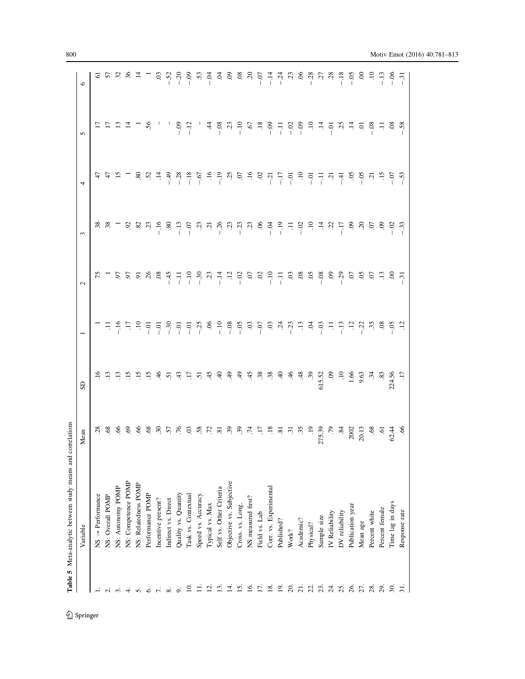| Table 5                  | Meta-analytic between study means and correlations<br>Variable | Mean                      | S                                                                                             |                             | $\mathbf{c}$                                                                                                                                                                                                                                                                                                          | 3                                                                                                                             | 4                                                                                                                                                                                                                                                                                                                                                                                                                                   | 5                                                                             | $\circ$               |
|--------------------------|----------------------------------------------------------------|---------------------------|-----------------------------------------------------------------------------------------------|-----------------------------|-----------------------------------------------------------------------------------------------------------------------------------------------------------------------------------------------------------------------------------------------------------------------------------------------------------------------|-------------------------------------------------------------------------------------------------------------------------------|-------------------------------------------------------------------------------------------------------------------------------------------------------------------------------------------------------------------------------------------------------------------------------------------------------------------------------------------------------------------------------------------------------------------------------------|-------------------------------------------------------------------------------|-----------------------|
|                          | $NS \rightarrow$ Performance                                   | 28                        |                                                                                               |                             |                                                                                                                                                                                                                                                                                                                       | 38                                                                                                                            |                                                                                                                                                                                                                                                                                                                                                                                                                                     |                                                                               |                       |
| $\overline{\mathcal{L}}$ | NS: Overall POMP                                               | 68                        |                                                                                               |                             |                                                                                                                                                                                                                                                                                                                       |                                                                                                                               |                                                                                                                                                                                                                                                                                                                                                                                                                                     |                                                                               | 5 P 3                 |
| $\dot{\phantom{1}}$      | NS: Autonomy POMP                                              | $\mathcal{S}$             |                                                                                               |                             | 57                                                                                                                                                                                                                                                                                                                    |                                                                                                                               |                                                                                                                                                                                                                                                                                                                                                                                                                                     |                                                                               |                       |
| 4.                       | NS: Competence POMP                                            | $\mathcal{S}$             |                                                                                               |                             | S.                                                                                                                                                                                                                                                                                                                    | 92                                                                                                                            |                                                                                                                                                                                                                                                                                                                                                                                                                                     |                                                                               |                       |
| 'n                       | NS: Relatedness POMP                                           | 66                        | $\ddot{15}$                                                                                   |                             |                                                                                                                                                                                                                                                                                                                       | $\widetilde{\mathcal{S}}$                                                                                                     |                                                                                                                                                                                                                                                                                                                                                                                                                                     |                                                                               |                       |
| 6r                       | Performance POMP                                               | $\frac{68}{5}$            | $\ddot{15}$                                                                                   | ຣຸ                          | 5, 8, 8,                                                                                                                                                                                                                                                                                                              | $\ddot{c}$                                                                                                                    |                                                                                                                                                                                                                                                                                                                                                                                                                                     | 56                                                                            |                       |
|                          | Incentive present?                                             | $\tilde{\mathcal{E}}$     | 46                                                                                            | Ξ.                          |                                                                                                                                                                                                                                                                                                                       |                                                                                                                               |                                                                                                                                                                                                                                                                                                                                                                                                                                     |                                                                               |                       |
| $\infty$                 | Indirect vs. Direct                                            | 57                        | 51                                                                                            | ઼ઁ                          | $-45$                                                                                                                                                                                                                                                                                                                 | $-16$                                                                                                                         |                                                                                                                                                                                                                                                                                                                                                                                                                                     |                                                                               | $3\frac{3}{2}$        |
| $\circ$                  | Quality vs. Quantity                                           | $\overline{76}$           | 43                                                                                            | ៊ុ                          | 류                                                                                                                                                                                                                                                                                                                     | $-13$                                                                                                                         |                                                                                                                                                                                                                                                                                                                                                                                                                                     |                                                                               | $-20$                 |
| $\overline{c}$           | Task vs. Contextual                                            | $\ddot{\mathrm{c}}$       | H                                                                                             | ៑<br>⊂                      | $-19.87 +$                                                                                                                                                                                                                                                                                                            |                                                                                                                               |                                                                                                                                                                                                                                                                                                                                                                                                                                     | $-0.9$                                                                        |                       |
| $\equiv$                 | Speed vs. Accuracy                                             | 58.72                     | 51                                                                                            |                             |                                                                                                                                                                                                                                                                                                                       |                                                                                                                               |                                                                                                                                                                                                                                                                                                                                                                                                                                     |                                                                               | $-0.9$                |
| $\overline{5}$           | Typical vs. Max                                                |                           | 45                                                                                            |                             |                                                                                                                                                                                                                                                                                                                       | $-53.79$<br>$-3.59$                                                                                                           |                                                                                                                                                                                                                                                                                                                                                                                                                                     | $\dot{a}$                                                                     | $rac{1}{2}$           |
| $\Xi$                    | Self vs. Other Criteria                                        | $\overline{\infty}$       | र्न                                                                                           |                             |                                                                                                                                                                                                                                                                                                                       |                                                                                                                               |                                                                                                                                                                                                                                                                                                                                                                                                                                     | $-0.8$                                                                        | ġ                     |
| $\overline{14}$          | Objective vs. Subjective                                       | $\ddot{3}$                | 49                                                                                            |                             |                                                                                                                                                                                                                                                                                                                       |                                                                                                                               | $\begin{array}{l} \mathfrak{B} \ \mathfrak{G} \ \mathfrak{G} \ \mathfrak{G} \ \mathfrak{G} \ \mathfrak{G} \ \mathfrak{G} \ \mathfrak{G} \ \mathfrak{G} \ \mathfrak{G} \ \mathfrak{G} \ \mathfrak{G} \ \mathfrak{G} \ \mathfrak{G} \ \mathfrak{G} \ \mathfrak{G} \ \mathfrak{G} \ \mathfrak{G} \ \mathfrak{G} \ \mathfrak{G} \ \mathfrak{G} \ \mathfrak{G} \ \mathfrak{G} \ \mathfrak{G} \ \mathfrak{G} \ \mathfrak{G} \ \mathfrak{$ | $\ddot{c}$                                                                    | $\ddot{\mathrm{e}}$   |
| $\overline{15}$          | Cross. vs. Long.                                               | 65                        |                                                                                               |                             |                                                                                                                                                                                                                                                                                                                       |                                                                                                                               |                                                                                                                                                                                                                                                                                                                                                                                                                                     |                                                                               |                       |
| 16                       | NS measured first?                                             | $\ddot{5}$                | 9, 4, 8                                                                                       |                             | $\begin{array}{c} 22 & 25 & 25 & 25 \\ -1 & 25 & 25 & -1 \\ -1 & 25 & 25 & -1 \\ 25 & 25 & 25 & -1 \\ 25 & 25 & 25 & -1 \\ 25 & 25 & 25 & -1 \\ 25 & 25 & 25 & -1 \\ 25 & 25 & 25 & -1 \\ 25 & 25 & 25 & -1 \\ 25 & 25 & 25 & 25 \\ 25 & 25 & 25 & 25 \\ 25 & 25 & 25 & 25 \\ 25 & 25 & 25 & 25 \\ 25 & 25 & 25 & 25$ |                                                                                                                               |                                                                                                                                                                                                                                                                                                                                                                                                                                     |                                                                               |                       |
| 17.                      | Field vs. Lab                                                  | Ġ.                        |                                                                                               |                             |                                                                                                                                                                                                                                                                                                                       |                                                                                                                               |                                                                                                                                                                                                                                                                                                                                                                                                                                     |                                                                               |                       |
| $\overline{18}$          | Corr. vs. Experimental                                         | $\ddot{18}$               | 38                                                                                            | $\ddot{\mathrm{c}}$         |                                                                                                                                                                                                                                                                                                                       |                                                                                                                               |                                                                                                                                                                                                                                                                                                                                                                                                                                     |                                                                               |                       |
| $\overline{19}$ .        | Published?                                                     | $\infty$                  |                                                                                               |                             |                                                                                                                                                                                                                                                                                                                       |                                                                                                                               |                                                                                                                                                                                                                                                                                                                                                                                                                                     |                                                                               |                       |
| $\overline{c}$           | Work?                                                          | $\omega$                  | $4$ $4$ $4$ $3$ $3$ $5$ $5$ $1$ $8$ $3$ $3$<br>$4$ $3$ $5$ $5$ $1$ $1$ $8$ $3$<br>$1$ $3$ $3$ | $\frac{5}{1}$ $\frac{2}{1}$ |                                                                                                                                                                                                                                                                                                                       | $\begin{array}{cccc}\n73 & 73 & 8 & 5 & 7 & 7 & 8 \\ 73 & 73 & 6 & 7 & 7 & 7 & 8 \\  & & 73 & 7 & 7 & 8 & 7 & 7\n\end{array}$ |                                                                                                                                                                                                                                                                                                                                                                                                                                     | $-10$<br>$-10$<br>$-10$<br>$-10$<br>$-10$<br>$-10$<br>$-10$<br>$-10$<br>$-10$ |                       |
| 21.                      | Academic?                                                      | $\ddot{35}$               |                                                                                               | $\ddot{1}$                  | $\ddot{\circ}$ $\ddot{\circ}$                                                                                                                                                                                                                                                                                         |                                                                                                                               |                                                                                                                                                                                                                                                                                                                                                                                                                                     |                                                                               |                       |
| 22.                      | Physical?                                                      |                           |                                                                                               | ਤ੍                          |                                                                                                                                                                                                                                                                                                                       |                                                                                                                               |                                                                                                                                                                                                                                                                                                                                                                                                                                     |                                                                               | $-28$                 |
| 23.                      | Sample size                                                    | 19<br>275.39              |                                                                                               | $-03$                       | $80 - 30$                                                                                                                                                                                                                                                                                                             |                                                                                                                               |                                                                                                                                                                                                                                                                                                                                                                                                                                     | $\vec{=}$                                                                     | ĽČ.                   |
| $\overline{c}$           | IV Reliability                                                 | $\mathcal{E}$             |                                                                                               | 글                           | $\ddot{\mathrm{e}}$                                                                                                                                                                                                                                                                                                   | $\tilde{c}$                                                                                                                   |                                                                                                                                                                                                                                                                                                                                                                                                                                     |                                                                               | $\tilde{\mathcal{S}}$ |
| 25.<br>26.               | DV reliability                                                 | $\ddot{\mathrm{s}}$       |                                                                                               | $-13$                       | $-29$                                                                                                                                                                                                                                                                                                                 | $-17$                                                                                                                         |                                                                                                                                                                                                                                                                                                                                                                                                                                     | $-0.5$                                                                        | $-18$                 |
|                          | Publication year                                               | $2002$<br>$20.13$<br>$68$ |                                                                                               | $\ddot{=}$                  | S.                                                                                                                                                                                                                                                                                                                    | 60                                                                                                                            |                                                                                                                                                                                                                                                                                                                                                                                                                                     | $\ddot{=}$                                                                    | $-0.5$                |
| 27.                      | Mean age                                                       |                           |                                                                                               | $-22$                       | Š,                                                                                                                                                                                                                                                                                                                    | $\ddot{\varepsilon}$                                                                                                          |                                                                                                                                                                                                                                                                                                                                                                                                                                     | ą                                                                             | S.                    |
| 28.                      | Percent white                                                  |                           |                                                                                               | $\ddot{3}$                  | S                                                                                                                                                                                                                                                                                                                     |                                                                                                                               |                                                                                                                                                                                                                                                                                                                                                                                                                                     | $-0.08$                                                                       | $\ddot{=}$            |
| 29.                      | Percent female                                                 | Ģ                         |                                                                                               | $\ddot{\circ}$              | $\ddot{1}$                                                                                                                                                                                                                                                                                                            | $60 - 70$                                                                                                                     |                                                                                                                                                                                                                                                                                                                                                                                                                                     |                                                                               | $\frac{13}{2}$        |
| 50                       | Time lag in days                                               | 62.44                     | 224.56                                                                                        |                             | $\mathbf{S}$                                                                                                                                                                                                                                                                                                          | $-33$                                                                                                                         | $-0.5$<br>70.                                                                                                                                                                                                                                                                                                                                                                                                                       | $8^{\circ}$ .<br>$-38^{\circ}$                                                | $-0.6$                |
| $\overline{31}$ .        | Response rate                                                  | 66                        | $\ddot{1}$                                                                                    | $\ddot{5}$                  | $-3$                                                                                                                                                                                                                                                                                                                  |                                                                                                                               |                                                                                                                                                                                                                                                                                                                                                                                                                                     |                                                                               |                       |

 $\underline{\textcircled{\tiny 2}}$  Springer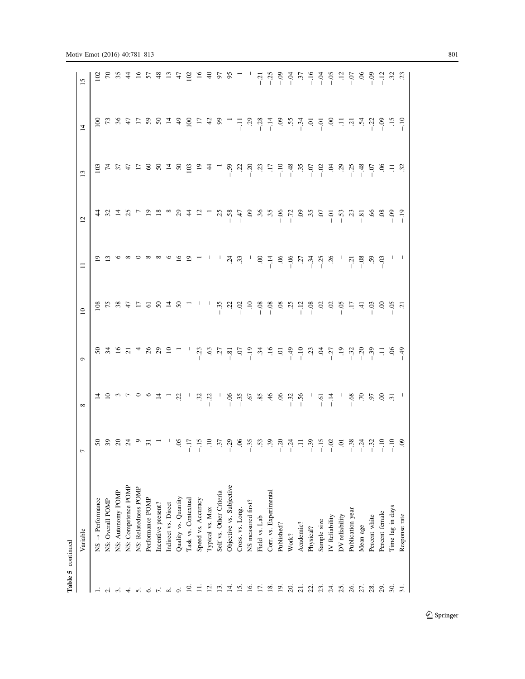| ι      |
|--------|
| ٩<br>- |

|                   | Variable                     |                                                                                                                                                                                                                                                                                                                                                                                                                                                                                           | ${}^{\circ}$                                                                                                                                                                                                                                                                                                                                                                                                                                | $\circ$                                                                                                                                                                                                                                                                                                                                                                                    | $\overline{10}$ | $\equiv$                                                                                                                                                                                                                                                                                                                                                                                                                         | 12                                        | 13                                                                                                                                                                                                  | $\overline{1}$                                                                                                                                                                                                                                                      | 15                                                                         |
|-------------------|------------------------------|-------------------------------------------------------------------------------------------------------------------------------------------------------------------------------------------------------------------------------------------------------------------------------------------------------------------------------------------------------------------------------------------------------------------------------------------------------------------------------------------|---------------------------------------------------------------------------------------------------------------------------------------------------------------------------------------------------------------------------------------------------------------------------------------------------------------------------------------------------------------------------------------------------------------------------------------------|--------------------------------------------------------------------------------------------------------------------------------------------------------------------------------------------------------------------------------------------------------------------------------------------------------------------------------------------------------------------------------------------|-----------------|----------------------------------------------------------------------------------------------------------------------------------------------------------------------------------------------------------------------------------------------------------------------------------------------------------------------------------------------------------------------------------------------------------------------------------|-------------------------------------------|-----------------------------------------------------------------------------------------------------------------------------------------------------------------------------------------------------|---------------------------------------------------------------------------------------------------------------------------------------------------------------------------------------------------------------------------------------------------------------------|----------------------------------------------------------------------------|
|                   | $NS \rightarrow$ Performance |                                                                                                                                                                                                                                                                                                                                                                                                                                                                                           |                                                                                                                                                                                                                                                                                                                                                                                                                                             |                                                                                                                                                                                                                                                                                                                                                                                            |                 |                                                                                                                                                                                                                                                                                                                                                                                                                                  |                                           |                                                                                                                                                                                                     |                                                                                                                                                                                                                                                                     |                                                                            |
|                   | NS: Overall POMP             |                                                                                                                                                                                                                                                                                                                                                                                                                                                                                           |                                                                                                                                                                                                                                                                                                                                                                                                                                             |                                                                                                                                                                                                                                                                                                                                                                                            |                 | ≌                                                                                                                                                                                                                                                                                                                                                                                                                                |                                           |                                                                                                                                                                                                     |                                                                                                                                                                                                                                                                     |                                                                            |
|                   | NS: Autonomy POMP            |                                                                                                                                                                                                                                                                                                                                                                                                                                                                                           |                                                                                                                                                                                                                                                                                                                                                                                                                                             |                                                                                                                                                                                                                                                                                                                                                                                            |                 |                                                                                                                                                                                                                                                                                                                                                                                                                                  |                                           |                                                                                                                                                                                                     |                                                                                                                                                                                                                                                                     |                                                                            |
|                   | NS: Competence POMP          | <b>ទ</b> ន ន <del>ង</del>                                                                                                                                                                                                                                                                                                                                                                                                                                                                 |                                                                                                                                                                                                                                                                                                                                                                                                                                             |                                                                                                                                                                                                                                                                                                                                                                                            |                 | $\infty$                                                                                                                                                                                                                                                                                                                                                                                                                         | $\frac{4}{3}$ $\frac{1}{4}$ $\frac{1}{8}$ |                                                                                                                                                                                                     |                                                                                                                                                                                                                                                                     |                                                                            |
|                   | NS: Relatedness POMP         |                                                                                                                                                                                                                                                                                                                                                                                                                                                                                           |                                                                                                                                                                                                                                                                                                                                                                                                                                             |                                                                                                                                                                                                                                                                                                                                                                                            |                 |                                                                                                                                                                                                                                                                                                                                                                                                                                  |                                           |                                                                                                                                                                                                     | $100$<br>$78$<br>$47$<br>$17$                                                                                                                                                                                                                                       | $\overline{5}$ $\overline{5}$ $\overline{8}$ $\overline{4}$ $\overline{5}$ |
|                   | Performance POMP             |                                                                                                                                                                                                                                                                                                                                                                                                                                                                                           |                                                                                                                                                                                                                                                                                                                                                                                                                                             |                                                                                                                                                                                                                                                                                                                                                                                            |                 | $\infty$                                                                                                                                                                                                                                                                                                                                                                                                                         |                                           |                                                                                                                                                                                                     |                                                                                                                                                                                                                                                                     | 57                                                                         |
|                   | Incentive present?           |                                                                                                                                                                                                                                                                                                                                                                                                                                                                                           | $\overline{4}$                                                                                                                                                                                                                                                                                                                                                                                                                              | 5 3 5 5 4 5 6 5 6 7                                                                                                                                                                                                                                                                                                                                                                        | $28787778778$   |                                                                                                                                                                                                                                                                                                                                                                                                                                  |                                           | $\frac{1}{2}$ $\frac{1}{4}$ $\frac{1}{5}$ $\frac{1}{5}$ $\frac{1}{5}$ $\frac{1}{5}$ $\frac{1}{5}$ $\frac{1}{5}$ $\frac{1}{5}$ $\frac{1}{5}$ $\frac{1}{5}$ $\frac{1}{5}$ $\frac{1}{5}$ $\frac{1}{5}$ | 5074                                                                                                                                                                                                                                                                | 48                                                                         |
|                   | Indirect vs. Direct          |                                                                                                                                                                                                                                                                                                                                                                                                                                                                                           | $-3i$                                                                                                                                                                                                                                                                                                                                                                                                                                       |                                                                                                                                                                                                                                                                                                                                                                                            |                 |                                                                                                                                                                                                                                                                                                                                                                                                                                  | $\infty$                                  |                                                                                                                                                                                                     |                                                                                                                                                                                                                                                                     | 13                                                                         |
|                   | Quality vs. Quantity         |                                                                                                                                                                                                                                                                                                                                                                                                                                                                                           |                                                                                                                                                                                                                                                                                                                                                                                                                                             |                                                                                                                                                                                                                                                                                                                                                                                            |                 |                                                                                                                                                                                                                                                                                                                                                                                                                                  | $\mathfrak{S}$                            |                                                                                                                                                                                                     |                                                                                                                                                                                                                                                                     | 47                                                                         |
| $\bar{0}$         | Task vs. Contextual          |                                                                                                                                                                                                                                                                                                                                                                                                                                                                                           |                                                                                                                                                                                                                                                                                                                                                                                                                                             |                                                                                                                                                                                                                                                                                                                                                                                            | $\overline{a}$  |                                                                                                                                                                                                                                                                                                                                                                                                                                  | $\ddot{4}$                                |                                                                                                                                                                                                     | 100                                                                                                                                                                                                                                                                 |                                                                            |
|                   | Speed vs. Accuracy           |                                                                                                                                                                                                                                                                                                                                                                                                                                                                                           |                                                                                                                                                                                                                                                                                                                                                                                                                                             |                                                                                                                                                                                                                                                                                                                                                                                            |                 |                                                                                                                                                                                                                                                                                                                                                                                                                                  | $\overline{5}$                            |                                                                                                                                                                                                     | $\overline{17}$                                                                                                                                                                                                                                                     |                                                                            |
| $\overline{c}$    | Typical vs. Max              |                                                                                                                                                                                                                                                                                                                                                                                                                                                                                           | $\begin{array}{cccccccccccccc} \mathfrak{R} & \mathfrak{R} & \mathfrak{R} & \mathfrak{R} & \mathfrak{R} & \mathfrak{R} & \mathfrak{R} & \mathfrak{R} & \mathfrak{R} & \mathfrak{R} & \mathfrak{R} & \mathfrak{R} & \mathfrak{R} & \mathfrak{R} & \mathfrak{R} & \mathfrak{R} & \mathfrak{R} & \mathfrak{R} & \mathfrak{R} & \mathfrak{R} & \mathfrak{R} & \mathfrak{R} & \mathfrak{R} & \mathfrak{R} & \mathfrak{R} & \mathfrak{R} & \math$ | $\begin{array}{ccccccccc} \gamma_1^2 & \zeta_2^2 & \zeta_1 & \zeta_2 & \zeta_1 & \zeta_2 & \zeta_2 & \zeta_1 & \zeta_2 & \zeta_2 & \zeta_2 & \zeta_2 & \zeta_2 & \zeta_2 & \zeta_2 & \zeta_2 & \zeta_2 & \zeta_2 & \zeta_2 & \zeta_2 & \zeta_2 & \zeta_2 & \zeta_2 & \zeta_2 & \zeta_2 & \zeta_2 & \zeta_2 & \zeta_2 & \zeta_2 & \zeta_2 & \zeta_2 & \zeta_2 & \zeta_2 & \zeta_2 & \zeta_$ |                 |                                                                                                                                                                                                                                                                                                                                                                                                                                  | $\Box$                                    |                                                                                                                                                                                                     | $42$ \$                                                                                                                                                                                                                                                             |                                                                            |
| 13                | Self vs. Other Criteria      |                                                                                                                                                                                                                                                                                                                                                                                                                                                                                           |                                                                                                                                                                                                                                                                                                                                                                                                                                             |                                                                                                                                                                                                                                                                                                                                                                                            |                 | $\mathbf{I}$                                                                                                                                                                                                                                                                                                                                                                                                                     |                                           | $\overline{a}$                                                                                                                                                                                      |                                                                                                                                                                                                                                                                     |                                                                            |
| 4.                | Objective vs. Subjective     |                                                                                                                                                                                                                                                                                                                                                                                                                                                                                           |                                                                                                                                                                                                                                                                                                                                                                                                                                             |                                                                                                                                                                                                                                                                                                                                                                                            |                 |                                                                                                                                                                                                                                                                                                                                                                                                                                  |                                           |                                                                                                                                                                                                     |                                                                                                                                                                                                                                                                     |                                                                            |
| 5                 | Cross. vs. Long.             |                                                                                                                                                                                                                                                                                                                                                                                                                                                                                           |                                                                                                                                                                                                                                                                                                                                                                                                                                             |                                                                                                                                                                                                                                                                                                                                                                                            |                 |                                                                                                                                                                                                                                                                                                                                                                                                                                  |                                           |                                                                                                                                                                                                     |                                                                                                                                                                                                                                                                     |                                                                            |
| 9.                | NS measured first?           |                                                                                                                                                                                                                                                                                                                                                                                                                                                                                           |                                                                                                                                                                                                                                                                                                                                                                                                                                             |                                                                                                                                                                                                                                                                                                                                                                                            |                 | $\begin{array}{cccccccccc} \n  \  \, \mathbf{a} & \mathbf{a} & \mathbf{b} & \mathbf{c} & \mathbf{c} & \mathbf{c} & \mathbf{c} & \mathbf{c} & \mathbf{c} & \mathbf{c} & \mathbf{c} & \mathbf{c} & \mathbf{c} & \mathbf{c} & \mathbf{c} & \mathbf{c} & \mathbf{c} & \mathbf{c} & \mathbf{c} & \mathbf{c} & \mathbf{c} & \mathbf{c} & \mathbf{c} & \mathbf{c} & \mathbf{c} & \mathbf{c} & \mathbf{c} & \mathbf{c} & \mathbf{c} & \$ |                                           | $-5$<br>$-3$<br>$-3$<br>$-3$<br>$-5$<br>$-5$<br>$-5$<br>$-5$<br>$-5$<br>$-5$<br>$-5$<br>$-5$<br>$-5$<br>$-5$<br>$-5$<br>$-5$<br>$-5$<br>$-5$<br>$-5$<br>$-5$                                        | $-1$<br>$-1$ , $-2$ , $-3$ , $-5$ , $-5$ , $-5$ , $-5$ , $-5$ , $-5$ , $-5$ , $-5$ , $-5$ , $-5$ , $-5$ , $-5$ , $-5$ , $-5$ , $-5$ , $-5$ , $-5$ , $-5$ , $-5$ , $-5$ , $-5$ , $-5$ , $-5$ , $-5$ , $-5$ , $-5$ , $-5$ , $-5$ , $-5$ , $-5$ , $-5$ , $-5$ , $-5$ , |                                                                            |
| L.                | Field vs. Lab                |                                                                                                                                                                                                                                                                                                                                                                                                                                                                                           |                                                                                                                                                                                                                                                                                                                                                                                                                                             |                                                                                                                                                                                                                                                                                                                                                                                            |                 |                                                                                                                                                                                                                                                                                                                                                                                                                                  |                                           |                                                                                                                                                                                                     |                                                                                                                                                                                                                                                                     |                                                                            |
| $\frac{8}{18}$    | Corr. vs. Experimental       |                                                                                                                                                                                                                                                                                                                                                                                                                                                                                           |                                                                                                                                                                                                                                                                                                                                                                                                                                             |                                                                                                                                                                                                                                                                                                                                                                                            |                 |                                                                                                                                                                                                                                                                                                                                                                                                                                  |                                           |                                                                                                                                                                                                     |                                                                                                                                                                                                                                                                     |                                                                            |
| $\overline{0}$    | Published?                   |                                                                                                                                                                                                                                                                                                                                                                                                                                                                                           |                                                                                                                                                                                                                                                                                                                                                                                                                                             |                                                                                                                                                                                                                                                                                                                                                                                            |                 |                                                                                                                                                                                                                                                                                                                                                                                                                                  |                                           |                                                                                                                                                                                                     |                                                                                                                                                                                                                                                                     |                                                                            |
| 20.               | Work?                        |                                                                                                                                                                                                                                                                                                                                                                                                                                                                                           |                                                                                                                                                                                                                                                                                                                                                                                                                                             |                                                                                                                                                                                                                                                                                                                                                                                            |                 |                                                                                                                                                                                                                                                                                                                                                                                                                                  |                                           |                                                                                                                                                                                                     |                                                                                                                                                                                                                                                                     |                                                                            |
| 21.               | Academic?                    |                                                                                                                                                                                                                                                                                                                                                                                                                                                                                           |                                                                                                                                                                                                                                                                                                                                                                                                                                             |                                                                                                                                                                                                                                                                                                                                                                                            |                 |                                                                                                                                                                                                                                                                                                                                                                                                                                  |                                           |                                                                                                                                                                                                     |                                                                                                                                                                                                                                                                     |                                                                            |
| 22.               | Physical?                    |                                                                                                                                                                                                                                                                                                                                                                                                                                                                                           |                                                                                                                                                                                                                                                                                                                                                                                                                                             |                                                                                                                                                                                                                                                                                                                                                                                            |                 |                                                                                                                                                                                                                                                                                                                                                                                                                                  |                                           |                                                                                                                                                                                                     |                                                                                                                                                                                                                                                                     |                                                                            |
| 23.               | Sample size                  |                                                                                                                                                                                                                                                                                                                                                                                                                                                                                           |                                                                                                                                                                                                                                                                                                                                                                                                                                             |                                                                                                                                                                                                                                                                                                                                                                                            |                 |                                                                                                                                                                                                                                                                                                                                                                                                                                  |                                           |                                                                                                                                                                                                     |                                                                                                                                                                                                                                                                     |                                                                            |
| 24.               | IV Reliability               |                                                                                                                                                                                                                                                                                                                                                                                                                                                                                           |                                                                                                                                                                                                                                                                                                                                                                                                                                             |                                                                                                                                                                                                                                                                                                                                                                                            |                 |                                                                                                                                                                                                                                                                                                                                                                                                                                  |                                           | Ŕ                                                                                                                                                                                                   | $\ddot{\circ}$                                                                                                                                                                                                                                                      |                                                                            |
| 25.               | DV reliability               |                                                                                                                                                                                                                                                                                                                                                                                                                                                                                           | $\frac{1}{\sqrt{2}}$                                                                                                                                                                                                                                                                                                                                                                                                                        |                                                                                                                                                                                                                                                                                                                                                                                            |                 |                                                                                                                                                                                                                                                                                                                                                                                                                                  | $-5.53$<br>$-5.53$<br>$-5.53$             | $\ddot{\delta}$                                                                                                                                                                                     | 득                                                                                                                                                                                                                                                                   |                                                                            |
| 26.               | Publication year             |                                                                                                                                                                                                                                                                                                                                                                                                                                                                                           |                                                                                                                                                                                                                                                                                                                                                                                                                                             |                                                                                                                                                                                                                                                                                                                                                                                            |                 |                                                                                                                                                                                                                                                                                                                                                                                                                                  |                                           |                                                                                                                                                                                                     |                                                                                                                                                                                                                                                                     |                                                                            |
| 27.               | Mean age                     |                                                                                                                                                                                                                                                                                                                                                                                                                                                                                           | $0L$<br>$99 -$                                                                                                                                                                                                                                                                                                                                                                                                                              |                                                                                                                                                                                                                                                                                                                                                                                            |                 |                                                                                                                                                                                                                                                                                                                                                                                                                                  |                                           | $-33$                                                                                                                                                                                               | $\frac{5}{1}$                                                                                                                                                                                                                                                       |                                                                            |
| 28.               | Percent white                |                                                                                                                                                                                                                                                                                                                                                                                                                                                                                           |                                                                                                                                                                                                                                                                                                                                                                                                                                             |                                                                                                                                                                                                                                                                                                                                                                                            |                 | $-0.3$                                                                                                                                                                                                                                                                                                                                                                                                                           | $\frac{66}{5}$                            | $-0.07$                                                                                                                                                                                             |                                                                                                                                                                                                                                                                     |                                                                            |
| 29.               | Percent female               |                                                                                                                                                                                                                                                                                                                                                                                                                                                                                           | 9, 8, 7                                                                                                                                                                                                                                                                                                                                                                                                                                     | $\Xi$                                                                                                                                                                                                                                                                                                                                                                                      |                 |                                                                                                                                                                                                                                                                                                                                                                                                                                  | $\ddot{\circ}$                            | S.                                                                                                                                                                                                  |                                                                                                                                                                                                                                                                     |                                                                            |
| 30.               | Time lag in days             | $\begin{array}{l} \mathcal{S}_{1} \ \ \stackrel{1}{\mathcal{C}} \ \ \stackrel{1}{\mathcal{C}} \ \ \stackrel{1}{\mathcal{C}} \ \ \stackrel{1}{\mathcal{C}} \ \ \stackrel{1}{\mathcal{C}} \ \ \stackrel{1}{\mathcal{C}} \ \ \stackrel{1}{\mathcal{C}} \ \ \stackrel{1}{\mathcal{C}} \ \ \stackrel{1}{\mathcal{C}} \ \ \stackrel{1}{\mathcal{C}} \ \ \stackrel{1}{\mathcal{C}} \ \ \stackrel{1}{\mathcal{C}} \ \ \stackrel{1}{\mathcal{C}} \ \ \stackrel{1}{\mathcal{C}} \ \ \stackrel{1}{\$ |                                                                                                                                                                                                                                                                                                                                                                                                                                             | 6.9                                                                                                                                                                                                                                                                                                                                                                                        |                 |                                                                                                                                                                                                                                                                                                                                                                                                                                  | $-0.9$                                    | $\pm 3$                                                                                                                                                                                             | $-22$<br>$-3$<br>$-1$<br>$-1$<br>$-1$                                                                                                                                                                                                                               |                                                                            |
| $\overline{31}$ . | Response rate                | 60                                                                                                                                                                                                                                                                                                                                                                                                                                                                                        |                                                                                                                                                                                                                                                                                                                                                                                                                                             |                                                                                                                                                                                                                                                                                                                                                                                            |                 | $\frac{1}{2}$                                                                                                                                                                                                                                                                                                                                                                                                                    |                                           |                                                                                                                                                                                                     |                                                                                                                                                                                                                                                                     |                                                                            |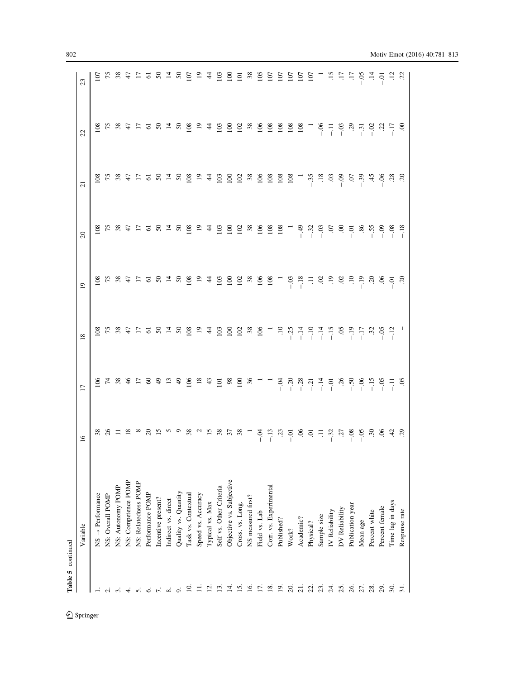| 7       |  |
|---------|--|
| ų<br>7  |  |
| a.<br>à |  |
| 5<br>۰  |  |
|         |  |

 $\underline{\textcircled{\tiny 2}}$  Springer

|                          | Variable                     | $\overline{16}$ | $\overline{17}$ | 18                                                                                                                                                      | $\mathbf{D}$                                                                          | $\Omega$                                    | $\overline{c}$                                                     | 22                                                                                                                                                                                                                              | 23 |
|--------------------------|------------------------------|-----------------|-----------------|---------------------------------------------------------------------------------------------------------------------------------------------------------|---------------------------------------------------------------------------------------|---------------------------------------------|--------------------------------------------------------------------|---------------------------------------------------------------------------------------------------------------------------------------------------------------------------------------------------------------------------------|----|
|                          | $NS \rightarrow$ Performance |                 |                 |                                                                                                                                                         |                                                                                       |                                             |                                                                    |                                                                                                                                                                                                                                 |    |
|                          | NS: Overall POMP             |                 |                 |                                                                                                                                                         |                                                                                       |                                             |                                                                    |                                                                                                                                                                                                                                 |    |
|                          | NS: Autonomy POMP            | $\frac{8}{11}$  |                 | 8 5 5 8 7 5 6 7 6 9 6 7 7 8 9 9 9 9 9 9 0 -                                                                                                             |                                                                                       | 8 5 6 8 7 7 8 9 7 8 9 9 9 9 9 9 9 9 9 9 9 1 | $\frac{88}{18}$ $\frac{845}{45}$ $\frac{264}{45}$ $\frac{484}{45}$ | $\frac{8}{2}$ $\frac{8}{2}$ $\frac{4}{2}$ $\frac{1}{2}$ $\frac{6}{2}$ $\frac{4}{2}$ $\frac{1}{2}$ $\frac{6}{2}$ $\frac{4}{2}$ $\frac{3}{2}$ $\frac{4}{2}$ $\frac{6}{2}$ $\frac{4}{2}$ $\frac{6}{2}$ $\frac{6}{2}$ $\frac{3}{2}$ |    |
|                          | NS: Competence POMP          | $\approx$       |                 |                                                                                                                                                         |                                                                                       |                                             |                                                                    |                                                                                                                                                                                                                                 |    |
|                          | NS: Relatedness POMP         | $\infty$        |                 |                                                                                                                                                         |                                                                                       |                                             |                                                                    |                                                                                                                                                                                                                                 |    |
|                          | Performance POMP             |                 |                 |                                                                                                                                                         |                                                                                       |                                             |                                                                    |                                                                                                                                                                                                                                 |    |
|                          | Incentive present?           | 20              |                 |                                                                                                                                                         |                                                                                       |                                             |                                                                    |                                                                                                                                                                                                                                 |    |
|                          | Indirect vs. direct          |                 |                 |                                                                                                                                                         |                                                                                       |                                             |                                                                    |                                                                                                                                                                                                                                 |    |
|                          | Quality vs. Quantity         |                 |                 |                                                                                                                                                         |                                                                                       |                                             |                                                                    |                                                                                                                                                                                                                                 |    |
|                          | Task vs. Contextual          | 38              |                 |                                                                                                                                                         |                                                                                       |                                             |                                                                    |                                                                                                                                                                                                                                 |    |
|                          | Speed vs. Accuracy           | $\sim$          |                 |                                                                                                                                                         |                                                                                       |                                             | $^{19}$                                                            |                                                                                                                                                                                                                                 |    |
| $\overline{\mathcal{C}}$ | Typical vs. Max              | $\overline{15}$ |                 |                                                                                                                                                         |                                                                                       |                                             |                                                                    |                                                                                                                                                                                                                                 |    |
| ≌                        | Self vs. Other Criteria      | $387$           |                 |                                                                                                                                                         |                                                                                       |                                             |                                                                    |                                                                                                                                                                                                                                 |    |
| ュ                        | Objective vs. Subjective     |                 |                 |                                                                                                                                                         |                                                                                       |                                             |                                                                    |                                                                                                                                                                                                                                 |    |
| ≌                        | Cross. vs. Long.             |                 |                 |                                                                                                                                                         |                                                                                       |                                             |                                                                    |                                                                                                                                                                                                                                 |    |
| ٵ                        | NS measured first?           | $\overline{a}$  |                 |                                                                                                                                                         |                                                                                       |                                             |                                                                    |                                                                                                                                                                                                                                 |    |
| n                        | Field vs. Lab                |                 |                 |                                                                                                                                                         |                                                                                       |                                             |                                                                    |                                                                                                                                                                                                                                 |    |
| $\overline{8}$           | Corr. vs. Experimental       |                 |                 |                                                                                                                                                         |                                                                                       |                                             | 4 5 5 5 % 5 6 5 6 7                                                | 4992288228                                                                                                                                                                                                                      |    |
| $\overline{0}$           | Published?                   |                 |                 |                                                                                                                                                         |                                                                                       |                                             |                                                                    |                                                                                                                                                                                                                                 |    |
| $\approx$                | Work?                        |                 |                 |                                                                                                                                                         |                                                                                       |                                             |                                                                    |                                                                                                                                                                                                                                 |    |
|                          | Academic?                    |                 |                 |                                                                                                                                                         |                                                                                       |                                             |                                                                    |                                                                                                                                                                                                                                 |    |
| 22.                      | Physical?                    |                 |                 | $\frac{9}{1}$<br>$\frac{3}{1}$<br>$\frac{4}{1}$<br>$\frac{9}{1}$<br>$\frac{14}{1}$<br>$\frac{5}{1}$<br>$\frac{15}{1}$<br>$\frac{5}{1}$<br>$\frac{8}{1}$ | $\frac{1}{1}$ 3 $\frac{3}{1}$ $\frac{3}{1}$ $\frac{3}{1}$ $\frac{3}{1}$ $\frac{3}{1}$ |                                             | $-3.8$ $-3.8$ $-3.8$ $-1.8$ $-3.8$                                 | $\overline{a}$                                                                                                                                                                                                                  |    |
| 23.                      | Sample size                  |                 |                 |                                                                                                                                                         |                                                                                       |                                             |                                                                    |                                                                                                                                                                                                                                 |    |
| 24.                      | IV Reliability               |                 |                 |                                                                                                                                                         |                                                                                       |                                             |                                                                    |                                                                                                                                                                                                                                 |    |
| 25.                      | DV Reliability               |                 |                 |                                                                                                                                                         |                                                                                       |                                             |                                                                    |                                                                                                                                                                                                                                 |    |
| 26.                      | Publication year             |                 |                 |                                                                                                                                                         | $\frac{a}{b}$ $\frac{c}{c}$ $\frac{c}{c}$ $\frac{d}{c}$                               |                                             |                                                                    |                                                                                                                                                                                                                                 |    |
| 27.                      | Mean age                     |                 |                 | $-17.30$<br>$-17.30$                                                                                                                                    |                                                                                       |                                             |                                                                    |                                                                                                                                                                                                                                 |    |
| 28.                      | Percent white                |                 |                 |                                                                                                                                                         |                                                                                       |                                             |                                                                    |                                                                                                                                                                                                                                 |    |
| 29.                      | Percent female               | $-5.8$          |                 |                                                                                                                                                         | 3.8                                                                                   |                                             | $-35$                                                              |                                                                                                                                                                                                                                 |    |
| 30.                      | Time lag in days             | ੜ੍ਹ ਲੰ          | $-11$<br>35     | $-12$                                                                                                                                                   | $-0.01$                                                                               |                                             | ಇ ನಿ                                                               | $-66$<br>$-13$<br>$-33$<br>$-32$<br>$-17$<br>$-17$<br>$-17$                                                                                                                                                                     |    |
|                          | Response rate                |                 |                 | $\frac{1}{2}$                                                                                                                                           |                                                                                       |                                             |                                                                    |                                                                                                                                                                                                                                 |    |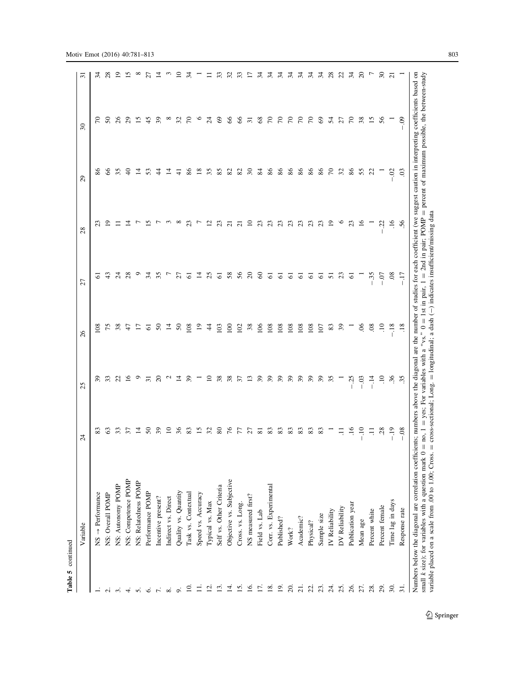| ś |  |
|---|--|
| ı |  |
| ∍ |  |

|                   | Variable                                                                                                                                                          | $\overline{z}$      | 25                          | $\delta$                                                                                      | 27                   | 28                                                                                                                                                                                                                                                                                 | 29                         | $\mathcal{S}$   | 3              |
|-------------------|-------------------------------------------------------------------------------------------------------------------------------------------------------------------|---------------------|-----------------------------|-----------------------------------------------------------------------------------------------|----------------------|------------------------------------------------------------------------------------------------------------------------------------------------------------------------------------------------------------------------------------------------------------------------------------|----------------------------|-----------------|----------------|
|                   | $NS \rightarrow$ Performance                                                                                                                                      | ಜ                   | 39                          | 108                                                                                           | ی                    |                                                                                                                                                                                                                                                                                    |                            |                 |                |
| $\dot{\sim}$      | NS: Overall POMP                                                                                                                                                  | ଞ                   | 33                          |                                                                                               | 43                   | 2                                                                                                                                                                                                                                                                                  | 8                          | $50\,$          |                |
| 3.                | NS: Autonomy POMP                                                                                                                                                 |                     |                             |                                                                                               |                      |                                                                                                                                                                                                                                                                                    |                            | $\frac{8}{3}$   |                |
| ₹                 | NS: Competence POMP                                                                                                                                               |                     |                             | 47                                                                                            |                      |                                                                                                                                                                                                                                                                                    | ş                          |                 |                |
| 'n                | NS: Relatedness POMP                                                                                                                                              | 그                   |                             | $\overline{17}$                                                                               |                      |                                                                                                                                                                                                                                                                                    |                            | 5               |                |
| Ġ                 | Performance POMP                                                                                                                                                  | $\boldsymbol{S}$    | ಸ                           | $\Omega$                                                                                      |                      |                                                                                                                                                                                                                                                                                    |                            | ধ               |                |
|                   | Incentive present?                                                                                                                                                | 39                  | $\Omega$                    | $50\,$                                                                                        | 35                   |                                                                                                                                                                                                                                                                                    | 彑                          | $\mathfrak{D}$  |                |
| $\infty$          | Indirect vs. Direct                                                                                                                                               | ≘                   |                             | $\overline{4}$                                                                                |                      |                                                                                                                                                                                                                                                                                    |                            |                 |                |
| o.                | Quality vs. Quantity                                                                                                                                              | $\frac{8}{5}$       | 4                           | $50\,$                                                                                        | 57                   |                                                                                                                                                                                                                                                                                    |                            | $\mathfrak{L}$  |                |
| $\Xi$             | Task vs. Contextual                                                                                                                                               | ఐ                   | $\overline{39}$             | 108                                                                                           | <u>ଚ</u>             |                                                                                                                                                                                                                                                                                    | 86                         |                 |                |
| $\equiv$          | Speed vs. Accuracy                                                                                                                                                | 15                  |                             | $\overline{5}$                                                                                | $\vec{a}$            |                                                                                                                                                                                                                                                                                    | ≌                          |                 |                |
| $\overline{5}$    | Typical vs. Max                                                                                                                                                   | $\mathfrak{Z}$      | $\Xi$                       | A                                                                                             |                      |                                                                                                                                                                                                                                                                                    | 35                         |                 |                |
| $\Xi$             | Self vs. Other Criteria                                                                                                                                           | 80                  | 38                          | $\Xi$                                                                                         | 5                    | $\mathfrak{L}$                                                                                                                                                                                                                                                                     | 85                         | $\circ$         |                |
| $\overline{4}$    | Objective vs. Subjective                                                                                                                                          | $\frac{5}{2}$       | 38                          | $\overline{100}$                                                                              | 58                   | $\overline{c}$                                                                                                                                                                                                                                                                     | $\infty$                   | 8               |                |
| $\overline{15}$   | Cross. vs. Long.                                                                                                                                                  | F                   | $\mathcal{L}$               | 102                                                                                           | 56                   | $\overline{c}$                                                                                                                                                                                                                                                                     | 82                         | 8               |                |
| 16                | NS measured first?                                                                                                                                                | $\tilde{\omega}$    | $\Xi$                       | 38                                                                                            | $\mathbb{S}$         | $\Xi$                                                                                                                                                                                                                                                                              | $\boldsymbol{\mathcal{E}}$ | $\overline{31}$ |                |
| 17.               | Field vs. Lab                                                                                                                                                     | $\overline{\infty}$ | $\mathcal{E}$               | $\frac{8}{100}$                                                                               | $\infty$             | $\mathfrak{L}$                                                                                                                                                                                                                                                                     | $\mathfrak{A}$             | 68              | र्द्ध          |
| $\frac{8}{18}$    | Corr. vs. Experimental                                                                                                                                            | ఔ                   | $\mathcal{E}$               | 108                                                                                           | 6                    | $\mathbb{Z}$                                                                                                                                                                                                                                                                       | 86                         | 97              | रू             |
| $\overline{19}$   | Published?                                                                                                                                                        | 83                  | $\mathcal{S}$               | $\frac{8}{2}$                                                                                 | $\ddot{\circ}$       | $\mathbb{S}$                                                                                                                                                                                                                                                                       | 86                         | $\sigma$        | रू             |
| $\overline{20}$   | Work?                                                                                                                                                             | ఔ                   | $\mathcal{E}$               | $\approx$                                                                                     | $\tilde{\mathbf{c}}$ | $\mathbb{Z}$                                                                                                                                                                                                                                                                       | 86                         | $\sigma$        | रू             |
| 21.               | Academic?                                                                                                                                                         | 83                  | $\mathfrak{g}$              | $\approx$                                                                                     | $\ddot{\circ}$       | $\mathfrak{L}$                                                                                                                                                                                                                                                                     | 86                         | $\mathcal{L}$   | $\mathcal{L}$  |
| 22.               | Physical?                                                                                                                                                         | 83                  | $\mathcal{S}^{\mathcal{E}}$ | $\approx$                                                                                     | ତି                   | 23                                                                                                                                                                                                                                                                                 | 86                         | $\mathcal{L}$   | रू             |
| 23.               | Sample size                                                                                                                                                       | ఔ                   | $\mathfrak{L}$              | 107                                                                                           | ତ                    | 23                                                                                                                                                                                                                                                                                 | 86                         | $\odot$         | र्द्ध          |
| $\overline{c}$    | IV Reliability                                                                                                                                                    |                     | 35                          | 83                                                                                            | 5                    | $\overline{19}$                                                                                                                                                                                                                                                                    | $\mathcal{E}$              | 24              | 28             |
| 25.               | DV Reliability                                                                                                                                                    |                     |                             | 39                                                                                            | $\mathbb{Z}$         |                                                                                                                                                                                                                                                                                    | 32                         | $\overline{z}$  | $\mathfrak{Z}$ |
| 26.               | Publication year                                                                                                                                                  |                     | $-25$                       |                                                                                               | 6                    |                                                                                                                                                                                                                                                                                    | 86                         | $\approx$       | रू             |
| 27.               | Mean age                                                                                                                                                          | $-10$               | $-03$                       | 8                                                                                             |                      |                                                                                                                                                                                                                                                                                    | 55                         | 38              | g              |
| 28.               | Percent white                                                                                                                                                     | Ξ                   | $-14$                       | $\approx$                                                                                     | $-35$                |                                                                                                                                                                                                                                                                                    | S                          | 5               |                |
| 29.               | Percent female                                                                                                                                                    | 28                  | $\Xi$                       | $\Xi$                                                                                         | $-0$                 | S                                                                                                                                                                                                                                                                                  |                            | 56              | నె             |
| 30.               | Time lag in days                                                                                                                                                  |                     | ર્જ                         | $-18$                                                                                         | S.                   | ٩.                                                                                                                                                                                                                                                                                 | S                          |                 | ಸ              |
| $\overline{31}$ . | Response rate                                                                                                                                                     | $-0.8$              | 35                          | .18                                                                                           | $-17$                | 56                                                                                                                                                                                                                                                                                 | 03                         | S.              |                |
|                   | Numbers below the diagonal are correlation coeffici<br>small k size); for variables with a question mark 0<br>variable placed on a scale from .00 to 1.00; Cross. |                     |                             | $=$ cross-sectional; Long. $=$ longitudinal; a dash $(-)$ indicates insufficient/missing data |                      | ients; numbers above the diagonal are the number of studies for each coefficient (we suggest caution in interpreting coefficients based on<br>= no, 1 = yes; For variables with a "vs." $0 = 1$ st in pair, 1 = 2nd in pair; POMP = percent of maximum possible, the between-study |                            |                 |                |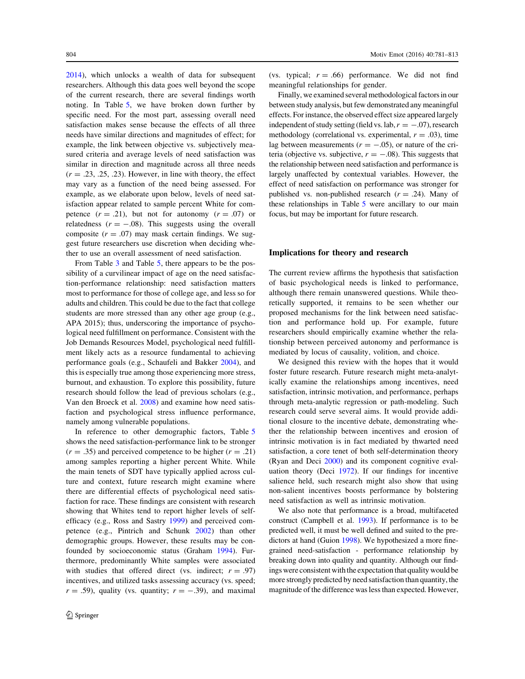2014), which unlocks a wealth of data for subsequent researchers. Although this data goes well beyond the scope of the current research, there are several findings worth noting. In Table 5, we have broken down further by specific need. For the most part, assessing overall need satisfaction makes sense because the effects of all three needs have similar directions and magnitudes of effect; for example, the link between objective vs. subjectively measured criteria and average levels of need satisfaction was similar in direction and magnitude across all three needs  $(r = .23, .25, .23)$ . However, in line with theory, the effect may vary as a function of the need being assessed. For example, as we elaborate upon below, levels of need satisfaction appear related to sample percent White for competence  $(r = .21)$ , but not for autonomy  $(r = .07)$  or relatedness  $(r = -.08)$ . This suggests using the overall composite  $(r = .07)$  may mask certain findings. We suggest future researchers use discretion when deciding whether to use an overall assessment of need satisfaction.

From Table 3 and Table 5, there appears to be the possibility of a curvilinear impact of age on the need satisfaction-performance relationship: need satisfaction matters most to performance for those of college age, and less so for adults and children. This could be due to the fact that college students are more stressed than any other age group (e.g., APA 2015); thus, underscoring the importance of psychological need fulfillment on performance. Consistent with the Job Demands Resources Model, psychological need fulfillment likely acts as a resource fundamental to achieving performance goals (e.g., Schaufeli and Bakker 2004), and this is especially true among those experiencing more stress, burnout, and exhaustion. To explore this possibility, future research should follow the lead of previous scholars (e.g., Van den Broeck et al. 2008) and examine how need satisfaction and psychological stress influence performance, namely among vulnerable populations.

In reference to other demographic factors, Table 5 shows the need satisfaction-performance link to be stronger  $(r = .35)$  and perceived competence to be higher  $(r = .21)$ among samples reporting a higher percent White. While the main tenets of SDT have typically applied across culture and context, future research might examine where there are differential effects of psychological need satisfaction for race. These findings are consistent with research showing that Whites tend to report higher levels of selfefficacy (e.g., Ross and Sastry 1999) and perceived competence (e.g., Pintrich and Schunk 2002) than other demographic groups. However, these results may be confounded by socioeconomic status (Graham 1994). Furthermore, predominantly White samples were associated with studies that offered direct (vs. indirect;  $r = .97$ ) incentives, and utilized tasks assessing accuracy (vs. speed;  $r = .59$ , quality (vs. quantity;  $r = -.39$ ), and maximal

(vs. typical;  $r = .66$ ) performance. We did not find meaningful relationships for gender.

Finally, we examined several methodological factors in our between study analysis, but few demonstrated any meaningful effects. For instance, the observed effect size appeared largely independent of study setting (field vs. lab,  $r = -.07$ ), research methodology (correlational vs. experimental,  $r = .03$ ), time lag between measurements ( $r = -.05$ ), or nature of the criteria (objective vs. subjective,  $r = -.08$ ). This suggests that the relationship between need satisfaction and performance is largely unaffected by contextual variables. However, the effect of need satisfaction on performance was stronger for published vs. non-published research  $(r = .24)$ . Many of these relationships in Table 5 were ancillary to our main focus, but may be important for future research.

#### Implications for theory and research

The current review affirms the hypothesis that satisfaction of basic psychological needs is linked to performance, although there remain unanswered questions. While theoretically supported, it remains to be seen whether our proposed mechanisms for the link between need satisfaction and performance hold up. For example, future researchers should empirically examine whether the relationship between perceived autonomy and performance is mediated by locus of causality, volition, and choice.

We designed this review with the hopes that it would foster future research. Future research might meta-analytically examine the relationships among incentives, need satisfaction, intrinsic motivation, and performance, perhaps through meta-analytic regression or path-modeling. Such research could serve several aims. It would provide additional closure to the incentive debate, demonstrating whether the relationship between incentives and erosion of intrinsic motivation is in fact mediated by thwarted need satisfaction, a core tenet of both self-determination theory (Ryan and Deci 2000) and its component cognitive evaluation theory (Deci 1972). If our findings for incentive salience held, such research might also show that using non-salient incentives boosts performance by bolstering need satisfaction as well as intrinsic motivation.

We also note that performance is a broad, multifaceted construct (Campbell et al. 1993). If performance is to be predicted well, it must be well defined and suited to the predictors at hand (Guion 1998). We hypothesized a more finegrained need-satisfaction - performance relationship by breaking down into quality and quantity. Although our findings were consistent with the expectation that quality would be more strongly predicted by need satisfaction than quantity, the magnitude of the difference was less than expected. However,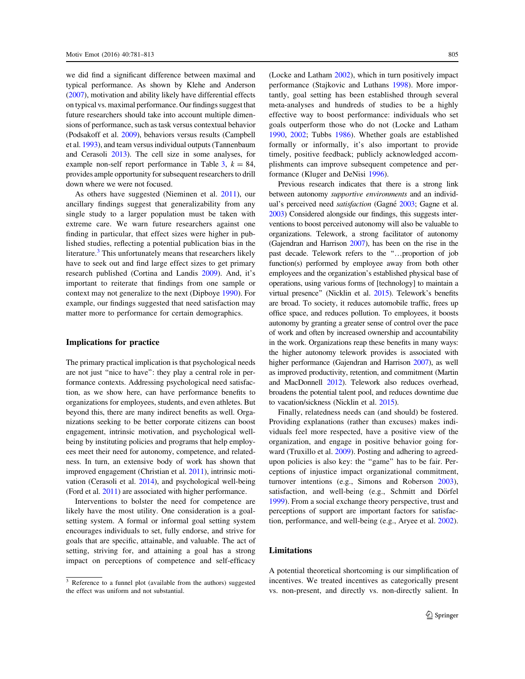we did find a significant difference between maximal and typical performance. As shown by Klehe and Anderson (2007), motivation and ability likely have differential effects on typical vs. maximal performance. Our findings suggest that future researchers should take into account multiple dimensions of performance, such as task versus contextual behavior (Podsakoff et al. 2009), behaviors versus results (Campbell et al. 1993), and team versus individual outputs (Tannenbaum and Cerasoli 2013). The cell size in some analyses, for example non-self report performance in Table 3,  $k = 84$ , provides ample opportunity for subsequent researchers to drill down where we were not focused.

As others have suggested (Nieminen et al. 2011), our ancillary findings suggest that generalizability from any single study to a larger population must be taken with extreme care. We warn future researchers against one finding in particular, that effect sizes were higher in published studies, reflecting a potential publication bias in the literature.<sup>3</sup> This unfortunately means that researchers likely have to seek out and find large effect sizes to get primary research published (Cortina and Landis 2009). And, it's important to reiterate that findings from one sample or context may not generalize to the next (Dipboye 1990). For example, our findings suggested that need satisfaction may matter more to performance for certain demographics.

#### Implications for practice

The primary practical implication is that psychological needs are not just ''nice to have'': they play a central role in performance contexts. Addressing psychological need satisfaction, as we show here, can have performance benefits to organizations for employees, students, and even athletes. But beyond this, there are many indirect benefits as well. Organizations seeking to be better corporate citizens can boost engagement, intrinsic motivation, and psychological wellbeing by instituting policies and programs that help employees meet their need for autonomy, competence, and relatedness. In turn, an extensive body of work has shown that improved engagement (Christian et al. 2011), intrinsic motivation (Cerasoli et al. 2014), and psychological well-being (Ford et al. 2011) are associated with higher performance.

Interventions to bolster the need for competence are likely have the most utility. One consideration is a goalsetting system. A formal or informal goal setting system encourages individuals to set, fully endorse, and strive for goals that are specific, attainable, and valuable. The act of setting, striving for, and attaining a goal has a strong impact on perceptions of competence and self-efficacy

(Locke and Latham 2002), which in turn positively impact performance (Stajkovic and Luthans 1998). More importantly, goal setting has been established through several meta-analyses and hundreds of studies to be a highly effective way to boost performance: individuals who set goals outperform those who do not (Locke and Latham 1990, 2002; Tubbs 1986). Whether goals are established formally or informally, it's also important to provide timely, positive feedback; publicly acknowledged accomplishments can improve subsequent competence and performance (Kluger and DeNisi 1996).

Previous research indicates that there is a strong link between autonomy *supportive environments* and an individual's perceived need satisfaction (Gagné 2003; Gagne et al. 2003) Considered alongside our findings, this suggests interventions to boost perceived autonomy will also be valuable to organizations. Telework, a strong facilitator of autonomy (Gajendran and Harrison 2007), has been on the rise in the past decade. Telework refers to the ''…proportion of job function(s) performed by employee away from both other employees and the organization's established physical base of operations, using various forms of [technology] to maintain a virtual presence'' (Nicklin et al. 2015). Telework's benefits are broad. To society, it reduces automobile traffic, frees up office space, and reduces pollution. To employees, it boosts autonomy by granting a greater sense of control over the pace of work and often by increased ownership and accountability in the work. Organizations reap these benefits in many ways: the higher autonomy telework provides is associated with higher performance (Gajendran and Harrison 2007), as well as improved productivity, retention, and commitment (Martin and MacDonnell 2012). Telework also reduces overhead, broadens the potential talent pool, and reduces downtime due to vacation/sickness (Nicklin et al. 2015).

Finally, relatedness needs can (and should) be fostered. Providing explanations (rather than excuses) makes individuals feel more respected, have a positive view of the organization, and engage in positive behavior going forward (Truxillo et al. 2009). Posting and adhering to agreedupon policies is also key: the ''game'' has to be fair. Perceptions of injustice impact organizational commitment, turnover intentions (e.g., Simons and Roberson 2003), satisfaction, and well-being (e.g., Schmitt and Dörfel 1999). From a social exchange theory perspective, trust and perceptions of support are important factors for satisfaction, performance, and well-being (e.g., Aryee et al. 2002).

# Limitations

A potential theoretical shortcoming is our simplification of incentives. We treated incentives as categorically present vs. non-present, and directly vs. non-directly salient. In

<sup>3</sup> Reference to a funnel plot (available from the authors) suggested the effect was uniform and not substantial.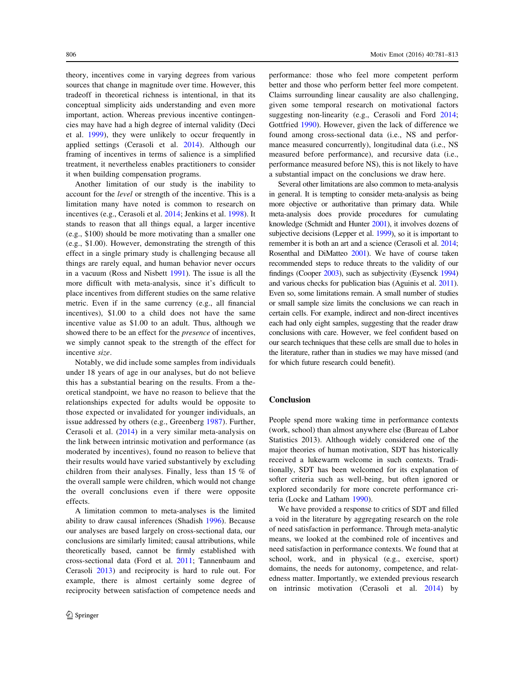theory, incentives come in varying degrees from various sources that change in magnitude over time. However, this tradeoff in theoretical richness is intentional, in that its conceptual simplicity aids understanding and even more important, action. Whereas previous incentive contingencies may have had a high degree of internal validity (Deci et al. 1999), they were unlikely to occur frequently in applied settings (Cerasoli et al. 2014). Although our framing of incentives in terms of salience is a simplified treatment, it nevertheless enables practitioners to consider it when building compensation programs.

Another limitation of our study is the inability to account for the level or strength of the incentive. This is a limitation many have noted is common to research on incentives (e.g., Cerasoli et al. 2014; Jenkins et al. 1998). It stands to reason that all things equal, a larger incentive (e.g., \$100) should be more motivating than a smaller one (e.g., \$1.00). However, demonstrating the strength of this effect in a single primary study is challenging because all things are rarely equal, and human behavior never occurs in a vacuum (Ross and Nisbett 1991). The issue is all the more difficult with meta-analysis, since it's difficult to place incentives from different studies on the same relative metric. Even if in the same currency (e.g., all financial incentives), \$1.00 to a child does not have the same incentive value as \$1.00 to an adult. Thus, although we showed there to be an effect for the *presence* of incentives, we simply cannot speak to the strength of the effect for incentive size.

Notably, we did include some samples from individuals under 18 years of age in our analyses, but do not believe this has a substantial bearing on the results. From a theoretical standpoint, we have no reason to believe that the relationships expected for adults would be opposite to those expected or invalidated for younger individuals, an issue addressed by others (e.g., Greenberg 1987). Further, Cerasoli et al. (2014) in a very similar meta-analysis on the link between intrinsic motivation and performance (as moderated by incentives), found no reason to believe that their results would have varied substantively by excluding children from their analyses. Finally, less than 15 % of the overall sample were children, which would not change the overall conclusions even if there were opposite effects.

A limitation common to meta-analyses is the limited ability to draw causal inferences (Shadish 1996). Because our analyses are based largely on cross-sectional data, our conclusions are similarly limited; causal attributions, while theoretically based, cannot be firmly established with cross-sectional data (Ford et al. 2011; Tannenbaum and Cerasoli 2013) and reciprocity is hard to rule out. For example, there is almost certainly some degree of reciprocity between satisfaction of competence needs and

performance: those who feel more competent perform better and those who perform better feel more competent. Claims surrounding linear causality are also challenging, given some temporal research on motivational factors suggesting non-linearity (e.g., Cerasoli and Ford 2014; Gottfried 1990). However, given the lack of difference we found among cross-sectional data (i.e., NS and performance measured concurrently), longitudinal data (i.e., NS measured before performance), and recursive data (i.e., performance measured before NS), this is not likely to have a substantial impact on the conclusions we draw here.

Several other limitations are also common to meta-analysis in general. It is tempting to consider meta-analysis as being more objective or authoritative than primary data. While meta-analysis does provide procedures for cumulating knowledge (Schmidt and Hunter 2001), it involves dozens of subjective decisions (Lepper et al. 1999), so it is important to remember it is both an art and a science (Cerasoli et al. 2014; Rosenthal and DiMatteo 2001). We have of course taken recommended steps to reduce threats to the validity of our findings (Cooper 2003), such as subjectivity (Eysenck 1994) and various checks for publication bias (Aguinis et al. 2011). Even so, some limitations remain. A small number of studies or small sample size limits the conclusions we can reach in certain cells. For example, indirect and non-direct incentives each had only eight samples, suggesting that the reader draw conclusions with care. However, we feel confident based on our search techniques that these cells are small due to holes in the literature, rather than in studies we may have missed (and for which future research could benefit).

# Conclusion

People spend more waking time in performance contexts (work, school) than almost anywhere else (Bureau of Labor Statistics 2013). Although widely considered one of the major theories of human motivation, SDT has historically received a lukewarm welcome in such contexts. Traditionally, SDT has been welcomed for its explanation of softer criteria such as well-being, but often ignored or explored secondarily for more concrete performance criteria (Locke and Latham 1990).

We have provided a response to critics of SDT and filled a void in the literature by aggregating research on the role of need satisfaction in performance. Through meta-analytic means, we looked at the combined role of incentives and need satisfaction in performance contexts. We found that at school, work, and in physical (e.g., exercise, sport) domains, the needs for autonomy, competence, and relatedness matter. Importantly, we extended previous research on intrinsic motivation (Cerasoli et al. 2014) by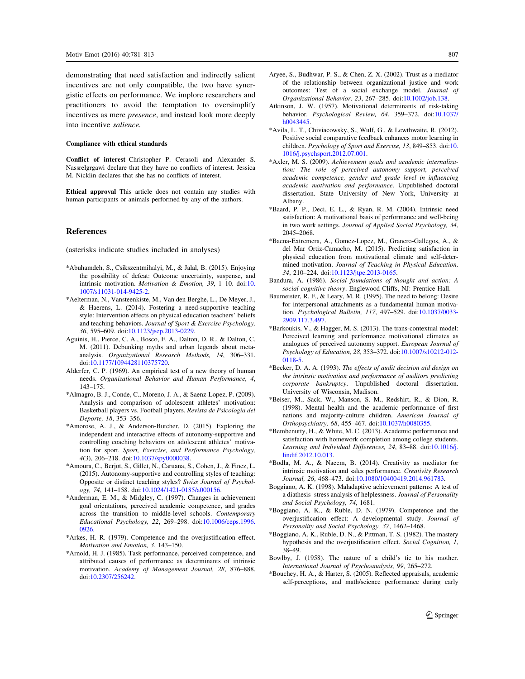demonstrating that need satisfaction and indirectly salient incentives are not only compatible, the two have synergistic effects on performance. We implore researchers and practitioners to avoid the temptation to oversimplify incentives as mere *presence*, and instead look more deeply into incentive salience.

#### Compliance with ethical standards

Conflict of interest Christopher P. Cerasoli and Alexander S. Nassrelgrgawi declare that they have no conflicts of interest. Jessica M. Nicklin declares that she has no conflicts of interest.

Ethical approval This article does not contain any studies with human participants or animals performed by any of the authors.

#### **References**

(asterisks indicate studies included in analyses)

- \*Abuhamdeh, S., Csikszentmihalyi, M., & Jalal, B. (2015). Enjoying the possibility of defeat: Outcome uncertainty, suspense, and intrinsic motivation. Motivation & Emotion, 39, 1–10. doi:10. 1007/s11031-014-9425-2.
- \*Aelterman, N., Vansteenkiste, M., Van den Berghe, L., De Meyer, J., & Haerens, L. (2014). Fostering a need-supportive teaching style: Intervention effects on physical education teachers' beliefs and teaching behaviors. Journal of Sport & Exercise Psychology, 36, 595–609. doi:10.1123/jsep.2013-0229.
- Aguinis, H., Pierce, C. A., Bosco, F. A., Dalton, D. R., & Dalton, C. M. (2011). Debunking myths and urban legends about metaanalysis. Organizational Research Methods, 14, 306–331. doi:10.1177/1094428110375720.
- Alderfer, C. P. (1969). An empirical test of a new theory of human needs. Organizational Behavior and Human Performance, 4, 143–175.
- \*Almagro, B. J., Conde, C., Moreno, J. A., & Saenz-Lopez, P. (2009). Analysis and comparison of adolescent athletes' motivation: Basketball players vs. Football players. Revista de Psicologia del Deporte, 18, 353–356.
- \*Amorose, A. J., & Anderson-Butcher, D. (2015). Exploring the independent and interactive effects of autonomy-supportive and controlling coaching behaviors on adolescent athletes' motivation for sport. Sport, Exercise, and Performance Psychology, 4(3), 206–218. doi:10.1037/spy0000038.
- \*Amoura, C., Berjot, S., Gillet, N., Caruana, S., Cohen, J., & Finez, L. (2015). Autonomy-supportive and controlling styles of teaching: Opposite or distinct teaching styles? Swiss Journal of Psychology, 74, 141–158. doi:10.1024/1421-0185/a000156.
- \*Anderman, E. M., & Midgley, C. (1997). Changes in achievement goal orientations, perceived academic competence, and grades across the transition to middle-level schools. Contemporary Educational Psychology, 22, 269–298. doi:10.1006/ceps.1996. 0926.
- \*Arkes, H. R. (1979). Competence and the overjustification effect. Motivation and Emotion, 3, 143–150.
- \*Arnold, H. J. (1985). Task performance, perceived competence, and attributed causes of performance as determinants of intrinsic motivation. Academy of Management Journal, 28, 876–888. doi:10.2307/256242.
- Aryee, S., Budhwar, P. S., & Chen, Z. X. (2002). Trust as a mediator of the relationship between organizational justice and work outcomes: Test of a social exchange model. Journal of Organizational Behavior, 23, 267–285. doi:10.1002/job.138.
- Atkinson, J. W. (1957). Motivational determinants of risk-taking behavior. Psychological Review, 64, 359–372. doi:10.1037/ h0043445.
- \*Avila, L. T., Chiviacowsky, S., Wulf, G., & Lewthwaite, R. (2012). Positive social comparative feedback enhances motor learning in children. Psychology of Sport and Exercise, 13, 849–853. doi:10. 1016/j.psychsport.2012.07.001.
- \*Axler, M. S. (2009). Achievement goals and academic internalization: The role of perceived autonomy support, perceived academic competence, gender and grade level in influencing academic motivation and performance. Unpublished doctoral dissertation. State University of New York, University at Albany.
- \*Baard, P. P., Deci, E. L., & Ryan, R. M. (2004). Intrinsic need satisfaction: A motivational basis of performance and well-being in two work settings. Journal of Applied Social Psychology, 34, 2045–2068.
- \*Baena-Extremera, A., Gomez-Lopez, M., Granero-Gallegos, A., & del Mar Ortiz-Camacho, M. (2015). Predicting satisfaction in physical education from motivational climate and self-determined motivation. Journal of Teaching in Physical Education, 34, 210–224. doi:10.1123/jtpe.2013-0165.
- Bandura, A. (1986). Social foundations of thought and action: A social cognitive theory. Englewood Cliffs, NJ: Prentice Hall.
- Baumeister, R. F., & Leary, M. R. (1995). The need to belong: Desire for interpersonal attachments as a fundamental human motivation. Psychological Bulletin, 117, 497–529. doi:10.1037/0033- 2909.117.3.497.
- \*Barkoukis, V., & Hagger, M. S. (2013). The trans-contextual model: Perceived learning and performance motivational climates as analogues of perceived autonomy support. European Journal of Psychology of Education, 28, 353–372. doi:10.1007/s10212-012- 0118-5.
- \*Becker, D. A. A. (1993). The effects of audit decision aid design on the intrinsic motivation and performance of auditors predicting corporate bankruptcy. Unpublished doctoral dissertation. University of Wisconsin, Madison.
- \*Beiser, M., Sack, W., Manson, S. M., Redshirt, R., & Dion, R. (1998). Mental health and the academic performance of first nations and majority-culture children. American Journal of Orthopsychiatry, 68, 455–467. doi:10.1037/h0080355.
- \*Bembenutty, H., & White, M. C. (2013). Academic performance and satisfaction with homework completion among college students. Learning and Individual Differences, 24, 83–88. doi:10.1016/j. lindif.2012.10.013.
- \*Bodla, M. A., & Naeem, B. (2014). Creativity as mediator for intrinsic motivation and sales performance. Creativity Research Journal, 26, 468–473. doi:10.1080/10400419.2014.961783.
- Boggiano, A. K. (1998). Maladaptive achievement patterns: A test of a diathesis–stress analysis of helplessness. Journal of Personality and Social Psychology, 74, 1681.
- \*Boggiano, A. K., & Ruble, D. N. (1979). Competence and the overjustification effect: A developmental study. Journal of Personality and Social Psychology, 37, 1462–1468.
- \*Boggiano, A. K., Ruble, D. N., & Pittman, T. S. (1982). The mastery hypothesis and the overjustification effect. Social Cognition, 1, 38–49.
- Bowlby, J. (1958). The nature of a child's tie to his mother. International Journal of Psychoanalysis, 99, 265–272.
- \*Bouchey, H. A., & Harter, S. (2005). Reflected appraisals, academic self-perceptions, and math/science performance during early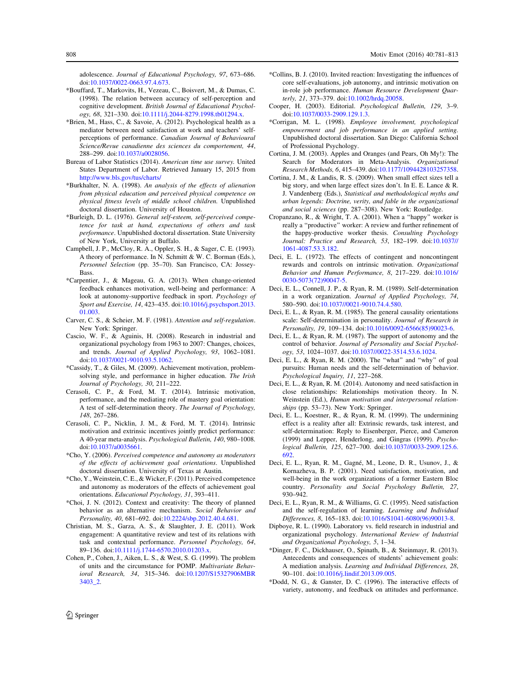adolescence. Journal of Educational Psychology, 97, 673–686. doi:10.1037/0022-0663.97.4.673.

- \*Bouffard, T., Markovits, H., Vezeau, C., Boisvert, M., & Dumas, C. (1998). The relation between accuracy of self-perception and cognitive development. British Journal of Educational Psychology, 68, 321–330. doi:10.1111/j.2044-8279.1998.tb01294.x.
- \*Brien, M., Hass, C., & Savoie, A. (2012). Psychological health as a mediator between need satisfaction at work and teachers' selfperceptions of performance. Canadian Journal of Behavioural Science/Revue canadienne des sciences du comportement, 44, 288–299. doi:10.1037/a0028056.
- Bureau of Labor Statistics (2014). American time use survey. United States Department of Labor. Retrieved January 15, 2015 from http://www.bls.gov/tus/charts/
- \*Burkhalter, N. A. (1998). An analysis of the effects of alienation from physical education and perceived physical competence on physical fitness levels of middle school children. Unpublished doctoral dissertation. University of Houston.
- \*Burleigh, D. L. (1976). General self-esteem, self-perceived competence for task at hand, expectations of others and task performance. Unpublished doctoral dissertation. State University of New York, University at Buffalo.
- Campbell, J. P., McCloy, R. A., Oppler, S. H., & Sager, C. E. (1993). A theory of performance. In N. Schmitt & W. C. Borman (Eds.), Personnel Selection (pp. 35–70). San Francisco, CA: Jossey-Bass.
- \*Carpentier, J., & Mageau, G. A. (2013). When change-oriented feedback enhances motivation, well-being and performance: A look at autonomy-supportive feedback in sport. Psychology of Sport and Exercise, 14, 423–435. doi:10.1016/j.psychsport.2013. 01.003.
- Carver, C. S., & Scheier, M. F. (1981). Attention and self-regulation. New York: Springer.
- Cascio, W. F., & Aguinis, H. (2008). Research in industrial and organizational psychology from 1963 to 2007: Changes, choices, and trends. Journal of Applied Psychology, 93, 1062–1081. doi:10.1037/0021-9010.93.5.1062.
- \*Cassidy, T., & Giles, M. (2009). Achievement motivation, problemsolving style, and performance in higher education. The Irish Journal of Psychology, 30, 211–222.
- Cerasoli, C. P., & Ford, M. T. (2014). Intrinsic motivation, performance, and the mediating role of mastery goal orientation: A test of self-determination theory. The Journal of Psychology, 148, 267–286.
- Cerasoli, C. P., Nicklin, J. M., & Ford, M. T. (2014). Intrinsic motivation and extrinsic incentives jointly predict performance: A 40-year meta-analysis. Psychological Bulletin, 140, 980–1008. doi:10.1037/a0035661.
- \*Cho, Y. (2006). Perceived competence and autonomy as moderators of the effects of achievement goal orientations. Unpublished doctoral dissertation. University of Texas at Austin.
- \*Cho, Y., Weinstein, C. E., & Wicker, F. (2011). Perceived competence and autonomy as moderators of the effects of achievement goal orientations. Educational Psychology, 31, 393–411.
- \*Choi, J. N. (2012). Context and creativity: The theory of planned behavior as an alternative mechanism. Social Behavior and Personality, 40, 681–692. doi:10.2224/sbp.2012.40.4.681.
- Christian, M. S., Garza, A. S., & Slaughter, J. E. (2011). Work engagement: A quantitative review and test of its relations with task and contextual performance. Personnel Psychology, 64, 89–136. doi:10.1111/j.1744-6570.2010.01203.x.
- Cohen, P., Cohen, J., Aiken, L. S., & West, S. G. (1999). The problem of units and the circumstance for POMP. Multivariate Behavioral Research, 34, 315–346. doi:10.1207/S15327906MBR 3403\_2.
- \*Collins, B. J. (2010). Invited reaction: Investigating the influences of core self-evaluations, job autonomy, and intrinsic motivation on in-role job performance. Human Resource Development Quarterly, 21, 373–379. doi:10.1002/hrdq.20058.
- Cooper, H. (2003). Editorial. Psychological Bulletin, 129, 3–9. doi:10.1037/0033-2909.129.1.3.
- \*Corrigan, M. L. (1998). Employee involvement, psychological empowerment and job performance in an applied setting. Unpublished doctoral dissertation. San Diego: California School of Professional Psychology.
- Cortina, J. M. (2003). Apples and Oranges (and Pears, Oh My!): The Search for Moderators in Meta-Analysis. Organizational Research Methods, 6, 415–439. doi:10.1177/1094428103257358.
- Cortina, J. M., & Landis, R. S. (2009). When small effect sizes tell a big story, and when large effect sizes don't. In E. E. Lance & R. J. Vandenberg (Eds.), Statistical and methodological myths and urban legends: Doctrine, verity, and fable in the organizational and social sciences (pp. 287–308). New York: Routledge.
- Cropanzano, R., & Wright, T. A. (2001). When a ''happy'' worker is really a ''productive'' worker: A review and further refinement of the happy-productive worker thesis. Consulting Psychology Journal: Practice and Research, 53, 182–199. doi:10.1037// 1061-4087.53.3.182.
- Deci, E. L. (1972). The effects of contingent and noncontingent rewards and controls on intrinsic motivation. Organizational Behavior and Human Performance, 8, 217–229. doi:10.1016/ 0030-5073(72)90047-5.
- Deci, E. L., Connell, J. P., & Ryan, R. M. (1989). Self-determination in a work organization. Journal of Applied Psychology, 74, 580–590. doi:10.1037//0021-9010.74.4.580.
- Deci, E. L., & Ryan, R. M. (1985). The general causality orientations scale: Self-determination in personality. Journal of Research in Personality, 19, 109–134. doi:10.1016/0092-6566(85)90023-6.
- Deci, E. L., & Ryan, R. M. (1987). The support of autonomy and the control of behavior. Journal of Personality and Social Psychology, 53, 1024–1037. doi:10.1037//0022-3514.53.6.1024.
- Deci, E. L., & Ryan, R. M.  $(2000)$ . The "what" and "why" of goal pursuits: Human needs and the self-determination of behavior. Psychological Inquiry, 11, 227–268.
- Deci, E. L., & Ryan, R. M. (2014). Autonomy and need satisfaction in close relationships: Relationships motivation theory. In N. Weinstein (Ed.), Human motivation and interpersonal relationships (pp. 53–73). New York: Springer.
- Deci, E. L., Koestner, R., & Ryan, R. M. (1999). The undermining effect is a reality after all: Extrinsic rewards, task interest, and self-determination: Reply to Eisenberger, Pierce, and Cameron (1999) and Lepper, Henderlong, and Gingras (1999). Psychological Bulletin, 125, 627–700. doi:10.1037//0033-2909.125.6. 692.
- Deci, E. L., Ryan, R. M., Gagné, M., Leone, D. R., Usunov, J., & Kornazheva, B. P. (2001). Need satisfaction, motivation, and well-being in the work organizations of a former Eastern Bloc country. Personality and Social Psychology Bulletin, 27, 930–942.
- Deci, E. L., Ryan, R. M., & Williams, G. C. (1995). Need satisfaction and the self-regulation of learning. Learning and Individual Differences, 8, 165–183. doi:10.1016/S1041-6080(96)90013-8.
- Dipboye, R. L. (1990). Laboratory vs. field research in industrial and organizational psychology. International Review of Industrial and Organizational Psychology, 5, 1–34.
- \*Dinger, F. C., Dickhauser, O., Spinath, B., & Steinmayr, R. (2013). Antecedents and consequences of students' achievement goals: A mediation analysis. Learning and Individual Differences, 28, 90–101. doi:10.1016/j.lindif.2013.09.005.
- \*Dodd, N. G., & Ganster, D. C. (1996). The interactive effects of variety, autonomy, and feedback on attitudes and performance.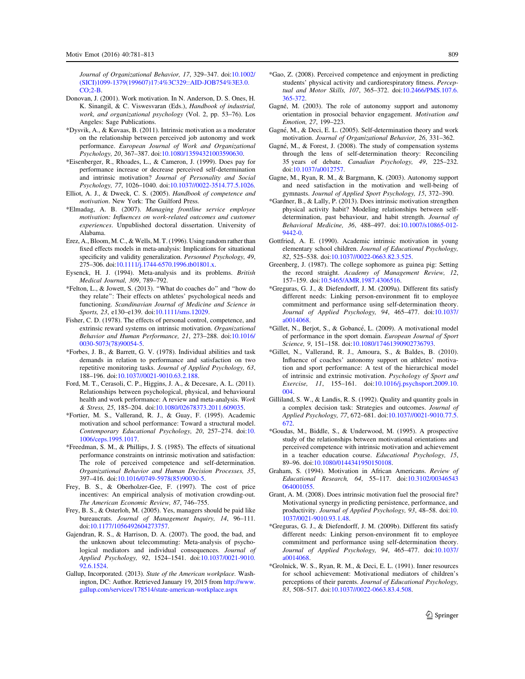Journal of Organizational Behavior, 17, 329–347. doi:10.1002/ (SICI)1099-1379(199607)17:4%3C329::AID-JOB754%3E3.0. CO;2-B.

- Donovan, J. (2001). Work motivation. In N. Anderson, D. S. Ones, H. K. Sinangil, & C. Viswesvaran (Eds.), Handbook of industrial, work, and organizational psychology (Vol. 2, pp. 53–76). Los Angeles: Sage Publications.
- \*Dysvik, A., & Kuvaas, B. (2011). Intrinsic motivation as a moderator on the relationship between perceived job autonomy and work performance. European Journal of Work and Organizational Psychology, 20, 367–387. doi:10.1080/13594321003590630.
- \*Eisenberger, R., Rhoades, L., & Cameron, J. (1999). Does pay for performance increase or decrease perceived self-determination and intrinsic motivation? Journal of Personality and Social Psychology, 77, 1026–1040. doi:10.1037//0022-3514.77.5.1026.
- Elliot, A. J., & Dweck, C. S. (2005). Handbook of competence and motivation. New York: The Guilford Press.
- \*Elmadag, A. B. (2007). Managing frontline service employee motivation: Influences on work-related outcomes and customer experiences. Unpublished doctoral dissertation. University of Alabama.
- Erez, A., Bloom, M. C., & Wells, M. T. (1996). Using random rather than fixed effects models in meta-analysis: Implications for situational specificity and validity generalization. Personnel Psychology, 49, 275–306. doi:10.1111/j.1744-6570.1996.tb01801.x.
- Eysenck, H. J. (1994). Meta-analysis and its problems. British Medical Journal, 309, 789–792.
- \*Felton, L., & Jowett, S. (2013). ''What do coaches do'' and ''how do they relate'': Their effects on athletes' psychological needs and functioning. Scandinavian Journal of Medicine and Science in Sports, 23, e130–e139. doi:10.1111/sms.12029.
- Fisher, C. D. (1978). The effects of personal control, competence, and extrinsic reward systems on intrinsic motivation. Organizational Behavior and Human Performance, 21, 273–288. doi:10.1016/ 0030-5073(78)90054-5.
- \*Forbes, J. B., & Barrett, G. V. (1978). Individual abilities and task demands in relation to performance and satisfaction on two repetitive monitoring tasks. Journal of Applied Psychology, 63, 188–196. doi:10.1037//0021-9010.63.2.188.
- Ford, M. T., Cerasoli, C. P., Higgins, J. A., & Decesare, A. L. (2011). Relationships between psychological, physical, and behavioural health and work performance: A review and meta-analysis. Work & Stress, 25, 185–204. doi:10.1080/02678373.2011.609035.
- \*Fortier, M. S., Vallerand, R. J., & Guay, F. (1995). Academic motivation and school performance: Toward a structural model. Contemporary Educational Psychology, 20, 257–274. doi:10. 1006/ceps.1995.1017.
- \*Freedman, S. M., & Phillips, J. S. (1985). The effects of situational performance constraints on intrinsic motivation and satisfaction: The role of perceived competence and self-determination. Organizational Behavior and Human Decision Processes, 35, 397–416. doi:10.1016/0749-5978(85)90030-5.
- Frey, B. S., & Oberholzer-Gee, F. (1997). The cost of price incentives: An empirical analysis of motivation crowding-out. The American Economic Review, 87, 746–755.
- Frey, B. S., & Osterloh, M. (2005). Yes, managers should be paid like bureaucrats. Journal of Management Inquiry, 14, 96–111. doi:10.1177/1056492604273757.
- Gajendran, R. S., & Harrison, D. A. (2007). The good, the bad, and the unknown about telecommuting: Meta-analysis of psychological mediators and individual consequences. Journal of Applied Psychology, 92, 1524–1541. doi:10.1037/0021-9010. 92.6.1524.
- Gallup, Incorporated. (2013). State of the American workplace. Washington, DC: Author. Retrieved January 19, 2015 from http://www. gallup.com/services/178514/state-american-workplace.aspx
- \*Gao, Z. (2008). Perceived competence and enjoyment in predicting students' physical activity and cardiorespiratory fitness. Perceptual and Motor Skills, 107, 365–372. doi:10.2466/PMS.107.6. 365-372.
- Gagné, M. (2003). The role of autonomy support and autonomy orientation in prosocial behavior engagement. Motivation and Emotion, 27, 199–223.
- Gagné, M., & Deci, E. L. (2005). Self-determination theory and work motivation. Journal of Organizational Behavior, 26, 331–362.
- Gagné, M., & Forest, J. (2008). The study of compensation systems through the lens of self-determination theory: Reconciling 35 years of debate. Canadian Psychology, 49, 225–232. doi:10.1037/a0012757.
- Gagne, M., Ryan, R. M., & Bargmann, K. (2003). Autonomy support and need satisfaction in the motivation and well-being of gymnasts. Journal of Applied Sport Psychology, 15, 372–390.
- \*Gardner, B., & Lally, P. (2013). Does intrinsic motivation strengthen physical activity habit? Modeling relationships between selfdetermination, past behaviour, and habit strength. Journal of Behavioral Medicine, 36, 488–497. doi:10.1007/s10865-012- 9442-0.
- Gottfried, A. E. (1990). Academic intrinsic motivation in young elementary school children. Journal of Educational Psychology, 82, 525–538. doi:10.1037//0022-0663.82.3.525.
- Greenberg, J. (1987). The college sophomore as guinea pig: Setting the record straight. Academy of Management Review, 12, 157–159. doi:10.5465/AMR.1987.4306516.
- \*Greguras, G. J., & Diefendorff, J. M. (2009a). Different fits satisfy different needs: Linking person-environment fit to employee commitment and performance using self-determination theory. Journal of Applied Psychology, 94, 465–477. doi:10.1037/ a0014068.
- \*Gillet, N., Berjot, S., & Gobance´, L. (2009). A motivational model of performance in the sport domain. European Journal of Sport Science, 9, 151–158. doi:10.1080/17461390902736793.
- \*Gillet, N., Vallerand, R. J., Amoura, S., & Baldes, B. (2010). Influence of coaches' autonomy support on athletes' motivation and sport performance: A test of the hierarchical model of intrinsic and extrinsic motivation. Psychology of Sport and Exercise, 11, 155–161. doi:10.1016/j.psychsport.2009.10. 004.
- Gilliland, S. W., & Landis, R. S. (1992). Quality and quantity goals in a complex decision task: Strategies and outcomes. Journal of Applied Psychology, 77, 672–681. doi:10.1037//0021-9010.77.5. 672.
- \*Goudas, M., Biddle, S., & Underwood, M. (1995). A prospective study of the relationships between motivational orientations and perceived competence with intrinsic motivation and achievement in a teacher education course. Educational Psychology, 15, 89–96. doi:10.1080/0144341950150108.
- Graham, S. (1994). Motivation in African Americans. Review of Educational Research, 64, 55–117. doi:10.3102/00346543 064001055.
- Grant, A. M. (2008). Does intrinsic motivation fuel the prosocial fire? Motivational synergy in predicting persistence, performance, and productivity. Journal of Applied Psychology, 93, 48–58. doi:10. 1037/0021-9010.93.1.48.
- \*Greguras, G. J., & Diefendorff, J. M. (2009b). Different fits satisfy different needs: Linking person-environment fit to employee commitment and performance using self-determination theory. Journal of Applied Psychology, 94, 465–477. doi:10.1037/ a0014068.
- \*Grolnick, W. S., Ryan, R. M., & Deci, E. L. (1991). Inner resources for school achievement: Motivational mediators of children's perceptions of their parents. Journal of Educational Psychology, 83, 508–517. doi:10.1037//0022-0663.83.4.508.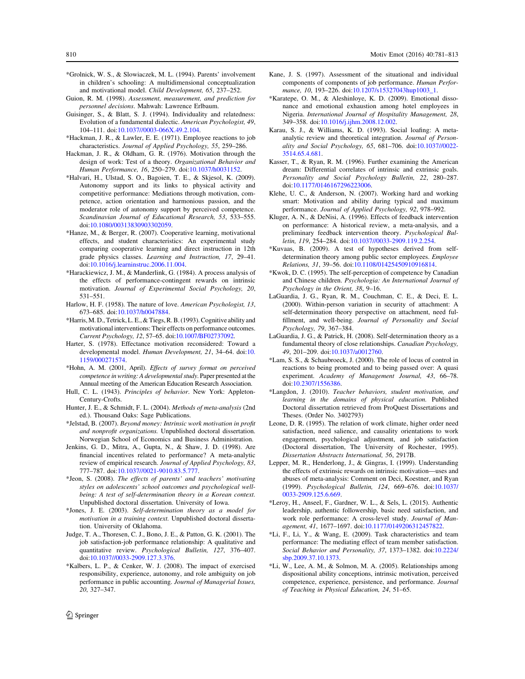- \*Grolnick, W. S., & Slowiaczek, M. L. (1994). Parents' involvement in children's schooling: A multidimensional conceptualization and motivational model. Child Development, 65, 237–252.
- Guion, R. M. (1998). Assessment, measurement, and prediction for personnel decisions. Mahwah: Lawrence Erlbaum.
- Guisinger, S., & Blatt, S. J. (1994). Individuality and relatedness: Evolution of a fundamental dialectic. American Psychologist, 49, 104–111. doi:10.1037//0003-066X.49.2.104.
- \*Hackman, J. R., & Lawler, E. E. (1971). Employee reactions to job characteristics. Journal of Applied Psychology, 55, 259–286.
- Hackman, J. R., & Oldham, G. R. (1976). Motivation through the design of work: Test of a theory. Organizational Behavior and Human Performance, 16, 250–279. doi:10.1037/h0031152.
- \*Halvari, H., Ulstad, S. O., Bagoien, T. E., & Skjesol, K. (2009). Autonomy support and its links to physical activity and competitive performance: Mediations through motivation, competence, action orientation and harmonious passion, and the moderator role of autonomy support by perceived competence. Scandinavian Journal of Educational Research, 53, 533–555. doi:10.1080/00313830903302059.
- \*Hanze, M., & Berger, R. (2007). Cooperative learning, motivational effects, and student characteristics: An experimental study comparing cooperative learning and direct instruction in 12th grade physics classes. Learning and Instruction, 17, 29–41. doi:10.1016/j.learninstruc.2006.11.004.
- \*Harackiewicz, J. M., & Manderlink, G. (1984). A process analysis of the effects of performance-contingent rewards on intrinsic motivation. Journal of Experimental Social Psychology, 20, 531–551.
- Harlow, H. F. (1958). The nature of love. American Psychologist, 13, 673–685. doi:10.1037/h0047884.
- \*Harris,M. D., Tetrick, L. E., & Tiegs,R. B. (1993). Cognitive ability and motivational interventions: Their effects on performance outcomes. Current Psychology, 12, 57–65. doi:10.1007/BF02737092.
- Harter, S. (1978). Effectance motivation reconsidered: Toward a developmental model. Human Development, 21, 34–64. doi:10. 1159/000271574.
- \*Hohn, A. M. (2001, April). Effects of survey format on perceived competence in writing: A developmental study. Paper presented at the Annual meeting of the American Education Research Association.
- Hull, C. L. (1943). Principles of behavior. New York: Appleton-Century-Crofts.
- Hunter, J. E., & Schmidt, F. L. (2004). Methods of meta-analysis (2nd ed.). Thousand Oaks: Sage Publications.
- \*Jelstad, B. (2007). Beyond money: Intrinsic work motivation in profit and nonprofit organizations. Unpublished doctoral dissertation. Norwegian School of Economics and Business Administration.
- Jenkins, G. D., Mitra, A., Gupta, N., & Shaw, J. D. (1998). Are financial incentives related to performance? A meta-analytic review of empirical research. Journal of Applied Psychology, 83, 777–787. doi:10.1037//0021-9010.83.5.777.
- \*Jeon, S. (2008). The effects of parents' and teachers' motivating styles on adolescents' school outcomes and psychological wellbeing: A test of self-determination theory in a Korean context. Unpublished doctoral dissertation. University of Iowa.
- \*Jones, J. E. (2003). Self-determination theory as a model for motivation in a training context. Unpublished doctoral dissertation. University of Oklahoma.
- Judge, T. A., Thoresen, C. J., Bono, J. E., & Patton, G. K. (2001). The job satisfaction-job performance relationship: A qualitative and quantitative review. Psychological Bulletin, 127, 376–407. doi:10.1037//0033-2909.127.3.376.
- \*Kalbers, L. P., & Cenker, W. J. (2008). The impact of exercised responsibility, experience, autonomy, and role ambiguity on job performance in public accounting. Journal of Managerial Issues, 20, 327–347.
- Kane, J. S. (1997). Assessment of the situational and individual components of components of job performance. Human Performance, 10, 193-226. doi:10.1207/s15327043hup1003\_1.
- \*Karatepe, O. M., & Aleshinloye, K. D. (2009). Emotional dissonance and emotional exhaustion among hotel employees in Nigeria. International Journal of Hospitality Management, 28, 349–358. doi:10.1016/j.ijhm.2008.12.002.
- Karau, S. J., & Williams, K. D. (1993). Social loafing: A metaanalytic review and theoretical integration. Journal of Personality and Social Psychology, 65, 681–706. doi:10.1037//0022- 3514.65.4.681.
- Kasser, T., & Ryan, R. M. (1996). Further examining the American dream: Differential correlates of intrinsic and extrinsic goals. Personality and Social Psychology Bulletin, 22, 280–287. doi:10.1177/0146167296223006.
- Klehe, U. C., & Anderson, N. (2007). Working hard and working smart: Motivation and ability during typical and maximum performance. Journal of Applied Psychology, 92, 978–992.
- Kluger, A. N., & DeNisi, A. (1996). Effects of feedback intervention on performance: A historical review, a meta-analysis, and a preliminary feedback intervention theory. Psychological Bulletin, 119, 254–284. doi:10.1037//0033-2909.119.2.254.
- \*Kuvaas, B. (2009). A test of hypotheses derived from selfdetermination theory among public sector employees. Employee Relations, 31, 39–56. doi:10.1108/01425450910916814.
- \*Kwok, D. C. (1995). The self-perception of competence by Canadian and Chinese children. Psychologia: An International Journal of Psychology in the Orient, 38, 9–16.
- LaGuardia, J. G., Ryan, R. M., Couchman, C. E., & Deci, E. L. (2000). Within-person variation in security of attachment: A self-determination theory perspective on attachment, need fulfillment, and well-being. Journal of Personality and Social Psychology, 79, 367–384.
- LaGuardia, J. G., & Patrick, H. (2008). Self-determination theory as a fundamental theory of close relationships. Canadian Psychology, 49, 201–209. doi:10.1037/a0012760.
- \*Lam, S. S., & Schaubroeck, J. (2000). The role of locus of control in reactions to being promoted and to being passed over: A quasi experiment. Academy of Management Journal, 43, 66–78. doi:10.2307/1556386.
- \*Langdon, J. (2010). Teacher behaviors, student motivation, and learning in the domains of physical education. Published Doctoral dissertation retrieved from ProQuest Dissertations and Theses. (Order No. 3402793)
- Leone, D. R. (1995). The relation of work climate, higher order need satisfaction, need salience, and causality orientations to work engagement, psychological adjustment, and job satisfaction (Doctoral dissertation, The University of Rochester, 1995). Dissertation Abstracts International, 56, 2917B.
- Lepper, M. R., Henderlong, J., & Gingras, I. (1999). Understanding the effects of extrinsic rewards on intrinsic motivation—uses and abuses of meta-analysis: Comment on Deci, Koestner, and Ryan (1999). Psychological Bulletin, 124, 669–676. doi:10.1037/ 0033-2909.125.6.669.
- \*Leroy, H., Anseel, F., Gardner, W. L., & Sels, L. (2015). Authentic leadership, authentic followership, basic need satisfaction, and work role performance: A cross-level study. Journal of Management, 41, 1677–1697. doi:10.1177/0149206312457822.
- \*Li, F., Li, Y., & Wang, E. (2009). Task characteristics and team performance: The mediating effect of team member satisfaction. Social Behavior and Personality, 37, 1373–1382. doi:10.2224/ sbp.2009.37.10.1373.
- \*Li, W., Lee, A. M., & Solmon, M. A. (2005). Relationships among dispositional ability conceptions, intrinsic motivation, perceived competence, experience, persistence, and performance. Journal of Teaching in Physical Education, 24, 51–65.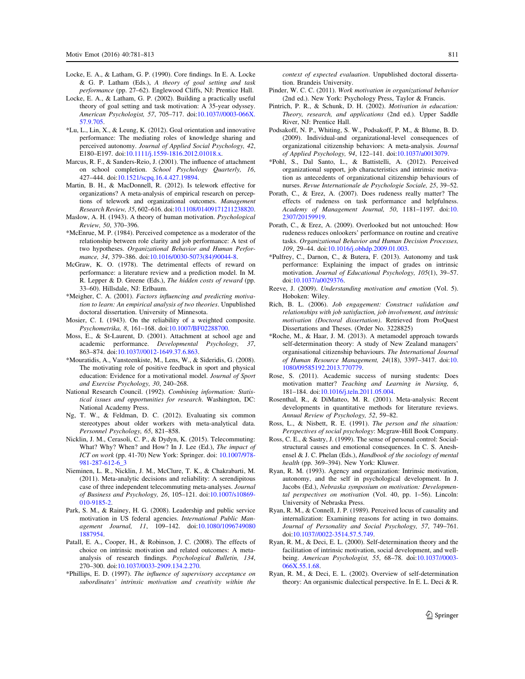- Locke, E. A., & Latham, G. P. (1990). Core findings. In E. A. Locke & G. P. Latham (Eds.), A theory of goal setting and task performance (pp. 27–62). Englewood Cliffs, NJ: Prentice Hall.
- Locke, E. A., & Latham, G. P. (2002). Building a practically useful theory of goal setting and task motivation: A 35-year odyssey. American Psychologist, 57, 705–717. doi:10.1037//0003-066X. 57.9.705.
- \*Lu, L., Lin, X., & Leung, K. (2012). Goal orientation and innovative performance: The mediating roles of knowledge sharing and perceived autonomy. Journal of Applied Social Psychology, 42, E180–E197. doi:10.1111/j.1559-1816.2012.01018.x.
- Marcus, R. F., & Sanders-Reio, J. (2001). The influence of attachment on school completion. School Psychology Quarterly, 16, 427–444. doi:10.1521/scpq.16.4.427.19894.
- Martin, B. H., & MacDonnell, R. (2012). Is telework effective for organizations? A meta-analysis of empirical research on perceptions of telework and organizational outcomes. Management Research Review, 35, 602–616. doi:10.1108/01409171211238820.
- Maslow, A. H. (1943). A theory of human motivation. Psychological Review, 50, 370–396.
- \*McEnrue, M. P. (1984). Perceived competence as a moderator of the relationship between role clarity and job performance: A test of two hypotheses. Organizational Behavior and Human Performance, 34, 379-386. doi:10.1016/0030-5073(84)90044-8.
- McGraw, K. O. (1978). The detrimental effects of reward on performance: a literature review and a prediction model. In M. R. Lepper & D. Greene (Eds.), The hidden costs of reward (pp. 33–60). Hillsdale, NJ: Erlbaum.
- \*Meigher, C. A. (2001). Factors influencing and predicting motivation to learn: An empirical analysis of two theories. Unpublished doctoral dissertation. University of Minnesota.
- Mosier, C. I. (1943). On the reliability of a weighted composite. Psychometrika, 8, 161–168. doi:10.1007/BF02288700.
- Moss, E., & St-Laurent, D. (2001). Attachment at school age and academic performance. Developmental Psychology, 37, 863–874. doi:10.1037//0012-1649.37.6.863.
- \*Mouratidis, A., Vansteenkiste, M., Lens, W., & Sideridis, G. (2008). The motivating role of positive feedback in sport and physical education: Evidence for a motivational model. Journal of Sport and Exercise Psychology, 30, 240–268.
- National Research Council. (1992). Combining information: Statistical issues and opportunities for research. Washington, DC: National Academy Press.
- Ng, T. W., & Feldman, D. C. (2012). Evaluating six common stereotypes about older workers with meta-analytical data. Personnel Psychology, 65, 821–858.
- Nicklin, J. M., Cerasoli, C. P., & Dydyn, K. (2015). Telecommuting: What? Why? When? and How? In J. Lee (Ed.), The impact of ICT on work (pp. 41-70) New York: Springer. doi: 10.1007/978- 981-287-612-6\_3
- Nieminen, L. R., Nicklin, J. M., McClure, T. K., & Chakrabarti, M. (2011). Meta-analytic decisions and reliability: A serendipitous case of three independent telecommuting meta-analyses. Journal of Business and Psychology, 26, 105–121. doi:10.1007/s10869- 010-9185-2.
- Park, S. M., & Rainey, H. G. (2008). Leadership and public service motivation in US federal agencies. International Public Management Journal, 11, 109–142. doi:10.1080/1096749080 1887954.
- Patall, E. A., Cooper, H., & Robinson, J. C. (2008). The effects of choice on intrinsic motivation and related outcomes: A metaanalysis of research findings. Psychological Bulletin, 134, 270–300. doi:10.1037/0033-2909.134.2.270.
- \*Phillips, E. D. (1997). The influence of supervisory acceptance on subordinates' intrinsic motivation and creativity within the

context of expected evaluation. Unpublished doctoral dissertation. Brandeis University.

- Pinder, W. C. C. (2011). Work motivation in organizational behavior (2nd ed.). New York: Psychology Press, Taylor & Francis.
- Pintrich, P. R., & Schunk, D. H. (2002). Motivation in education: Theory, research, and applications (2nd ed.). Upper Saddle River, NJ: Prentice Hall.
- Podsakoff, N. P., Whiting, S. W., Podsakoff, P. M., & Blume, B. D. (2009). Individual-and organizational-level consequences of organizational citizenship behaviors: A meta-analysis. Journal of Applied Psychology, 94, 122–141. doi:10.1037/a0013079.
- \*Pohl, S., Dal Santo, L., & Battistelli, A. (2012). Perceived organizational support, job characteristics and intrinsic motivation as antecedents of organizational citizenship behaviours of nurses. Revue Internationale de Psychologie Sociale, 25, 39–52.
- Porath, C., & Erez, A. (2007). Does rudeness really matter? The effects of rudeness on task performance and helpfulness. Academy of Management Journal, 50, 1181–1197. doi:10. 2307/20159919.
- Porath, C., & Erez, A. (2009). Overlooked but not untouched: How rudeness reduces onlookers' performance on routine and creative tasks. Organizational Behavior and Human Decision Processes, 109, 29–44. doi:10.1016/j.obhdp.2009.01.003.
- \*Pulfrey, C., Darnon, C., & Butera, F. (2013). Autonomy and task performance: Explaining the impact of grades on intrinsic motivation. Journal of Educational Psychology, 105(1), 39–57. doi:10.1037/a0029376.
- Reeve, J. (2009). Understanding motivation and emotion (Vol. 5). Hoboken: Wiley.
- Rich, B. L. (2006). Job engagement: Construct validation and relationships with job satisfaction, job involvement, and intrinsic motivation (Doctoral dissertation). Retrieved from ProQuest Dissertations and Theses. (Order No. 3228825)
- \*Roche, M., & Haar, J. M. (2013). A metamodel approach towards self-determination theory: A study of New Zealand managers' organisational citizenship behaviours. The International Journal of Human Resource Management, 24(18), 3397–3417. doi:10. 1080/09585192.2013.770779.
- Rose, S. (2011). Academic success of nursing students: Does motivation matter? Teaching and Learning in Nursing, 6, 181–184. doi:10.1016/j.teln.2011.05.004.
- Rosenthal, R., & DiMatteo, M. R. (2001). Meta-analysis: Recent developments in quantitative methods for literature reviews. Annual Review of Psychology, 52, 59–82.
- Ross, L., & Nisbett, R. E. (1991). The person and the situation: Perspectives of social psychology: Mcgraw-Hill Book Company.
- Ross, C. E., & Sastry, J. (1999). The sense of personal control: Socialstructural causes and emotional consequences. In C. S. Aneshensel & J. C. Phelan (Eds.), Handbook of the sociology of mental health (pp. 369–394). New York: Kluwer.
- Ryan, R. M. (1993). Agency and organization: Intrinsic motivation, autonomy, and the self in psychological development. In J. Jacobs (Ed.), Nebraska symposium on motivation: Developmental perspectives on motivation (Vol. 40, pp. 1–56). Lincoln: University of Nebraska Press.
- Ryan, R. M., & Connell, J. P. (1989). Perceived locus of causality and internalization: Examining reasons for acting in two domains. Journal of Personality and Social Psychology, 57, 749–761. doi:10.1037//0022-3514.57.5.749.
- Ryan, R. M., & Deci, E. L. (2000). Self-determination theory and the facilitation of intrinsic motivation, social development, and wellbeing. American Psychologist, 55, 68–78. doi:10.1037//0003- 066X.55.1.68.
- Ryan, R. M., & Deci, E. L. (2002). Overview of self-determination theory: An organismic dialectical perspective. In E. L. Deci & R.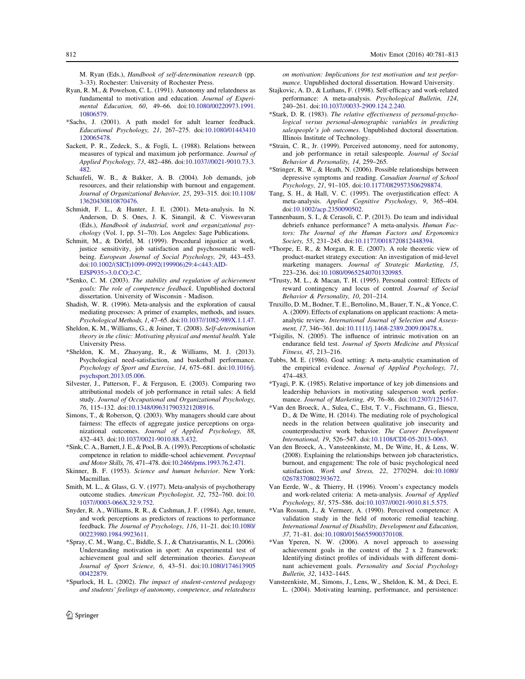M. Ryan (Eds.), Handbook of self-determination research (pp. 3–33). Rochester: University of Rochester Press.

- Ryan, R. M., & Powelson, C. L. (1991). Autonomy and relatedness as fundamental to motivation and education. Journal of Experimental Education, 60, 49–66. doi[:10.1080/00220973.1991.](http://dx.doi.org/10.1080/00220973.1991.10806579) [10806579](http://dx.doi.org/10.1080/00220973.1991.10806579).
- \*Sachs, J. (2001). A path model for adult learner feedback. Educational Psychology, 21, 267–275. doi:[10.1080/01443410](http://dx.doi.org/10.1080/01443410120065478) [120065478](http://dx.doi.org/10.1080/01443410120065478).
- Sackett, P. R., Zedeck, S., & Fogli, L. (1988). Relations between measures of typical and maximum job performance. Journal of Applied Psychology, 73, 482–486. doi[:10.1037//0021-9010.73.3.](http://dx.doi.org/10.1037//0021-9010.73.3.482) [482.](http://dx.doi.org/10.1037//0021-9010.73.3.482)
- Schaufeli, W. B., & Bakker, A. B. (2004). Job demands, job resources, and their relationship with burnout and engagement. Journal of Organizational Behavior, 25, 293–315. doi[:10.1108/](http://dx.doi.org/10.1108/13620430810870476) [13620430810870476.](http://dx.doi.org/10.1108/13620430810870476)
- Schmidt, F. L., & Hunter, J. E. (2001). Meta-analysis. In N. Anderson, D. S. Ones, J. K. Sinangil, & C. Viswesvaran (Eds.), Handbook of industrial, work and organizational psychology (Vol. 1, pp. 51–70). Los Angeles: Sage Publications.
- Schmitt, M., & Dörfel, M. (1999). Procedural injustice at work, justice sensitivity, job satisfaction and psychosomatic wellbeing. European Journal of Social Psychology, 29, 443–453. doi[:10.1002/\(SICI\)1099-0992\(199906\)29:4](http://dx.doi.org/10.1002/(SICI)1099-0992(199906)29:4%3c443:AID-EJSP935%3e3.0.CO;2-C)\443:AID-EJSP935>[3.0.CO;2-C](http://dx.doi.org/10.1002/(SICI)1099-0992(199906)29:4%3c443:AID-EJSP935%3e3.0.CO;2-C).
- \*Senko, C. M. (2003). The stability and regulation of achievement goals: The role of competence feedback. Unpublished doctoral dissertation. University of Wisconsin - Madison.
- Shadish, W. R. (1996). Meta-analysis and the exploration of causal mediating processes: A primer of examples, methods, and issues. Psychological Methods, 1, 47–65. doi:[10.1037//1082-989X.1.1.47](http://dx.doi.org/10.1037//1082-989X.1.1.47).
- Sheldon, K. M., Williams, G., & Joiner, T. (2008). Self-determination theory in the clinic: Motivating physical and mental health. Yale University Press.
- \*Sheldon, K. M., Zhaoyang, R., & Williams, M. J. (2013). Psychological need-satisfaction, and basketball performance. Psychology of Sport and Exercise, 14, 675–681. doi[:10.1016/j.](http://dx.doi.org/10.1016/j.psychsport.2013.05.006) [psychsport.2013.05.006](http://dx.doi.org/10.1016/j.psychsport.2013.05.006).
- Silvester, J., Patterson, F., & Ferguson, E. (2003). Comparing two attributional models of job performance in retail sales: A field study. Journal of Occupational and Organizational Psychology, 76, 115–132. doi:[10.1348/096317903321208916](http://dx.doi.org/10.1348/096317903321208916).
- Simons, T., & Roberson, Q. (2003). Why managers should care about fairness: The effects of aggregate justice perceptions on organizational outcomes. Journal of Applied Psychology, 88, 432–443. doi[:10.1037/0021-9010.88.3.432.](http://dx.doi.org/10.1037/0021-9010.88.3.432)
- \*Sink, C. A., Barnett, J. E., & Pool, B. A. (1993). Perceptions of scholastic competence in relation to middle-school achievement. Perceptual and Motor Skills, 76, 471–478. doi[:10.2466/pms.1993.76.2.471.](http://dx.doi.org/10.2466/pms.1993.76.2.471)
- Skinner, B. F. (1953). Science and human behavior. New York: Macmillan.
- Smith, M. L., & Glass, G. V. (1977). Meta-analysis of psychotherapy outcome studies. American Psychologist, 32, 752–760. doi[:10.](http://dx.doi.org/10.1037//0003-066X.32.9.752) [1037//0003-066X.32.9.752](http://dx.doi.org/10.1037//0003-066X.32.9.752).
- Snyder, R. A., Williams, R. R., & Cashman, J. F. (1984). Age, tenure, and work perceptions as predictors of reactions to performance feedback. The Journal of Psychology, 116, 11–21. doi[:10.1080/](http://dx.doi.org/10.1080/00223980.1984.9923611) [00223980.1984.9923611](http://dx.doi.org/10.1080/00223980.1984.9923611).
- \*Spray, C. M., Wang, C., Biddle, S. J., & Chatzisarantis, N. L. (2006). Understanding motivation in sport: An experimental test of achievement goal and self determination theories. European Journal of Sport Science, 6, 43–51. doi:[10.1080/174613905](http://dx.doi.org/10.1080/17461390500422879) [00422879](http://dx.doi.org/10.1080/17461390500422879).
- \*Spurlock, H. L. (2002). The impact of student-centered pedagogy and students' feelings of autonomy, competence, and relatedness

on motivation: Implications for test motivation and test performance. Unpublished doctoral dissertation. Howard University.

- Stajkovic, A. D., & Luthans, F. (1998). Self-efficacy and work-related performance: A meta-analysis. Psychological Bulletin, 124, 240–261. doi:[10.1037//0033-2909.124.2.240](http://dx.doi.org/10.1037//0033-2909.124.2.240).
- \*Stark, D. R. (1983). The relative effectiveness of personal-psychological versus personal-demographic variables in predicting salespeople's job outcomes. Unpublished doctoral dissertation. Illinois Institute of Technology.
- \*Strain, C. R., Jr. (1999). Perceived autonomy, need for autonomy, and job performance in retail salespeople. Journal of Social Behavior & Personality, 14, 259–265.
- \*Stringer, R. W., & Heath, N. (2006). Possible relationships between depressive symptoms and reading. Canadian Journal of School Psychology, 21, 91–105. doi[:10.1177/0829573506298874](http://dx.doi.org/10.1177/0829573506298874).
- Tang, S. H., & Hall, V. C. (1995). The overjustification effect: A meta-analysis. Applied Cognitive Psychology, 9, 365–404. doi:[10.1002/acp.2350090502.](http://dx.doi.org/10.1002/acp.2350090502)
- Tannenbaum, S. I., & Cerasoli, C. P. (2013). Do team and individual debriefs enhance performance? A meta-analysis. Human Factors: The Journal of the Human Factors and Ergonomics Society, 55, 231–245. doi:[10.1177/0018720812448394.](http://dx.doi.org/10.1177/0018720812448394)
- \*Thorpe, E. R., & Morgan, R. E. (2007). A role theoretic view of product-market strategy execution: An investigation of mid-level marketing managers. Journal of Strategic Marketing, 15, 223–236. doi:[10.1080/09652540701320985.](http://dx.doi.org/10.1080/09652540701320985)
- \*Trusty, M. L., & Macan, T. H. (1995). Personal control: Effects of reward contingency and locus of control. Journal of Social Behavior & Personality, 10, 201–214.
- Truxillo, D. M., Bodner, T. E., Bertolino, M., Bauer, T. N., & Yonce, C. A. (2009). Effects of explanations on applicant reactions: A metaanalytic review. International Journal of Selection and Assess-ment, 17, 346-361. doi[:10.1111/j.1468-2389.2009.00478.x.](http://dx.doi.org/10.1111/j.1468-2389.2009.00478.x)
- \*Tsigilis, N. (2005). The influence of intrinsic motivation on an endurance field test. Journal of Sports Medicine and Physical Fitness, 45, 213–216.
- Tubbs, M. E. (1986). Goal setting: A meta-analytic examination of the empirical evidence. Journal of Applied Psychology, 71, 474–483.
- \*Tyagi, P. K. (1985). Relative importance of key job dimensions and leadership behaviors in motivating salesperson work performance. Journal of Marketing, 49, 76–86. doi[:10.2307/1251617](http://dx.doi.org/10.2307/1251617).
- \*Van den Broeck, A., Sulea, C., Elst, T. V., Fischmann, G., Iliescu, D., & De Witte, H. (2014). The mediating role of psychological needs in the relation between qualitative job insecurity and counterproductive work behavior. The Career Development International, 19, 526–547. doi:[10.1108/CDI-05-2013-0063](http://dx.doi.org/10.1108/CDI-05-2013-0063).
- Van den Broeck, A., Vansteenkinste, M., De Witte, H., & Lens, W. (2008). Explaining the relationships between job characteristics, burnout, and engagement: The role of basic psychological need satisfaction. Work and Stress, 22, 2770294. doi[:10.1080/](http://dx.doi.org/10.1080/02678370802393672) [02678370802393672](http://dx.doi.org/10.1080/02678370802393672).
- Van Eerde, W., & Thierry, H. (1996). Vroom's expectancy models and work-related criteria: A meta-analysis. Journal of Applied Psychology, 81, 575–586. doi[:10.1037//0021-9010.81.5.575.](http://dx.doi.org/10.1037//0021-9010.81.5.575)
- \*Van Rossum, J., & Vermeer, A. (1990). Perceived competence: A validation study in the field of motoric remedial teaching. International Journal of Disability, Development and Education, 37, 71–81. doi:[10.1080/0156655900370108](http://dx.doi.org/10.1080/0156655900370108).
- \*Van Yperen, N. W. (2006). A novel approach to assessing achievement goals in the context of the 2 x 2 framework: Identifying distinct profiles of individuals with different dominant achievement goals. Personality and Social Psychology Bulletin, 32, 1432–1445.
- Vansteenkiste, M., Simons, J., Lens, W., Sheldon, K. M., & Deci, E. L. (2004). Motivating learning, performance, and persistence: